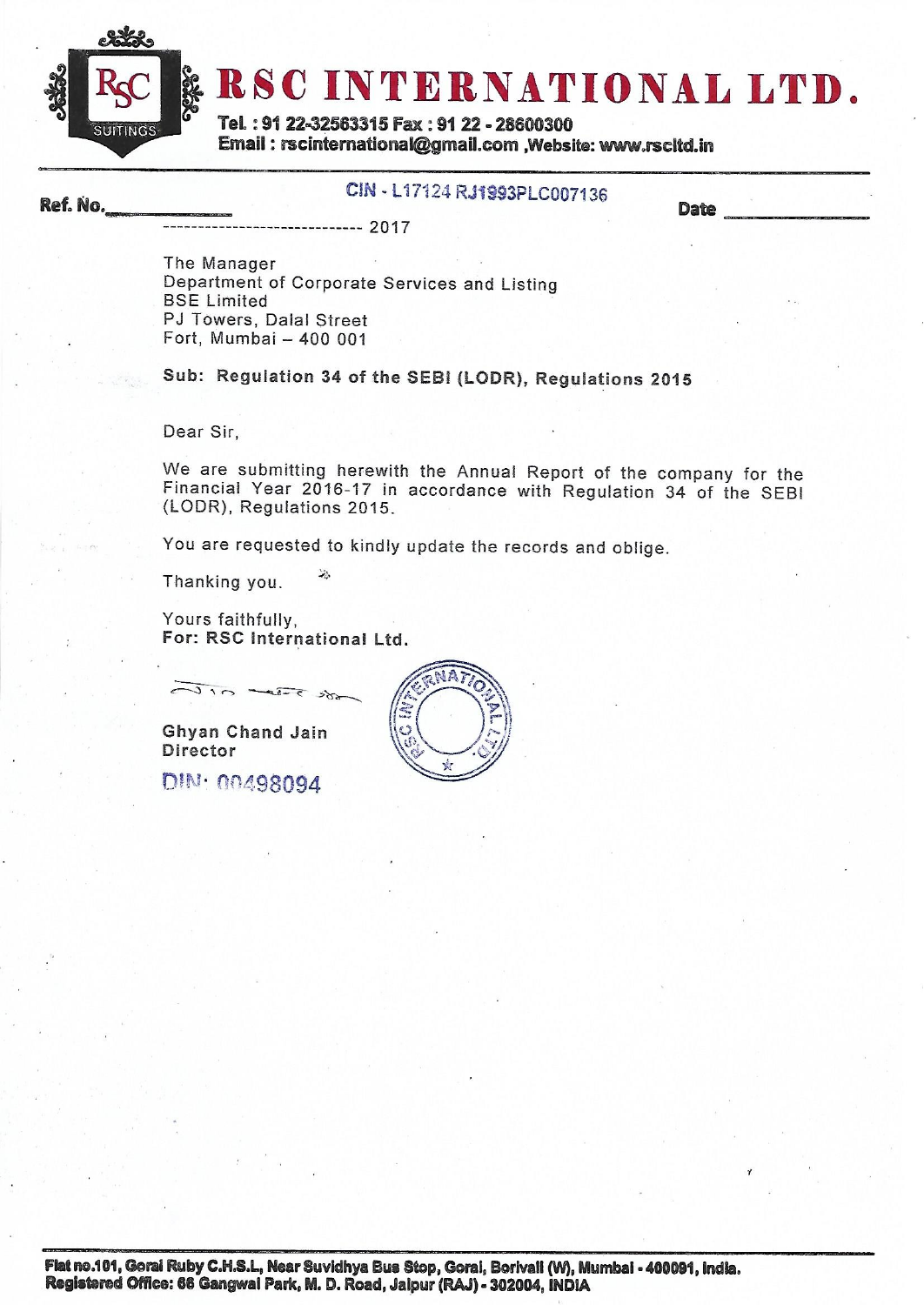

Ref. No.

# RSC INTERNATIONAL LTD.

Tel.: 91 22-32563315 Fax: 91 22 - 28600300 Email: rscinternational@gmail.com ,Website: www.rscitd.in

# CIN - L17124 RJ1993PLC007136

**Date** 

-------------- 2017

The Manager Department of Corporate Services and Listing **BSE Limited** PJ Towers, Dalal Street Fort, Mumbai - 400 001

Sub: Regulation 34 of the SEBI (LODR), Regulations 2015

Dear Sir.

We are submitting herewith the Annual Report of the company for the Financial Year 2016-17 in accordance with Regulation 34 of the SEBI (LODR), Regulations 2015.

You are requested to kindly update the records and oblige.

Thanking you.

Yours faithfully, For: RSC International Ltd.

 $\pi r$  and  $\pi r$ 

Ghyan Chand Jain Director

DIN: 00498094

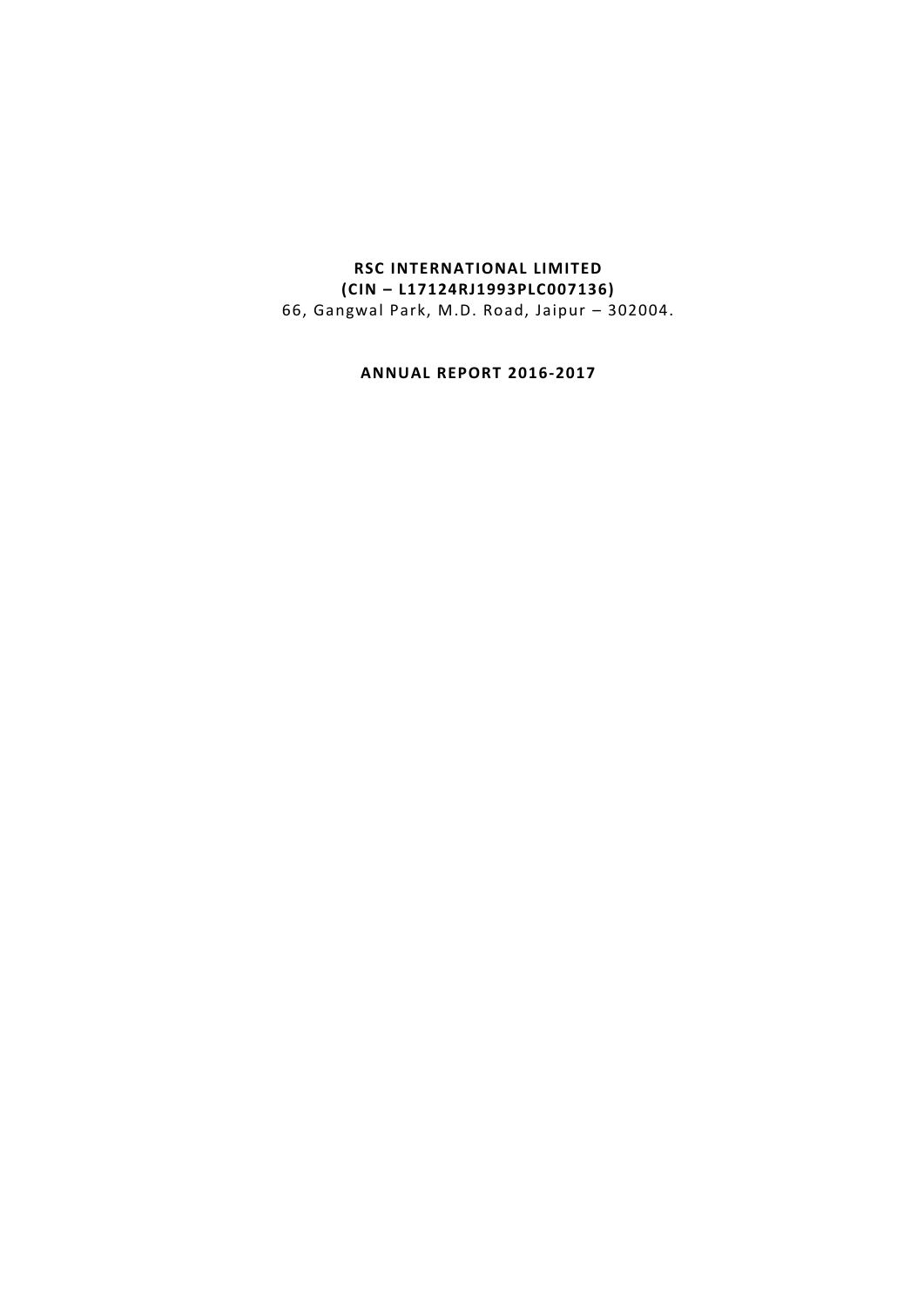# **RSC INTERNATIONAL LIMITED (CIN – L17124RJ1993PLC007136)** 66, Gangwal Park, M.D. Road, Jaipur – 302004.

**ANNUAL REPORT 2016-2017**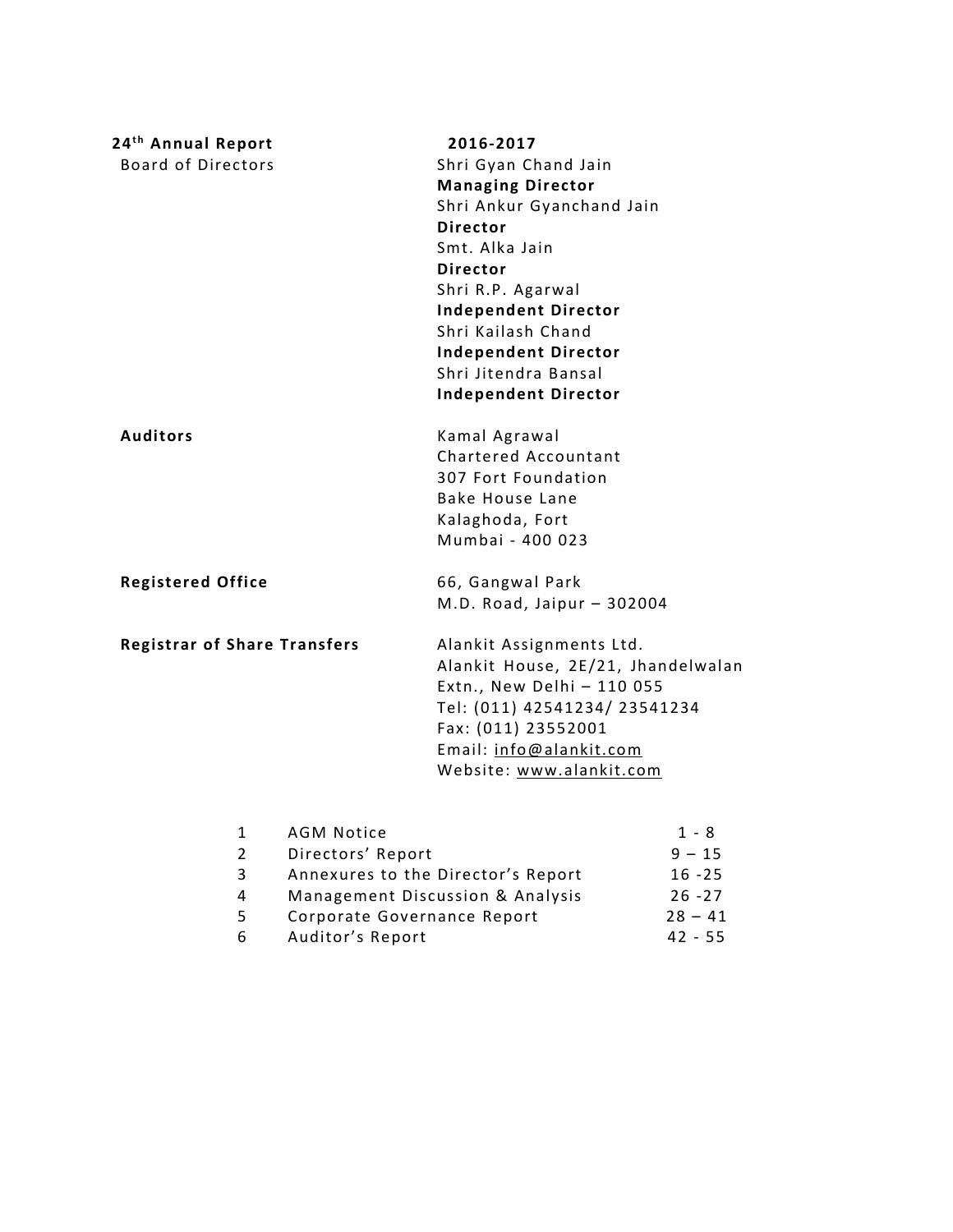| 24 <sup>th</sup> Annual Report      |                   | 2016-2017                          |           |
|-------------------------------------|-------------------|------------------------------------|-----------|
| <b>Board of Directors</b>           |                   | Shri Gyan Chand Jain               |           |
|                                     |                   | <b>Managing Director</b>           |           |
|                                     |                   | Shri Ankur Gyanchand Jain          |           |
|                                     |                   | <b>Director</b>                    |           |
|                                     |                   | Smt. Alka Jain                     |           |
|                                     |                   | <b>Director</b>                    |           |
|                                     |                   | Shri R.P. Agarwal                  |           |
|                                     |                   | <b>Independent Director</b>        |           |
|                                     |                   | Shri Kailash Chand                 |           |
|                                     |                   | <b>Independent Director</b>        |           |
|                                     |                   | Shri Jitendra Bansal               |           |
|                                     |                   | <b>Independent Director</b>        |           |
| <b>Auditors</b>                     |                   | Kamal Agrawal                      |           |
|                                     |                   | Chartered Accountant               |           |
|                                     |                   | 307 Fort Foundation                |           |
|                                     |                   | <b>Bake House Lane</b>             |           |
|                                     |                   | Kalaghoda, Fort                    |           |
|                                     |                   | Mumbai - 400 023                   |           |
| <b>Registered Office</b>            |                   | 66, Gangwal Park                   |           |
|                                     |                   | M.D. Road, Jaipur - 302004         |           |
| <b>Registrar of Share Transfers</b> |                   | Alankit Assignments Ltd.           |           |
|                                     |                   | Alankit House, 2E/21, Jhandelwalan |           |
|                                     |                   | Extn., New Delhi - 110 055         |           |
|                                     |                   | Tel: (011) 42541234/ 23541234      |           |
|                                     |                   | Fax: (011) 23552001                |           |
|                                     |                   | Email: info@alankit.com            |           |
|                                     |                   | Website: www.alankit.com           |           |
| $\mathbf{1}$                        | <b>AGM Notice</b> |                                    | $1 - 8$   |
| $\overline{2}$                      | Directors' Report |                                    | $9 - 15$  |
| 3                                   |                   | Annexures to the Director's Report | $16 - 25$ |

| 4 | Management Discussion & Analysis | $26 - 27$ |
|---|----------------------------------|-----------|
| 5 | Corporate Governance Report      | $28 - 41$ |
| 6 | Auditor's Report                 | 42 - 55   |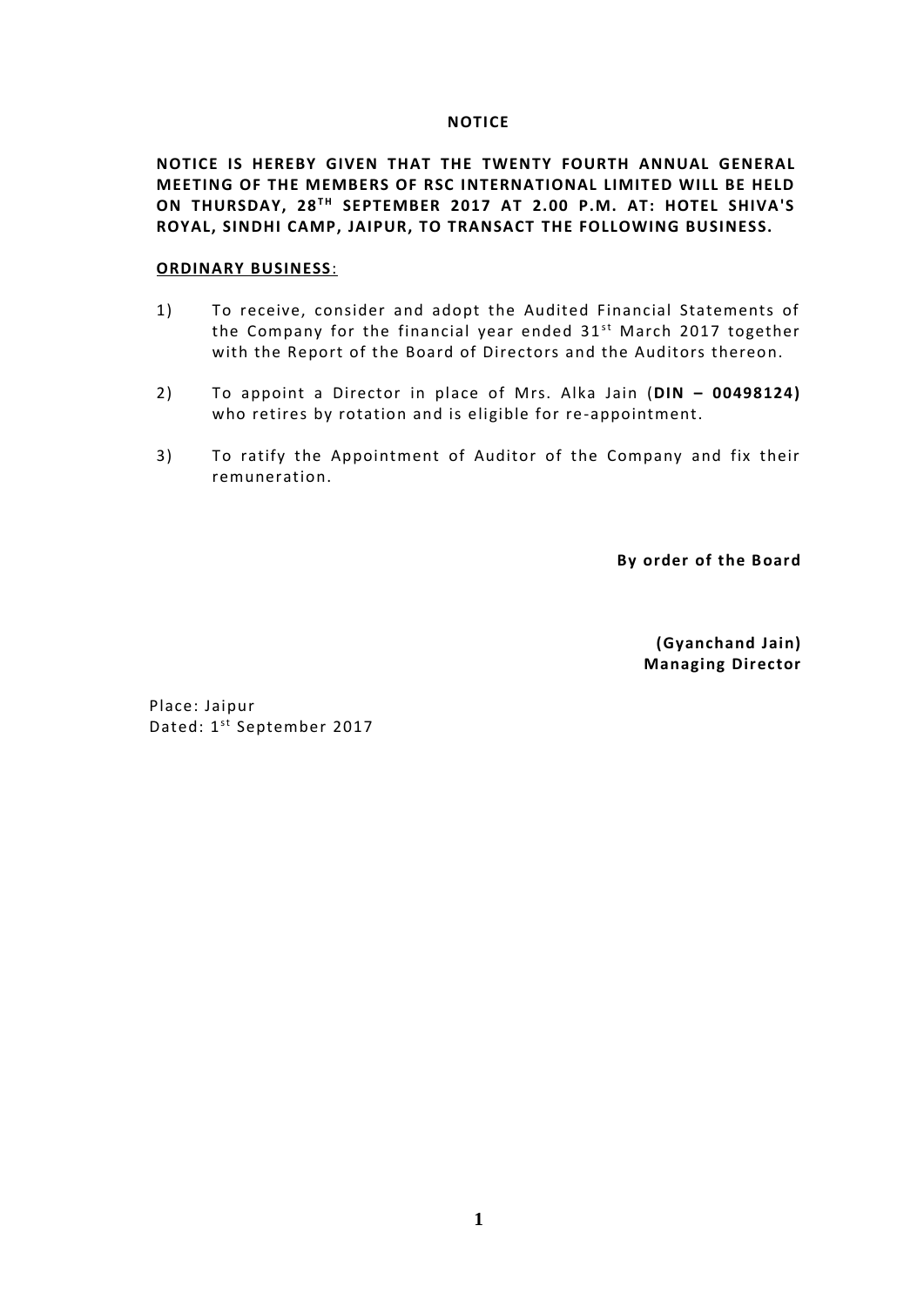#### **NOTICE**

**NOTICE IS HEREBY GIVEN THAT THE TWENTY FOURTH ANNUAL GENERAL MEETING OF THE MEMBERS OF RSC INTERNATIONAL LIMITED WILL BE HELD ON THURSDAY, 28T H SEPTEMBER 2017 AT 2.00 P.M. AT: HOTEL SHIVA'S ROYAL, SINDHI CAMP, JAIPUR, TO TRANSACT THE FOLLOWING BUSINESS.**

# **ORDINARY BUSINESS**:

- 1) To receive, consider and adopt the Audited Financial Statements of <mark>ARY BUSINESS:</mark><br>To receive, consider and adopt the Audited Financial Statements of<br>the Company for the financial year ended 31<sup>st</sup> March 2017 together<br>with the Benert of the Beard of Directors and the Auditors thereon with the Report of the Board of Directors and the Auditors thereon.
- 2) To appoint a Director in place of Mrs. Alka Jain (**DIN – 00498124)** who retires by rotation and is eligible for re-appointment.
- 3) To ratify the Appointment of Auditor of the Company and fix their remuneration.

**By order of the Board**

**(Gyanchand Jain) Managing Director**

Place: Jaipur Place: Jaipur<br>Dated: 1<sup>st</sup> September 2017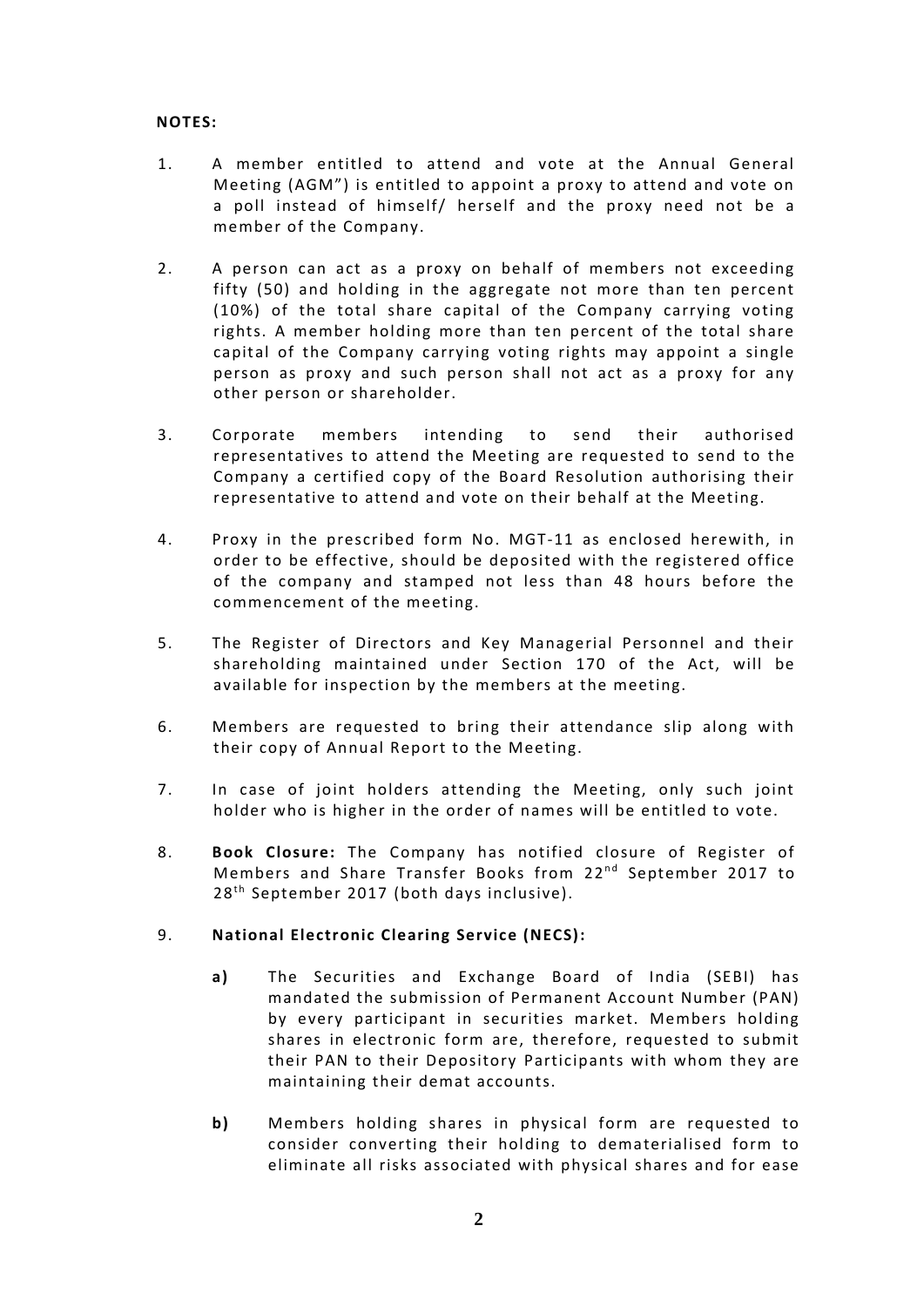# **NOTES:**

- 1. A member entitled to attend and vote at the Annual General Meeting (AGM") is entitled to appoint a proxy to attend and vote on a poll instead of himself/ herself and the proxy need not be a member of the Company.
- 2. A person can act as a proxy on behalf of members not exceeding fifty (50) and holding in the aggregate not more than ten percent (10%) of the total share capital of the Company carrying voting rights. A member holding more than ten percent of the total share capital of the Company carrying voting rights may appoint a single person as proxy and such person shall not act as a proxy for any other person or shareholder.
- 3. Corporate members intending to send their authorised representatives to attend the Meeting are requested to send to the Company a certified copy of the Board Resolution authorising their representative to attend and vote on their behalf at the Meeting.
- 4. Proxy in the prescribed form No. MGT-11 as enclosed herewith, in order to be effective, should be deposited with the registered office of the company and stamped not less than 48 hours before the commencement of the meeting.
- 5. The Register of Directors and Key Managerial Personnel and their shareholding maintained under Section 170 of the Act, will be available for inspection by the members at the meeting.
- 6. Members are requested to bring their attendance slip along with their copy of Annual Report to the Meeting.
- 7. In case of joint holders attending the Meeting, only such joint holder who is higher in the order of names will be entitled to vote.
- 8. **Book Closure:** The Company has notified closure of Register of holder who is higher in the order of names will be entitled to vote.<br>**Book Closure:** The Company has notified closure of Register of<br>Members and Share Transfer Books from 22<sup>nd</sup> September 2017 to<br>28<sup>th Sontember 2017 (both</sup> Book Closure: The Company has notified c<br>Members and Share Transfer Books from 22<br>28<sup>th</sup> September 2017 (both days inclusive).

# 9. **National Electronic Clearing Service (NECS):**

- **a)** The Securities and Exchange Board of India (SEBI) has mandated the submission of Permanent Account Number (PAN) by every participant in securities market. Members holding shares in electronic form are, therefore, requested to submit their PAN to their Depository Participants with whom they are maintaining their demat accounts.
- **b)** Members holding shares in physical form are requested to consider converting their holding to dematerialised form to eliminate all risks associated with physical shares and for ease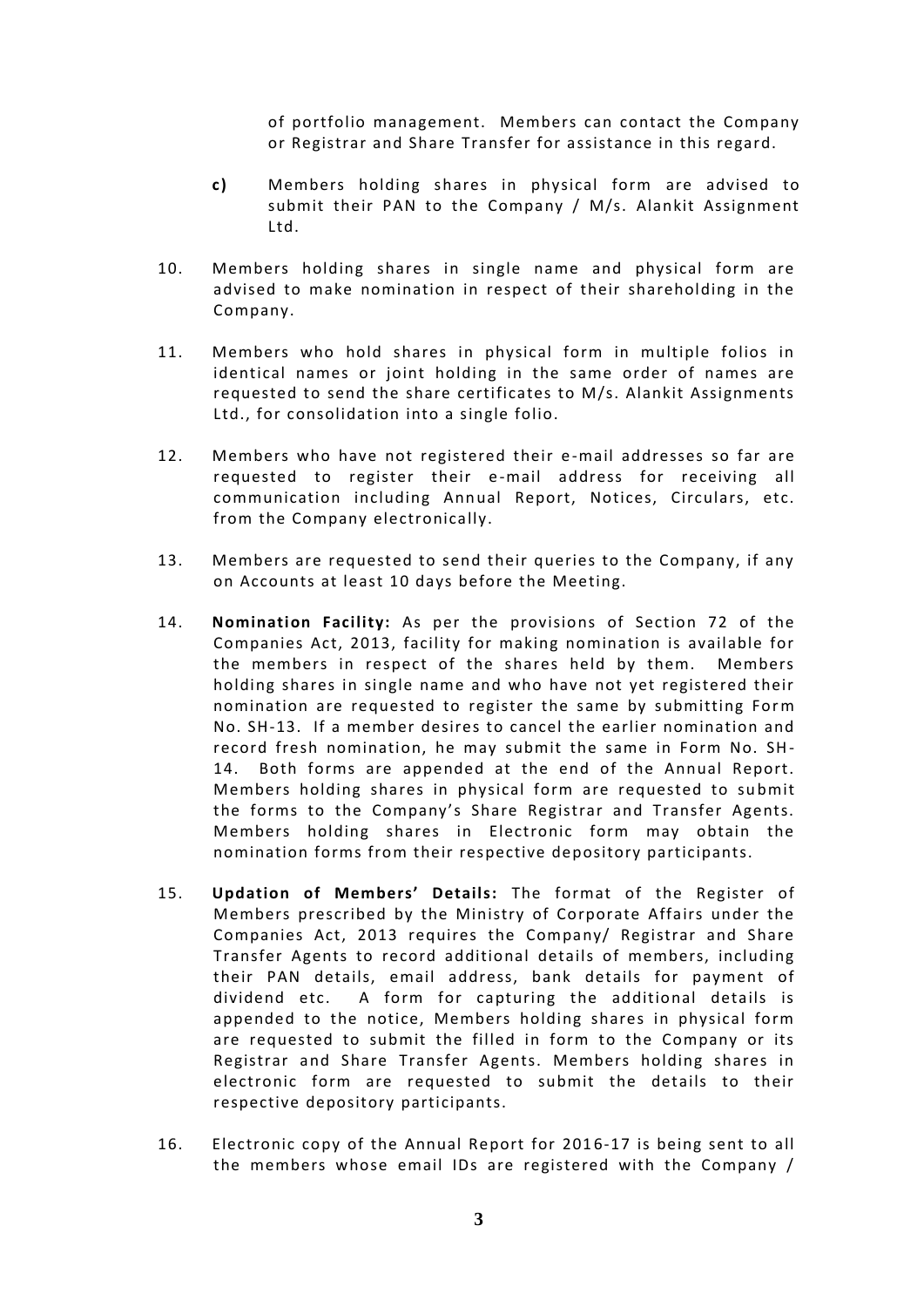of portfolio management. Members can contact the Company or Registrar and Share Transfer for assistance in this regard.

- **c)** Members holding shares in physical form are advised to submit their PAN to the Company / M/s. Alankit Assignment Ltd.
- 10. Members holding shares in single name and physical form are advised to make nomination in respect of their shareholding in the Company.
- 11. Members who hold shares in physical form in multiple folios in identical names or joint holding in the same order of names are requested to send the share certificates to M/s. Alankit Assignments Ltd., for consolidation into a single folio.
- 12. Members who have not registered their e -mail addresses so far are requested to register their e -mail address for receiving all communication including Annual Report, Notices, Circulars, etc. from the Company electronically.
- 13. Members are requested to send their queries to the Company, if any on Accounts at least 10 days before the Meeting.
- 14. **Nomination Facility:** As per the provisions of Section 72 of the Companies Act, 2013, facility for making nomination is available for the members in respect of the shares held by them. Members holding shares in single name and who have not yet registered their nomination are requested to register the same by submitting Form No. SH-13. If a member desires to cancel the earlier nomination and record fresh nomination, he may submit the same in Form No. SH- 14. Both forms are appended at the end of the Annual Report. Members holding shares in physical form are requested to submit the forms to the Company's Share Registrar and Transfer Agents. Members holding shares in Electronic form may obtain the nomination forms from their respective depository participants.
- 15. **Updation of Members' Details:** The format of the Register of Members prescribed by the Ministry of Corporate Affairs under the Companies Act, 2013 requires the Company/ Registrar and Share Transfer Agents to record additional details of members, including their PAN details, email address, bank details for payment of dividend etc. A form for capturing the additional details is appended to the notice, Members holding shares in physical form are requested to submit the filled in form to the Company or its Registrar and Share Transfer Agents. Members holding shares in electronic form are requested to submit the details to their respective depository participants.
- 16. Electronic copy of the Annual Report for 2016-17 is being sent to all the members whose email IDs are registered with the Company /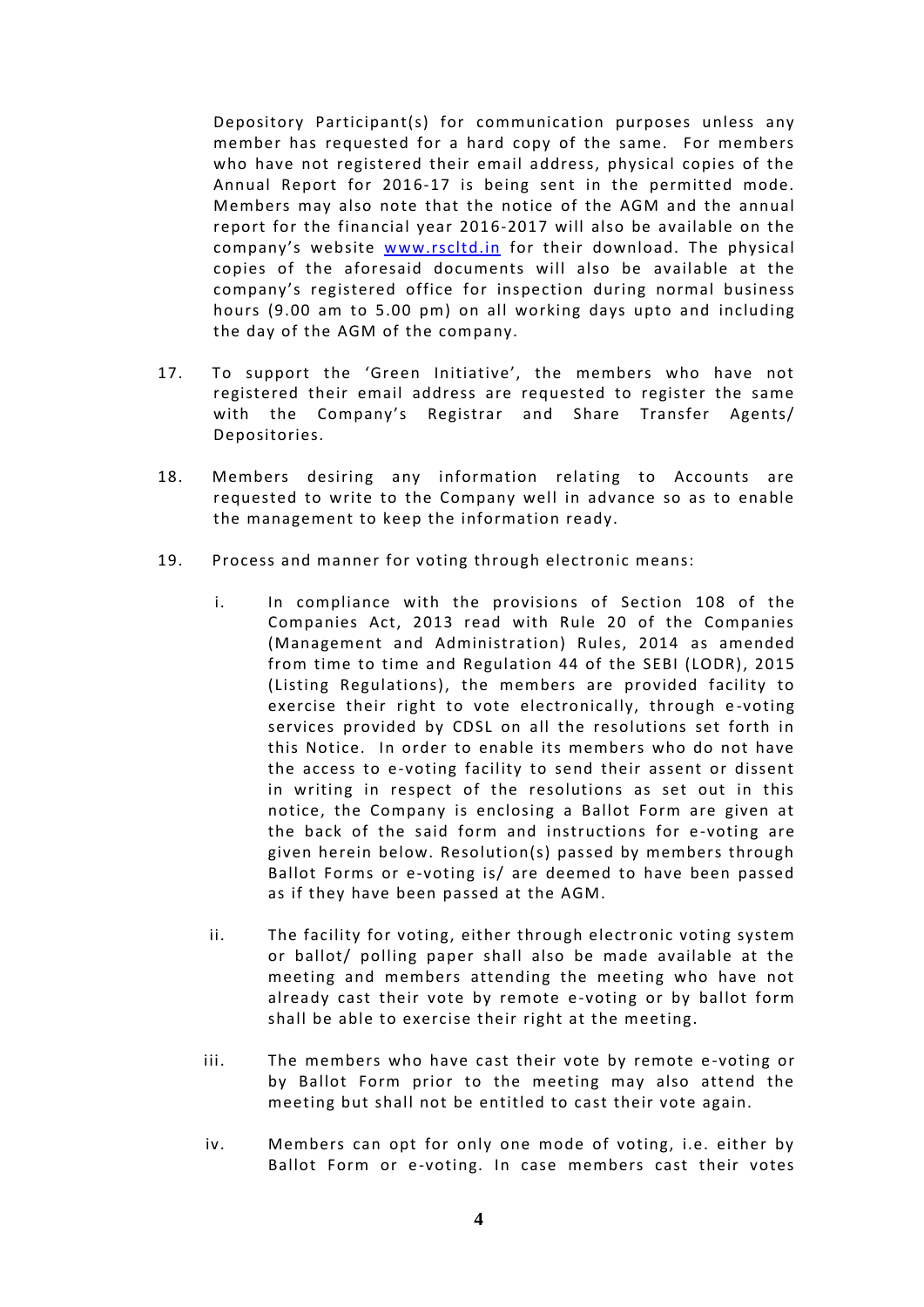Depository Participant(s) for communication purposes unless any member has requested for a hard copy of the same. For members who have not registered their email address, physical copies of the Annual Report for 2016-17 is being sent in the permitted mode. Members may also note that the notice of the AGM and the annual report for the financial year 2016-2017 will also be available on the company's website www.rscltd.in for their download. The physical copies of the aforesaid documents will also be available at the company's registered office for inspection during normal business hours (9.00 am to 5.00 pm) on all working days upto and including the day of the AGM of the company.

- 17. To support the 'Green Initiative', the members who have not registered their email address are requested to register the same with the Company's Registrar and Share Transfer Agents/ Depositories.
- 18. Members desiring any information relating to Accounts are requested to write to the Company well in advance so as to enable the management to keep the information ready.
- 19. Process and manner for voting through electronic means:
	- i. In compliance with the provisions of Section 108 of the Companies Act, 2013 read with Rule 20 of the Companies (Management and Administration) Rules, 2014 as amended from time to time and Regulation 44 of the SEBI (LODR), 2015 (Listing Regulations), the members are provided facility to exercise their right to vote electronically, through e-voting services provided by CDSL on all the resolutions set forth in this Notice. In order to enable its members who do not have the access to e-voting facility to send their assent or dissent in writing in respect of the resolutions as set out in this notice, the Company is enclosing a Ballot Form are given at the back of the said form and instructions for e-voting are given herein below. Resolution(s) passed by members through Ballot Forms or e-voting is/ are deemed to have been passed as if they have been passed at the AGM.
	- ii. The facility for voting, either through electronic voting system or ballot/ polling paper shall also be made available at the meeting and members attending the meeting who have not already cast their vote by remote e-voting or by ballot form shall be able to exercise their right at the meeting.
	- iii. The members who have cast their vote by remote e-voting or by Ballot Form prior to the meeting may also attend the meeting but shall not be entitled to cast their vote again.
	- iv. Members can opt for only one mode of voting, i.e. either by Ballot Form or e-voting. In case members cast their votes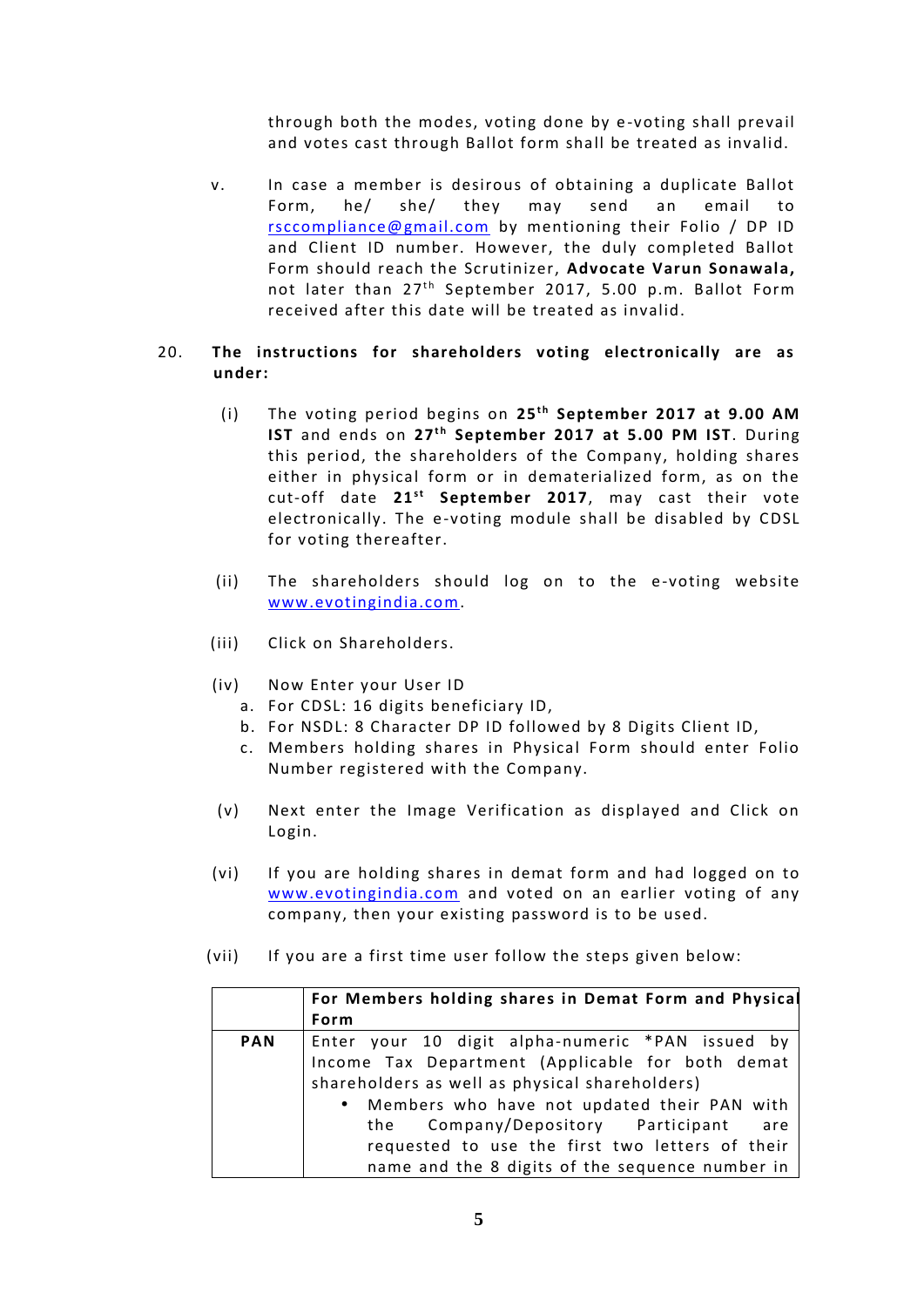through both the modes, voting done by e -voting shall prevail and votes cast through Ballot form shall be treated as invalid.

v. In case a member is desirous of obtaining a duplicate Ballot Form, he/ she/ they may send an email to rsccompliance@gmail.com by mentioning their Folio / DP ID and Client ID number. However, the duly completed Ballot Form should reach the Scrutinizer, **Advocate Varun Sonawala,** not later than 27<sup>th</sup> September 2017, 5.00 p.m. Ballot Form received after this date will be treated as invalid.

# 20. **The instructions for shareholders voting electronically are as under:** he instructions for shareholders voting electronically are as<br>
inder:<br>
(i) The voting period begins on 25<sup>th</sup> September 2017 at 9.00 AM<br> **IST** and ends on 23<sup>th</sup> September 2017 at 5.00 BM IST. During

- The voting period begins on 25<sup>th</sup> September 2017 at 9.00 AM<br> **IST** and ends on 27<sup>th</sup> September 2017 at 5.00 PM IST. During<br>
this period, the shareholders of the Company, holding shares this period, the shareholders of the Company, holding shares either in physical form or in dematerialized form, as on the cut-off date 21<sup>st</sup> September 2017, may cast their vote 27<sup>th</sup> September 2017 at 5.00 PM IST. During<br>shareholders of the Company, holding shares<br>I form or in dematerialized form, as on the<br><sup>st</sup> September 2017, may cast their vote electronically. The e-voting module shall be disabled by CDSL for voting thereafter.
- (ii) The shareholders should log on to the e-voting website www.evotingindia.com.
- (iii) Click on Shareholders.
- (iv) Now Enter your User ID
	- a. For CDSL: 16 digits beneficiary ID,
	- b. For NSDL: 8 Character DP ID followed by 8 Digits Client ID,
	- c. Members holding shares in Physical Form should enter Folio Number registered with the Company.
- (v) Next enter the Image Verification as displayed and Click on Login.
- (vi) If you are holding shares in demat form and had logged on to www.evotingindia.com and voted on an earlier voting of any company, then your existing password is to be used.
- (vii) If you are a first time user follow the steps given below:

|            | For Members holding shares in Demat Form and Physical<br>Form |
|------------|---------------------------------------------------------------|
| <b>PAN</b> | Enter your 10 digit alpha-numeric *PAN issued by              |
|            | Income Tax Department (Applicable for both demat              |
|            | shareholders as well as physical shareholders)                |
|            | • Members who have not updated their PAN with                 |
|            | the Company/Depository Participant<br>are                     |
|            | requested to use the first two letters of their               |
|            | name and the 8 digits of the sequence number in               |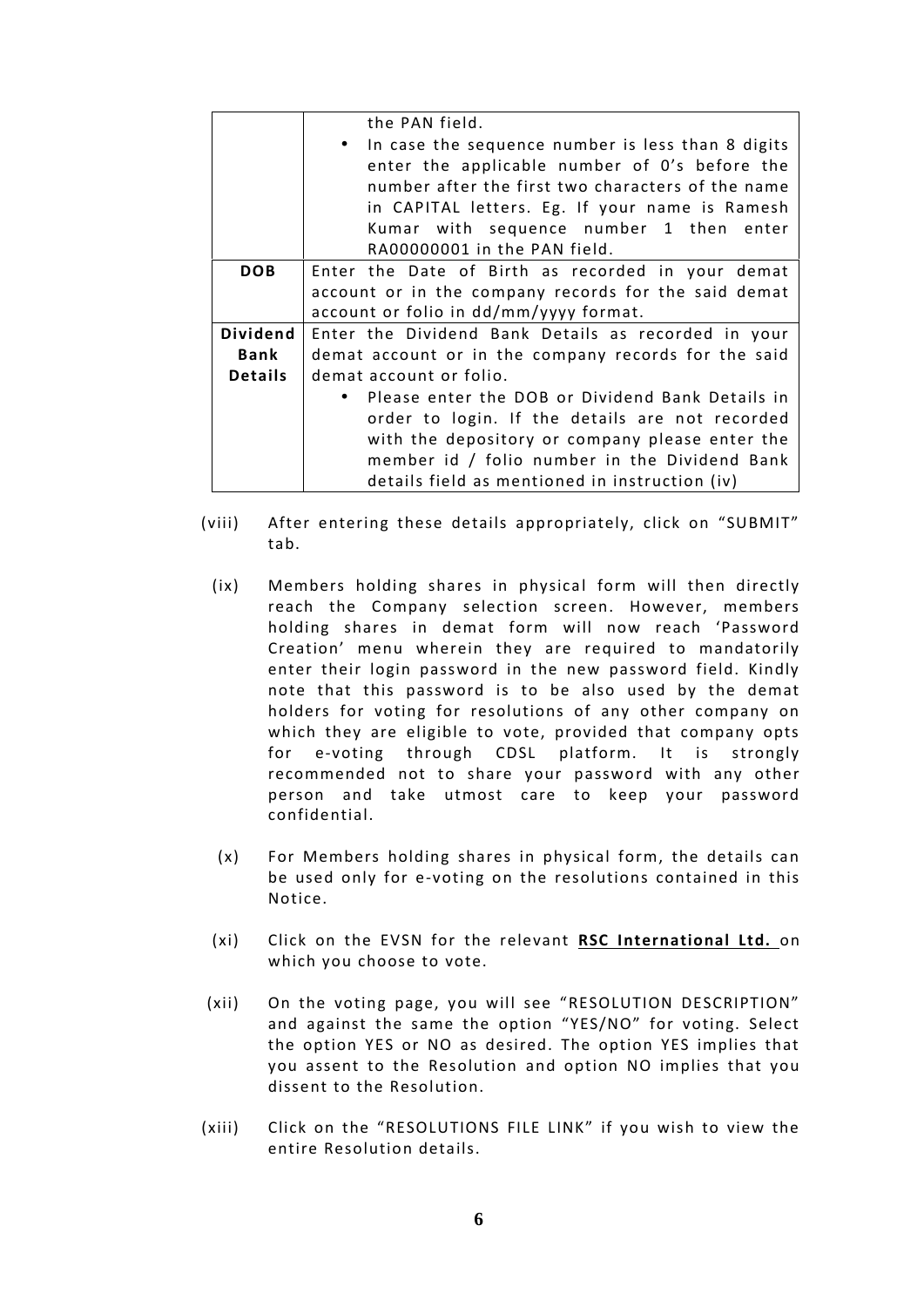|                 | the PAN field.                                                                                                                                                                                                                                                                         |
|-----------------|----------------------------------------------------------------------------------------------------------------------------------------------------------------------------------------------------------------------------------------------------------------------------------------|
|                 | • In case the sequence number is less than 8 digits<br>enter the applicable number of 0's before the<br>number after the first two characters of the name<br>in CAPITAL letters. Eg. If your name is Ramesh<br>Kumar with sequence number 1 then enter<br>RA00000001 in the PAN field. |
| <b>DOB</b>      | Enter the Date of Birth as recorded in your demat                                                                                                                                                                                                                                      |
|                 | account or in the company records for the said demat                                                                                                                                                                                                                                   |
|                 | account or folio in dd/mm/yyyy format.                                                                                                                                                                                                                                                 |
| <b>Dividend</b> | Enter the Dividend Bank Details as recorded in your                                                                                                                                                                                                                                    |
| Bank            | demat account or in the company records for the said                                                                                                                                                                                                                                   |
| <b>Details</b>  | demat account or folio.                                                                                                                                                                                                                                                                |
|                 | • Please enter the DOB or Dividend Bank Details in                                                                                                                                                                                                                                     |
|                 | order to login. If the details are not recorded                                                                                                                                                                                                                                        |
|                 | with the depository or company please enter the                                                                                                                                                                                                                                        |
|                 | member id / folio number in the Dividend Bank                                                                                                                                                                                                                                          |
|                 | details field as mentioned in instruction (iv)                                                                                                                                                                                                                                         |

- (viii) After entering these details appropriately, click on "SUBMIT" tab.
	- (ix) Members holding shares in physical form will then directly reach the Company selection screen. However, members holding shares in demat form will now reach 'Password Creation' menu wherein they are required to mandatorily enter their login password in the new password field. Kindly note that this password is to be also used by the demat holders for voting for resolutions of any other company on which they are eligible to vote, provided that company opts for e-voting through CDSL platform. It is strongly recommended not to share your password with any other person and take utmost care to keep your password confidential.
	- (x) For Members holding shares in physical form, the details can be used only for e-voting on the resolutions contained in this Notice.
	- (xi) Click on the EVSN for the relevant **RSC International Ltd.** on which you choose to vote.
- (xii) On the voting page, you will see "RESOLUTION DESCRIPTION" and against the same the option "YES/NO" for voting. Select the option YES or NO as desired. The option YES implies that you assent to the Resolution and option NO implies that you dissent to the Resolution.
- (xiii) Click on the "RESOLUTIONS FILE LINK" if you wish to view the entire Resolution details.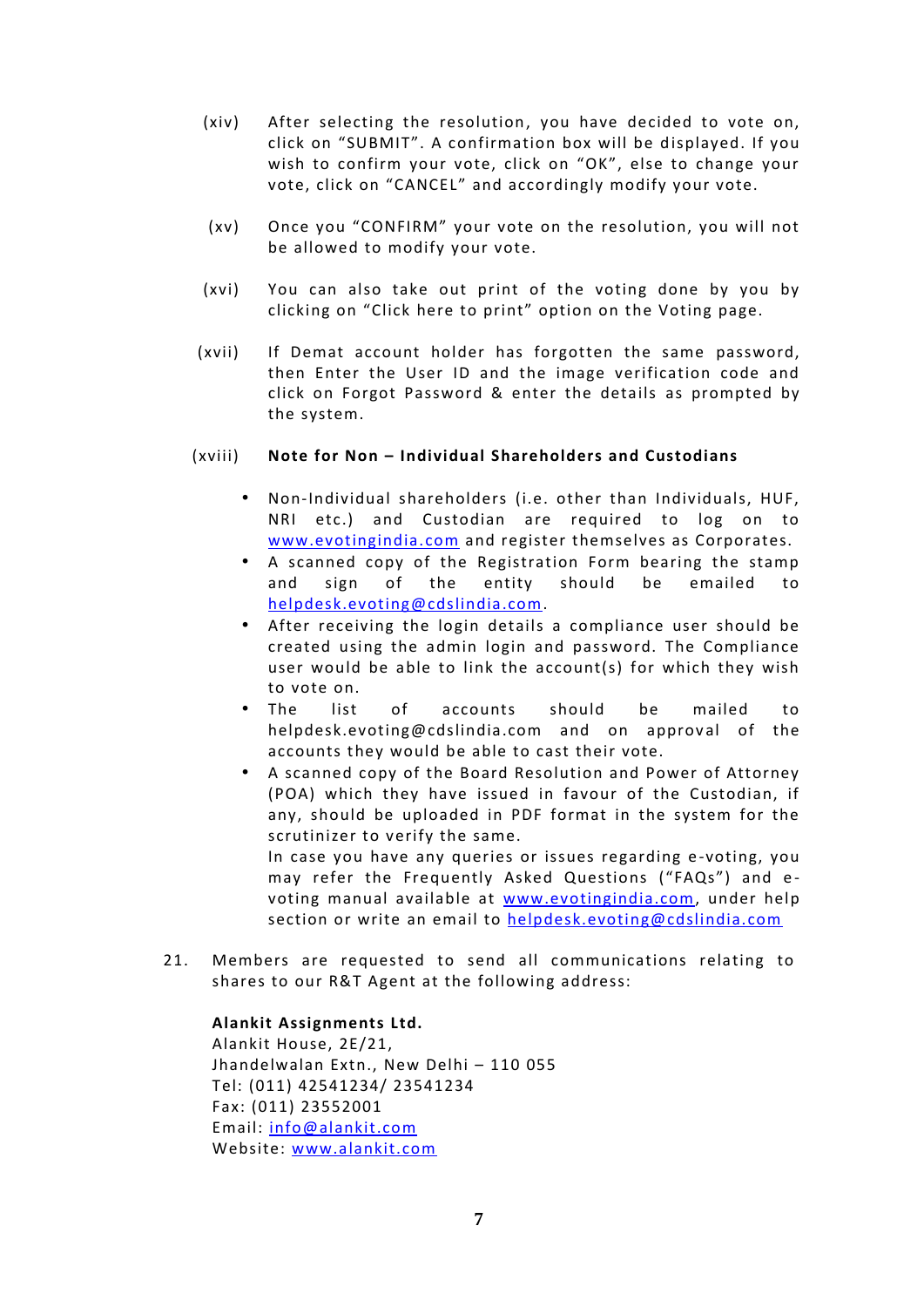- (xiv) After selecting the resolution, you have decided to vote on, click on "SUBMIT". A confirmation box will be displayed. If you wish to confirm your vote, click on "OK", else to change your vote, click on "CANCEL" and accordingly modify your vote.
- (xv) Once you "CONFIRM" your vote on the resolution, you will not be allowed to modify your vote.
- (xvi) You can also take out print of the voting done by you by clicking on "Click here to print" option on the Voting page.
- (xvii) If Demat account holder has forgotten the same password, then Enter the User ID and the image verification code and click on Forgot Password & enter the details as prompted by the system.

# (xviii) **Note for Non – Individual Shareholders and Custodians**

- Non-Individual shareholders (i.e. other than Individuals, HUF, NRI etc.) and Custodian are required to log on to www.evotingindia.com and register themselves as Corporates.
- A scanned copy of the Registration Form bearing the stamp and sign of the entity should be emailed to helpdesk.evoting@cdslindia.com.
- After receiving the login details a compliance user should be created using the admin login and password. The Compliance user would be able to link the account(s) for which they wish to vote on.
- The list of accounts should be mailed to helpdesk.evoting@cdslindia.com and on approval of the accounts they would be able to cast their vote.
- A scanned copy of the Board Resolution and Power of Attorney (POA) which they have issued in favour of the Custodian, if any, should be uploaded in PDF format in the system for the scrutinizer to verify the same.

In case you have any queries or issues regarding e -voting, you may refer the Frequently Asked Questions ("FAQs") and evoting manual available at www.evotingindia.com, under help section or write an email to helpdesk.evoting@cdslindia.com

21. Members are requested to send all communications relating to shares to our R&T Agent at the following address:

# **Alankit Assignments Ltd.**

Alankit House, 2E/21, Jhandelwalan Extn., New Delhi – 110 055 Tel: (011) 42541234/ 23541234 Fax: (011) 23552001 Email: info@alankit.com Website: www.alankit.com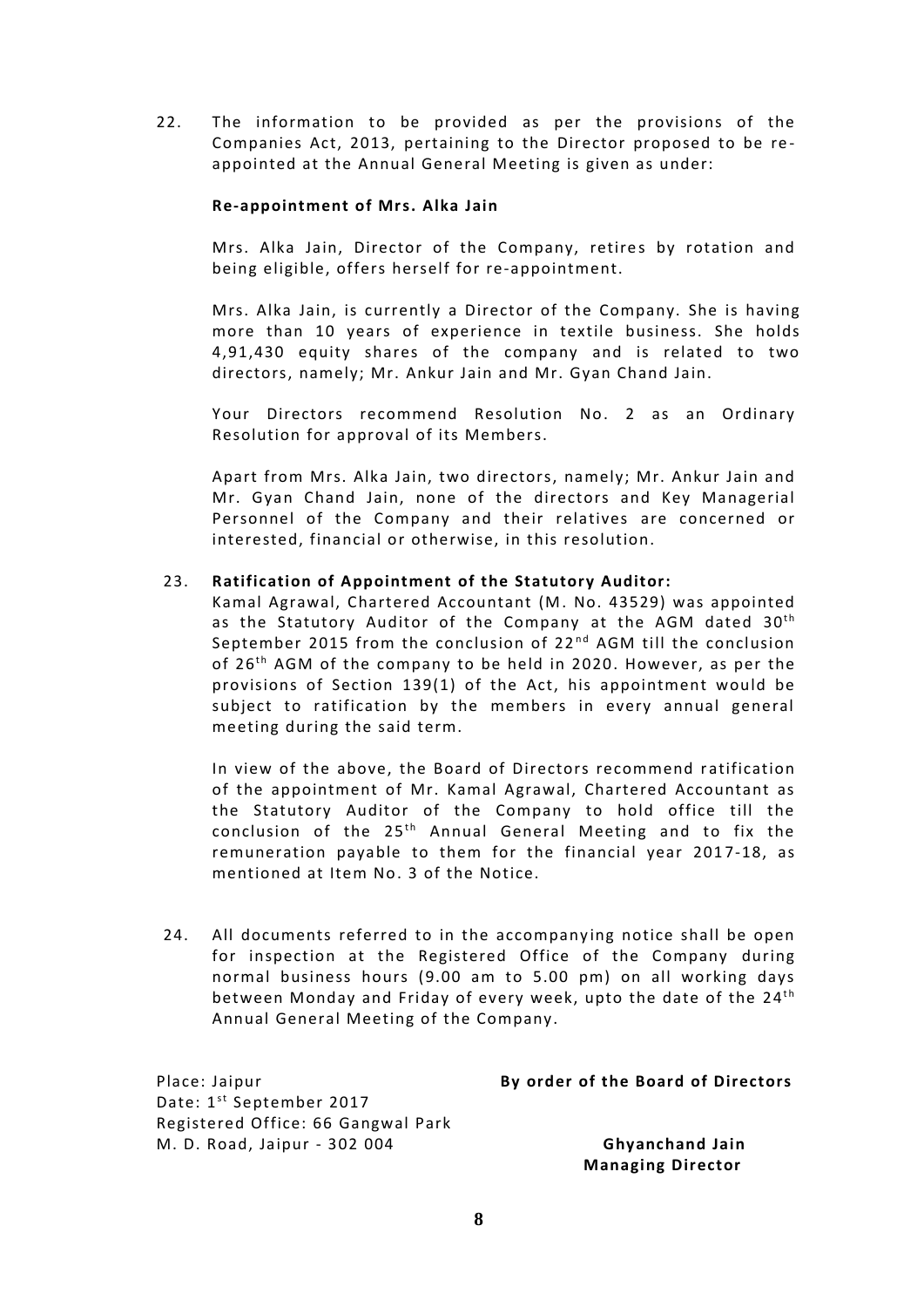22. The information to be provided as per the provisions of the Companies Act, 2013, pertaining to the Director proposed to be reappointed at the Annual General Meeting is given as under:

# **Re-appointment of Mrs. Alka Jain**

Mrs. Alka Jain, Director of the Company, retires by rotation and being eligible, offers herself for re-appointment.

Mrs. Alka Jain, is currently a Director of the Company. She is having more than 10 years of experience in textile business. She holds 4,91,430 equity shares of the company and is related to two directors, namely; Mr. Ankur Jain and Mr. Gyan Chand Jain.

Your Directors recommend Resolution No. 2 as an Ordinary Resolution for approval of its Members.

Apart from Mrs. Alka Jain, two directors, namely; Mr. Ankur Jain and Mr. Gyan Chand Jain, none of the directors and Key Managerial Personnel of the Company and their relatives are concerned or interested, financial or otherwise, in this resolution.

# 23. **Ratification of Appointment of the Statutory Auditor:**

Kamal Agrawal, Chartered Accountant (M. No. 43529) was appointed Ratification of Appointment of the Statutory Auditor:<br>Kamal Agrawal, Chartered Accountant (M. No. 43529) was appointed<br>as the Statutory Auditor of the Company at the AGM dated 30<sup>th</sup><br>Sentember 2015 from the conclusion of 2 Ratification of Appointment of the Statutory Auditor:<br>Kamal Agrawal, Chartered Accountant (M. No. 43529) was appointed<br>as the Statutory Auditor of the Company at the AGM dated 30<sup>th</sup><br>September 2015 from the conclusion of 2 Kamal Agrawal, Chartered Accountant (M. No. 43529) was appointed<br>as the Statutory Auditor of the Company at the AGM dated 30<sup>th</sup><br>September 2015 from the conclusion of 22<sup>nd</sup> AGM till the conclusion<br>of 26<sup>th</sup> AGM of the com provisions of Section 139(1) of the Act, his appointment would be subject to ratification by the members in every annual general meeting during the said term.

In view of the above, the Board of Directors recommend ratification of the appointment of Mr. Kamal Agrawal, Chartered Accountant as the Statutory Auditor of the Company to hold office till the conclusion of the  $25<sup>th</sup>$  Annual General Meeting and to fix the the Board of Directors recommend ratification<br>Mr. Kamal Agrawal, Chartered Accountant as<br>r of the Company to hold office till the<br><sup>th</sup> Annual General Meeting and to fix the<br>to them for the financial year 2017-18, as remuneration payable to them for the financial year 2017-18, as mentioned at Item No. 3 of the Notice.

24. All documents referred to in the accompanying notice shall be open for inspection at the Registered Office of the Company during normal business hours (9.00 am to 5.00 pm) on all working days between Monday and Friday of every week, upto the date of the 24<sup>th</sup> n<br>1g<br>1s<br><sup>th</sup> Annual General Meeting of the Company.

| Place: Jaipur                        | By order of the Board of Directors |
|--------------------------------------|------------------------------------|
| Date: 1 <sup>st</sup> September 2017 |                                    |
| Registered Office: 66 Gangwal Park   |                                    |
| M. D. Road, Jaipur - 302 004         | <b>Ghyanchand Jain</b>             |
|                                      | <b>Managing Director</b>           |

**8**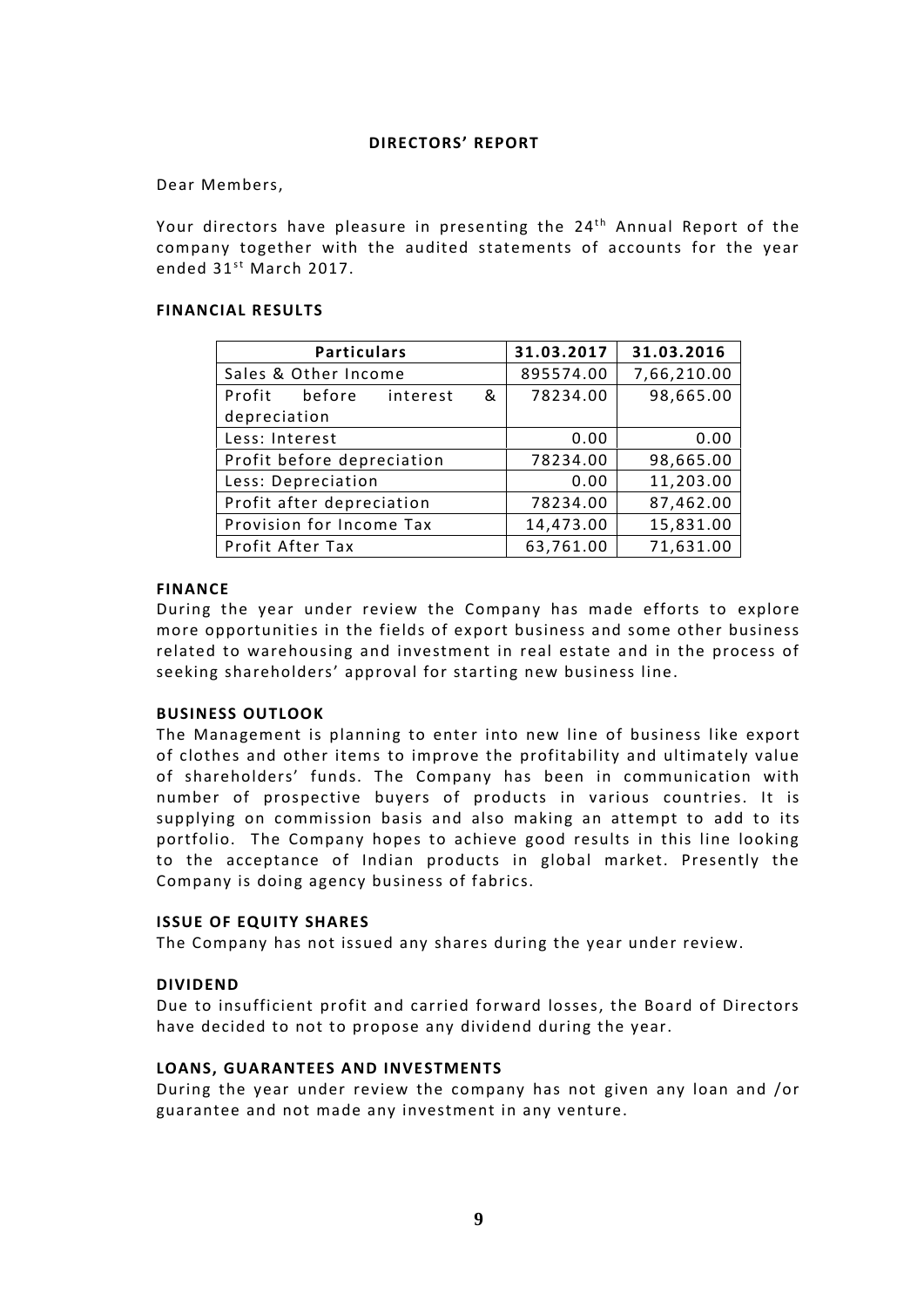# **DIRECTORS' REPORT**

Dear Members,

Dear Members,<br>Your directors have pleasure in presenting the 24<sup>th</sup> Annual Report of the<br>company tegether with the audited statements of asseunts for the year. company together with the audited statements of accounts for the year Your directors have pleasu<br>company together with th<br>ended 31<sup>st</sup> March 2017.

# **FINANCIAL RESULTS**

| <b>Particulars</b>          | 31.03.2017 | 31.03.2016  |
|-----------------------------|------------|-------------|
| Sales & Other Income        | 895574.00  | 7,66,210.00 |
| Profit before interest<br>& | 78234.00   | 98,665.00   |
| depreciation                |            |             |
| Less: Interest              | 0.00       | 0.00        |
| Profit before depreciation  | 78234.00   | 98,665.00   |
| Less: Depreciation          | 0.00       | 11,203.00   |
| Profit after depreciation   | 78234.00   | 87,462.00   |
| Provision for Income Tax    | 14,473.00  | 15,831.00   |
| Profit After Tax            | 63,761.00  | 71,631.00   |

# **FINANCE**

During the year under review the Company has made efforts to explore more opportunities in the fields of export business and some other business related to warehousing and investment in real estate and in the process of seeking shareholders' approval for starting new business line.

# **BUSINESS OUTLOOK**

The Management is planning to enter into new line of business like export of clothes and other items to improve the profitability and ultimately value of shareholders' funds. The Company has been in communication with number of prospective buyers of products in various countries. It is supplying on commission basis and also making an attempt to add to its portfolio. The Company hopes to achieve good results in this line looking to the acceptance of Indian products in global market. Presently the Company is doing agency business of fabrics.

# **ISSUE OF EQUITY SHARES**

The Company has not issued any shares during the year under review.

# **DIVIDEND**

Due to insufficient profit and carried forward losses, the Board of Directors have decided to not to propose any dividend during the year.

# **LOANS, GUARANTEES AND INVESTMENTS**

During the year under review the company has not given any loan and /or guarantee and not made any investment in any venture.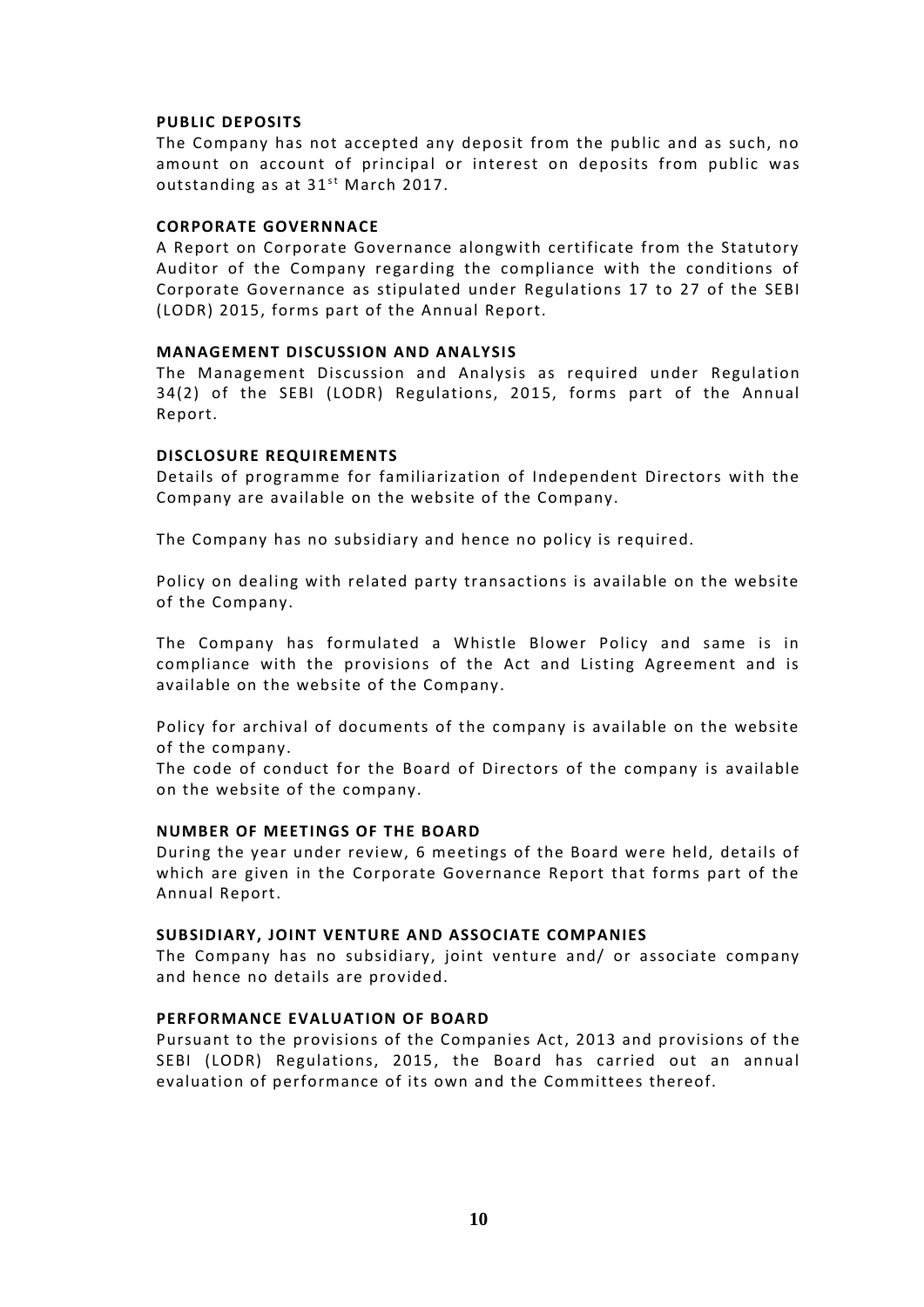# **PUBLIC DEPOSITS**

The Company has not accepted any deposit from the public and as such, no amount on account of principal or interest on deposits from public was **PUBLIC DEPOSITS**<br>The Company has not accepted any de<br>amount on account of principal or i<br>outstanding as at 31<sup>st</sup> March 2017.

# **CORPORATE GOVERNNACE**

A Report on Corporate Governance alongwith certificate from the Statutory Auditor of the Company regarding the compliance with the conditions of Corporate Governance as stipulated under Regulations 17 to 27 of the SEBI (LODR) 2015, forms part of the Annual Report.

# **MANAGEMENT DISCUSSION AND ANALYSIS**

The Management Discussion and Analysis as required under Regulation 34(2) of the SEBI (LODR) Regulations, 2015, forms part of the Annual Report.

# **DISCLOSURE REQUIREMENTS**

Details of programme for familiarization of Independent Directors with the Company are available on the website of the Company.

The Company has no subsidiary and hence no policy is required.

Policy on dealing with related party transactions is available on the website of the Company.

The Company has formulated a Whistle Blower Policy and same is in compliance with the provisions of the Act and Listing Agreement and is available on the website of the Company.

Policy for archival of documents of the company is available on the website of the company.

The code of conduct for the Board of Directors of the company is available on the website of the company.

# **NUMBER OF MEETINGS OF THE BOARD**

During the year under review, 6 meetings of the Board were held, details of which are given in the Corporate Governance Report that forms part of the Annual Report.

# **SUBSIDIARY, JOINT VENTURE AND ASSOCIATE COMPANIES**

The Company has no subsidiary, joint venture and/ or associate company and hence no details are provided.

# **PERFORMANCE EVALUATION OF BOARD**

Pursuant to the provisions of the Companies Act, 2013 and provisions of the SEBI (LODR) Regulations, 2015, the Board has carried out an annual evaluation of performance of its own and the Committees thereof.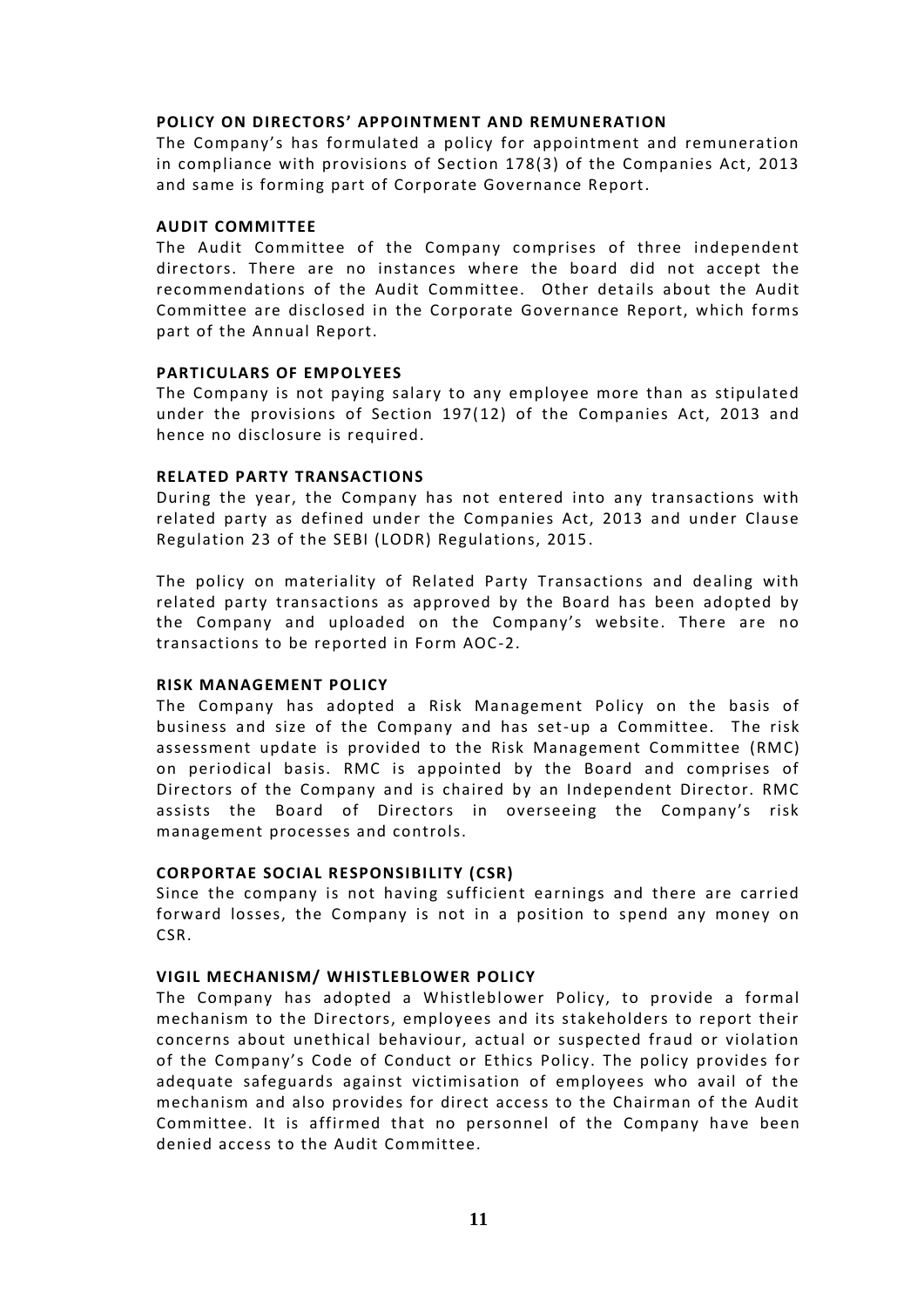# **POLICY ON DIRECTORS' APPOINTMENT AND REMUNERATION**

The Company's has formulated a policy for appointment and remuneration in compliance with provisions of Section 178(3) of the Companies Act, 2013 and same is forming part of Corporate Governance Report.

# **AUDIT COMMITTEE**

The Audit Committee of the Company comprises of three independent directors. There are no instances where the board did not accept the recommendations of the Audit Committee. Other deta ils about the Audit Committee are disclosed in the Corporate Governance Report, which forms part of the Annual Report.

# **PARTICULARS OF EMPOLYEES**

The Company is not paying salary to any employee more than as stipulated under the provisions of Section 197(12) of the Companies Act, 2013 and hence no disclosure is required.

# **RELATED PARTY TRANSACTIONS**

During the year, the Company has not entered into any transactions with related party as defined under the Companies Act, 2013 and under Clause Regulation 23 of the SEBI (LODR) Regulations, 2015.

The policy on materiality of Related Party Transactions and dealing with related party transactions as approved by the Board has been adopted by the Company and uploaded on the Company's website. There are no transactions to be reported in Form AOC-2.

# **RISK MANAGEMENT POLICY**

The Company has adopted a Risk Management Policy on the basis of business and size of the Company and has set-up a Committee. The risk assessment update is provided to the Risk Management Committee (RMC) on periodical basis. RMC is appointed by the Board and comprises of Directors of the Company and is chaired by an Independent Director. RMC assists the Board of Directors in overseeing the Company's risk management processes and controls.

# **CORPORTAE SOCIAL RESPONSIBILITY (CSR)**

Since the company is not having sufficient earnings and there are carried forward losses, the Company is not in a position to spend any money on CSR.

# **VIGIL MECHANISM/ WHISTLEBLOWER POLICY**

The Company has adopted a Whistleblower Policy, to provide a formal mechanism to the Directors, employees and its stakeholders to report their concerns about unethical behaviour, actual or suspected fraud or violation of the Company's Code of Conduct or Ethics Policy. The policy provides for adequate safeguards against victimisation of employees who avail of the mechanism and also provides for direct access to the Chairman of the Audit Committee. It is affirmed that no personnel of the Company have been denied access to the Audit Committee.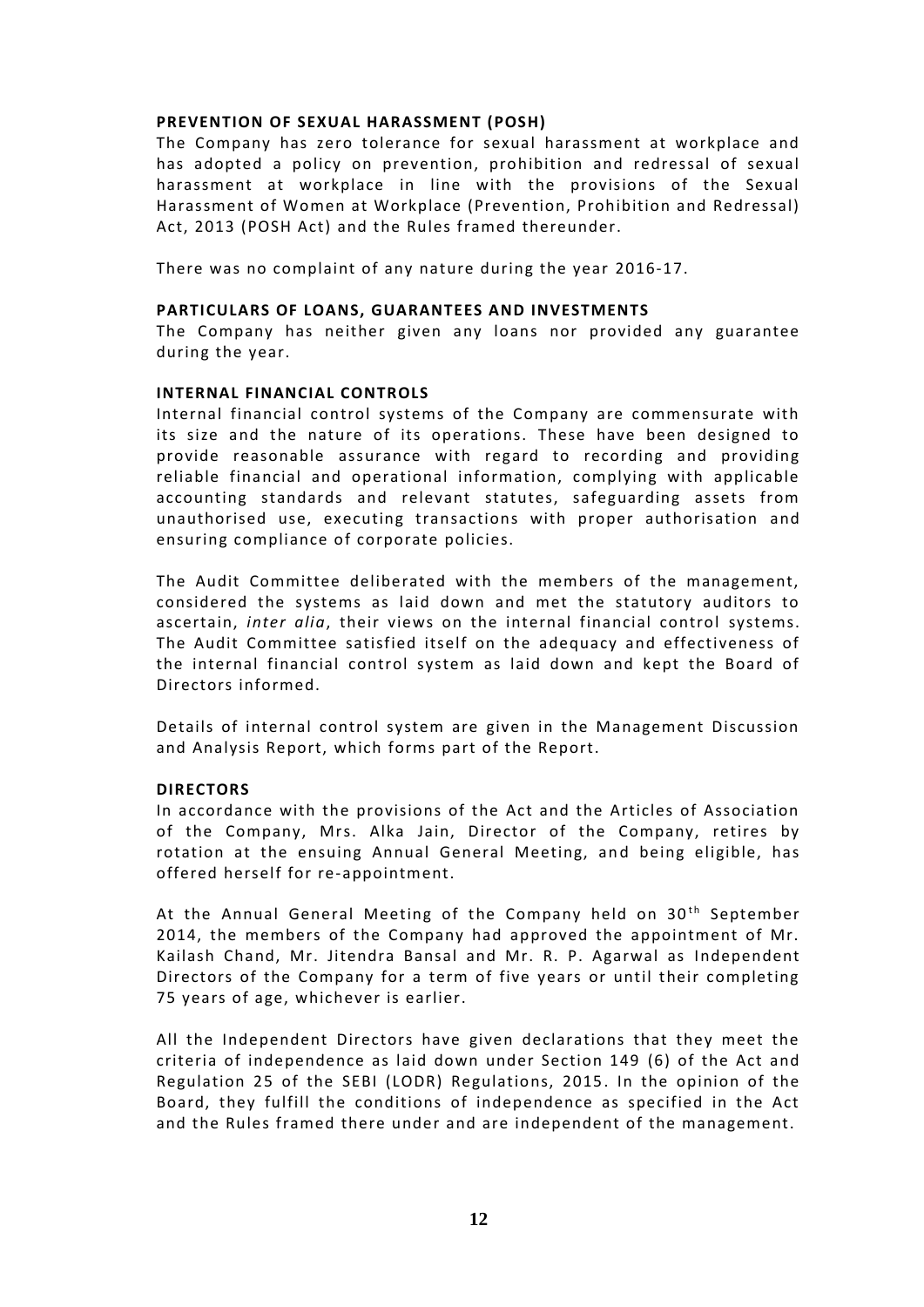# **PREVENTION OF SEXUAL HARASSMENT (POSH)**

The Company has zero tolerance for sexual harassment at workplace and has adopted a policy on prevention, prohibition and redressal of sexual harassment at workplace in line with the provisions of the Sexual Harassment of Women at Workplace (Prevention, Prohibition and Redressal) Act, 2013 (POSH Act) and the Rules framed thereunder.

There was no complaint of any nature during the year 2016-17.

# **PARTICULARS OF LOANS, GUARANTEES AND INVESTMENTS**

The Company has neither given any loans nor provided any guarantee during the year.

# **INTERNAL FINANCIAL CONTROLS**

Internal financial control systems of the Company are commensurate with its size and the nature of its operations. These have been designed to provide reasonable assurance with regard to recording and providing reliable financial and operational information, complying with applicable accounting standards and relevant statutes, safeguarding assets from unauthorised use, executing transactions with proper authorisation and ensuring compliance of corporate policies.

The Audit Committee deliberated with the members of the management, considered the systems as laid down and met the statutory auditors to ascertain, *inter alia*, their views on the internal financial control systems. The Audit Committee satisfied itself on the adequacy and effectiveness of the internal financial control system as laid down and kept the Board of Directors informed.

Details of internal control system are given in the Management Discussion and Analysis Report, which forms part of the Report.

# **DIRECTORS**

In accordance with the provisions of the Act and the Articles of Association of the Company, Mrs. Alka Jain, Director of the Company, retires by rotation at the ensuing Annual General Meeting, and being eligible, has offered herself for re-appointment.

At the Annual General Meeting of the Company held on  $30<sup>th</sup>$  September 2014, the members of the Company had approved the appointment of Mr. Kailash Chand, Mr. Jitendra Bansal and Mr. R. P. Agarwal as Independent Directors of the Company for a term of five years or until their completing 75 years of age, whichever is earlier.

All the Independent Directors have given declarations that they meet the criteria of independence as laid down under Section 149 (6) of the Act and Regulation 25 of the SEBI (LODR) Regulations, 2015. In the opinion of the Board, they fulfill the conditions of independence as specified in the Act and the Rules framed there under and are independent of the management.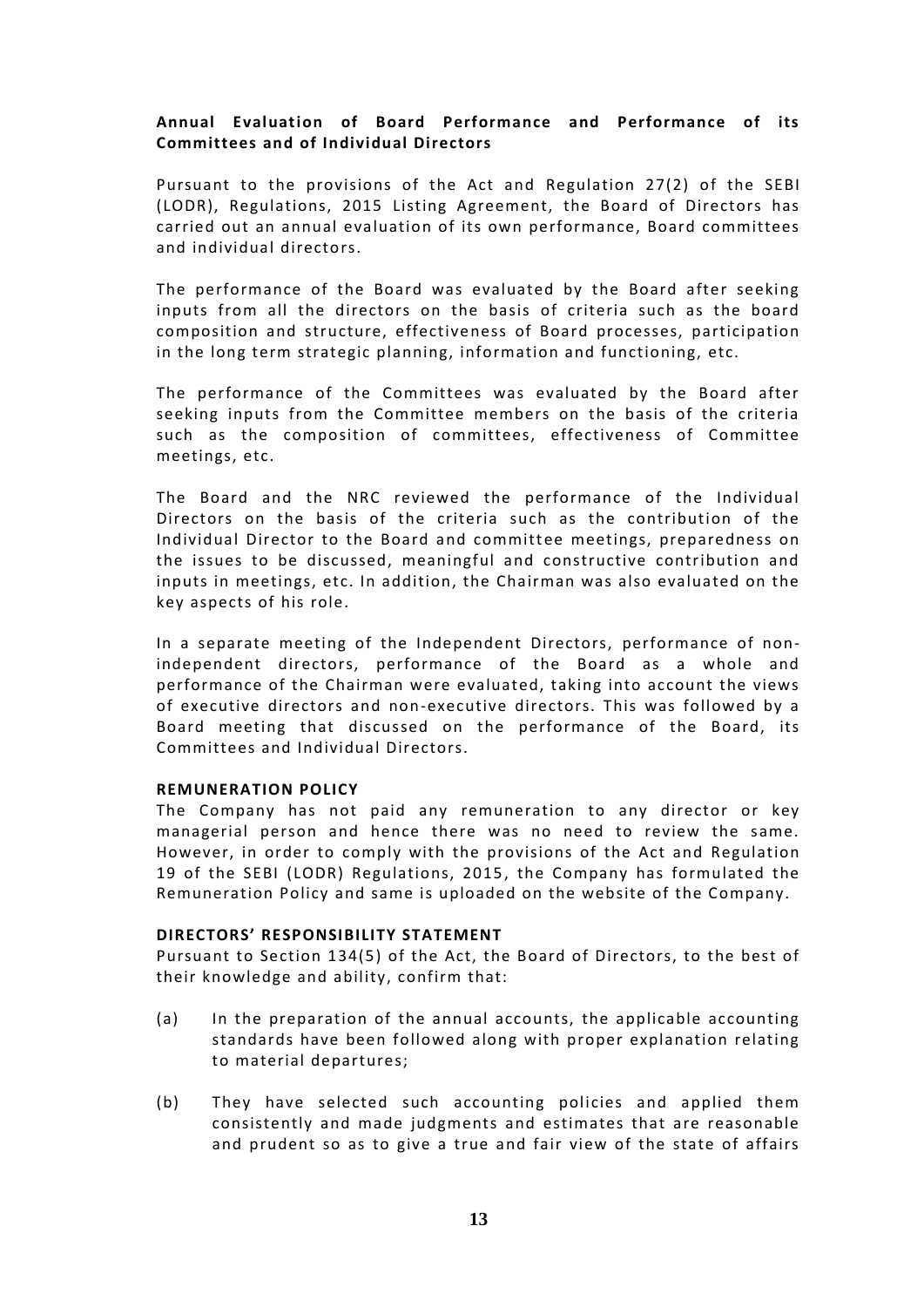# **Annual Evaluation of Board Performance and Performance of its Committees and of Individual Directors**

Pursuant to the provisions of the Act and Regulation 27(2) of the SEBI (LODR), Regulations, 2015 Listing Agreement, the Board of Directors has carried out an annual evaluation of its own performance, Board committees and individual directors.

The performance of the Board was evaluated by the Board after seeking inputs from all the directors on the basis of criteria such as the board composition and structure, effectiveness of Board processes, participation in the long term strategic planning, information and functioning, etc.

The performance of the Committees was evaluated by the Board after seeking inputs from the Committee members on the basis of the criteria such as the composition of committees, effectiveness of Committee meetings, etc.

The Board and the NRC reviewed the performance of the Individual Directors on the basis of the criteria such as the contribution of the Individual Director to the Board and committee meetings, preparedness on the issues to be discussed, meaningful and constructive contribution and inputs in meetings, etc. In addition, the Chairman was also evaluated on the key aspects of his role.

In a separate meeting of the Independent Directors, performance of nonindependent directors, performance of the Board as a whole and performance of the Chairman were evaluated, taking into account the views of executive directors and non-executive directors. This was followed by a Board meeting that discussed on the performance of the Board, its Committees and Individual Directors.

# **REMUNERATION POLICY**

The Company has not paid any remuneration to any director or key managerial person and hence there was no need to review the same. However, in order to comply with the provisions of the Act and Regulation 19 of the SEBI (LODR) Regulations, 2015 , the Company has formulated the Remuneration Policy and same is uploaded on the website of the Company.

# **DIRECTORS' RESPONSIBILITY STATEMENT**

Pursuant to Section 134(5) of the Act, the Board of Directors, to the best of their knowledge and ability, confirm that:

- (a) In the preparation of the annual accounts, the applicable accounting standards have been followed along with proper explanation relating to material departures;
- (b) They have selected such accounting policies and applied them consistently and made judgments and estimates that are reasonable and prudent so as to give a true and fair view of the state of affairs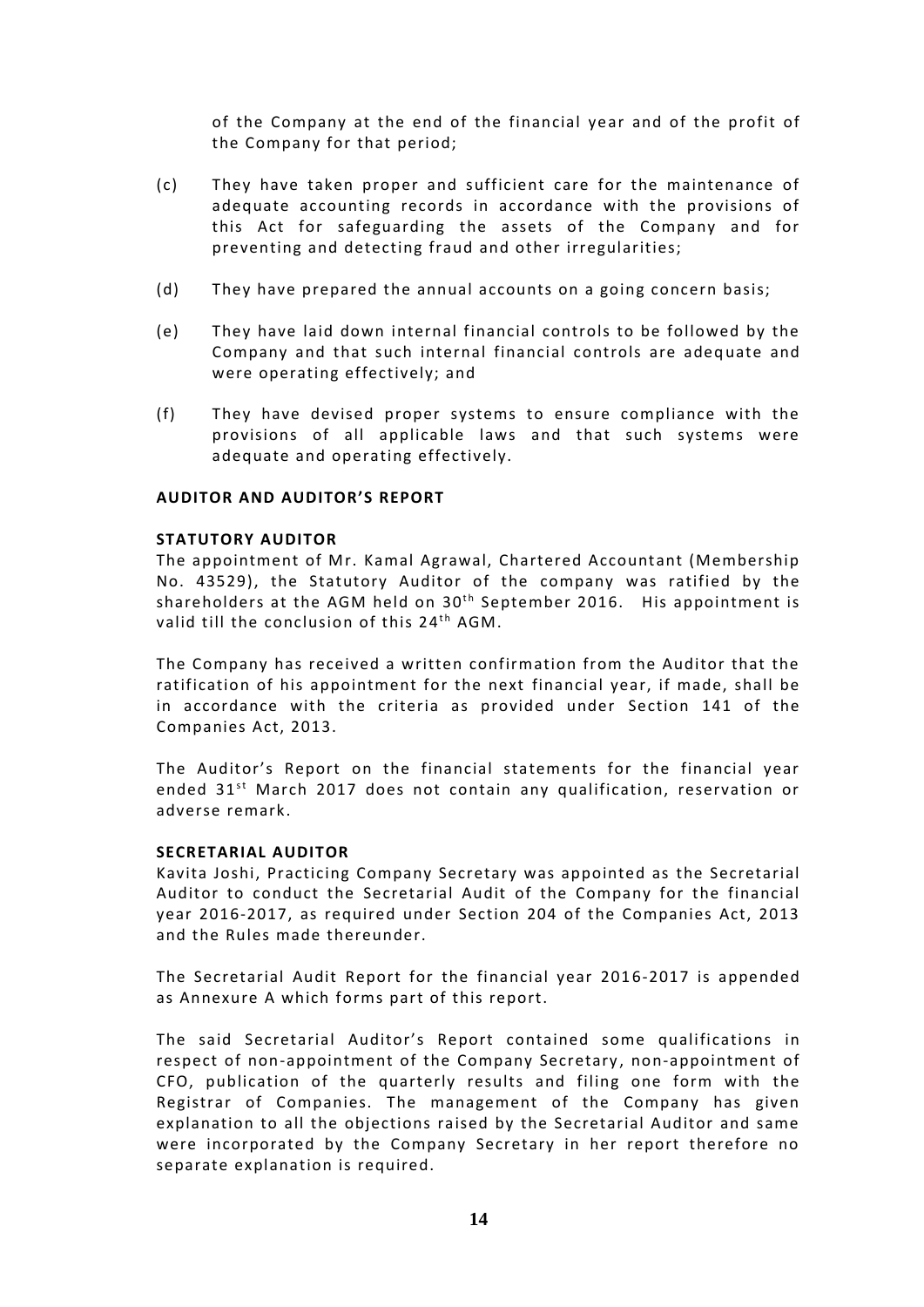of the Company at the end of the financial year and of the profit of the Company for that period;

- (c) They have taken proper and sufficient care for the maintenance of adequate accounting records in accordance with the provisions of this Act for safeguarding the assets of the Company and for preventing and detecting fraud and other irregularities;
- (d) They have prepared the annual accounts on a going concern basis;
- (e) They have laid down internal financial controls to be followed by the Company and that such internal financial controls are adeq uate and were operating effectively; and
- (f) They have devised proper systems to ensure compliance with the provisions of all applicable laws and that such systems were adequate and operating effectively.

# **AUDITOR AND AUDITOR'S REPORT**

# **STATUTORY AUDITOR**

The appointment of Mr. Kamal Agrawal, Chartered Accountant (Membership No. 43529), the Statutory Auditor of the company was ratified by the **STATUTORY AUDITOR**<br>The appointment of Mr. Kamal Agrawal, Chartered Accountant (Membership<br>No. 43529), the Statutory Auditor of the company was ratified by the<br>shareholders at the AGM held on 30<sup>th</sup> September 2016. His app valid till the conclusion of this 24<sup>th</sup> AGM. rawal, Char<br>tor of the<br>30<sup>th</sup> Septer<br><sup>th</sup> AGM.

The Company has received a written confirmation from the Auditor that the ratification of his appointment for the next financial year, if made, shall be in accordance with the criteria as provided under Section 141 of the Companies Act, 2013.

The Auditor's Report on the financial statements for the financial year ended 31<sup>st</sup> March 2017 does not contain any qualification, reservation or adverse remark.

# **SECRETARIAL AUDITOR**

Kavita Joshi, Practicing Company Secretary was appointed as the Secretarial Auditor to conduct the Secretarial Audit of the Company for the financial year 2016-2017, as required under Section 204 of the Companies Act, 2013 and the Rules made thereunder.

The Secretarial Audit Report for the financial year 2016-2017 is appended as Annexure A which forms part of this report.

The said Secretarial Auditor's Report contained some qualifications in respect of non-appointment of the Company Secretary, non-appointment of CFO, publication of the quarterly results and filing one form with the Registrar of Companies. The management of the Company has given explanation to all the objections raised by the Secretarial Auditor and same were incorporated by the Company Secretary in her report therefore no separate explanation is required.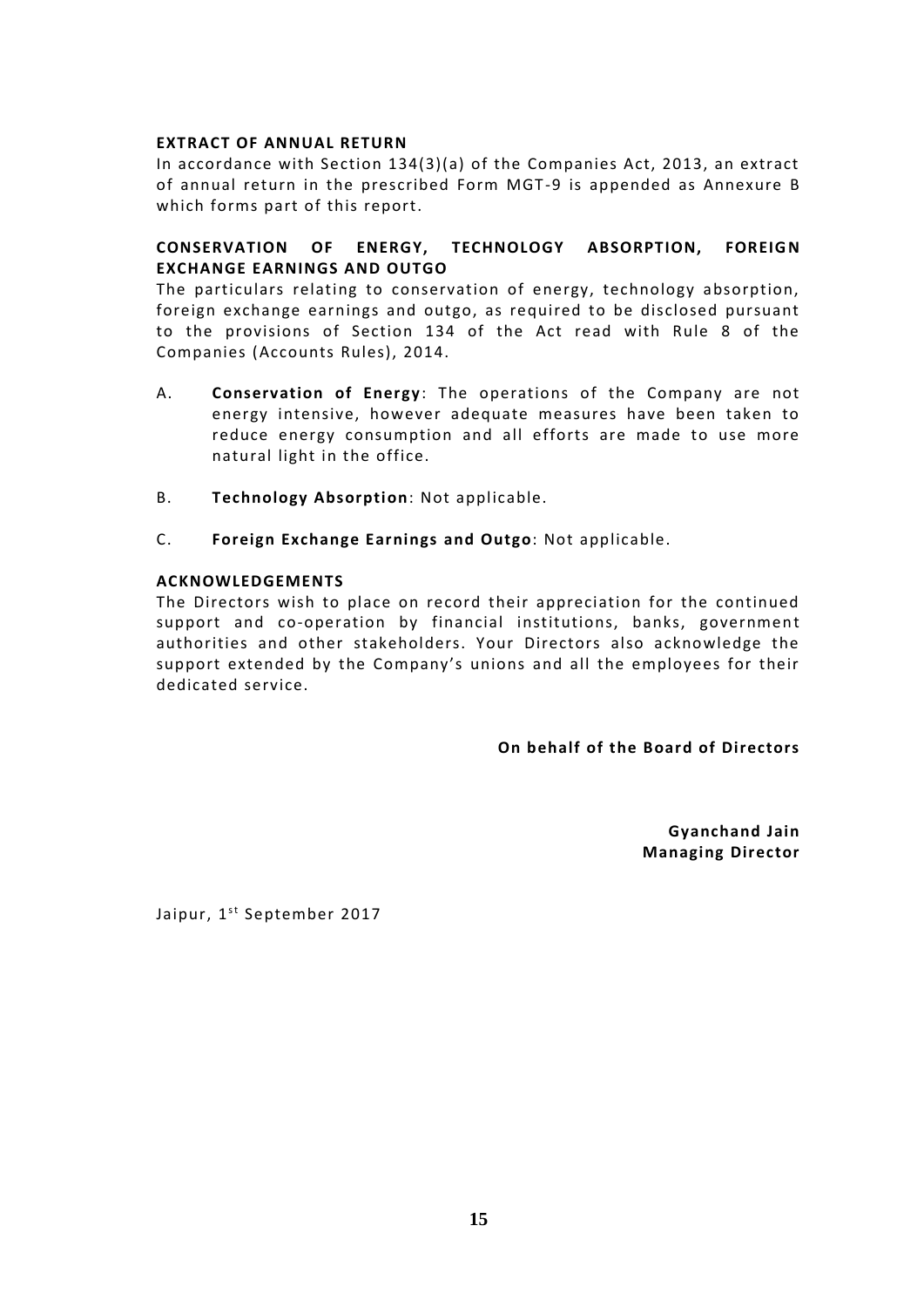# **EXTRACT OF ANNUAL RETURN**

In accordance with Section 134(3)(a) of the Companies Act, 2013, an extract of annual return in the prescribed Form MGT -9 is appended as Annexure B which forms part of this report.

# **CONSERVATION OF ENERGY, TECHNOLOGY ABSORPTION, FOREIGN EXCHANGE EARNINGS AND OUTGO**

The particulars relating to conservation of energy, technology absorption, foreign exchange earnings and outgo, as required to be disclosed pursuant to the provisions of Section 134 of the Act read with Rule 8 of the Companies (Accounts Rules), 2014.

- A. **Conservation of Energy**: The operations of the Company are not energy intensive, however adequate measures have been taken to reduce energy consumption and all efforts are made to use more natural light in the office.
- B. **Technology Absorption**: Not applicable.
- C. **Foreign Exchange Earnings and Outgo**: Not applicable.

# **ACKNOWLEDGEMENTS**

The Directors wish to place on record their appreciation for the continued support and co-operation by financial institutions, banks, government authorities and other stakeholders. Your Directors also acknowledge the support extended by the Company's unions and all the employees for their dedicated service.

**On behalf of the Board of Directors**

**Gyanchand Jain Managing Director**

Jaipur, 1<sup>st</sup> September 2017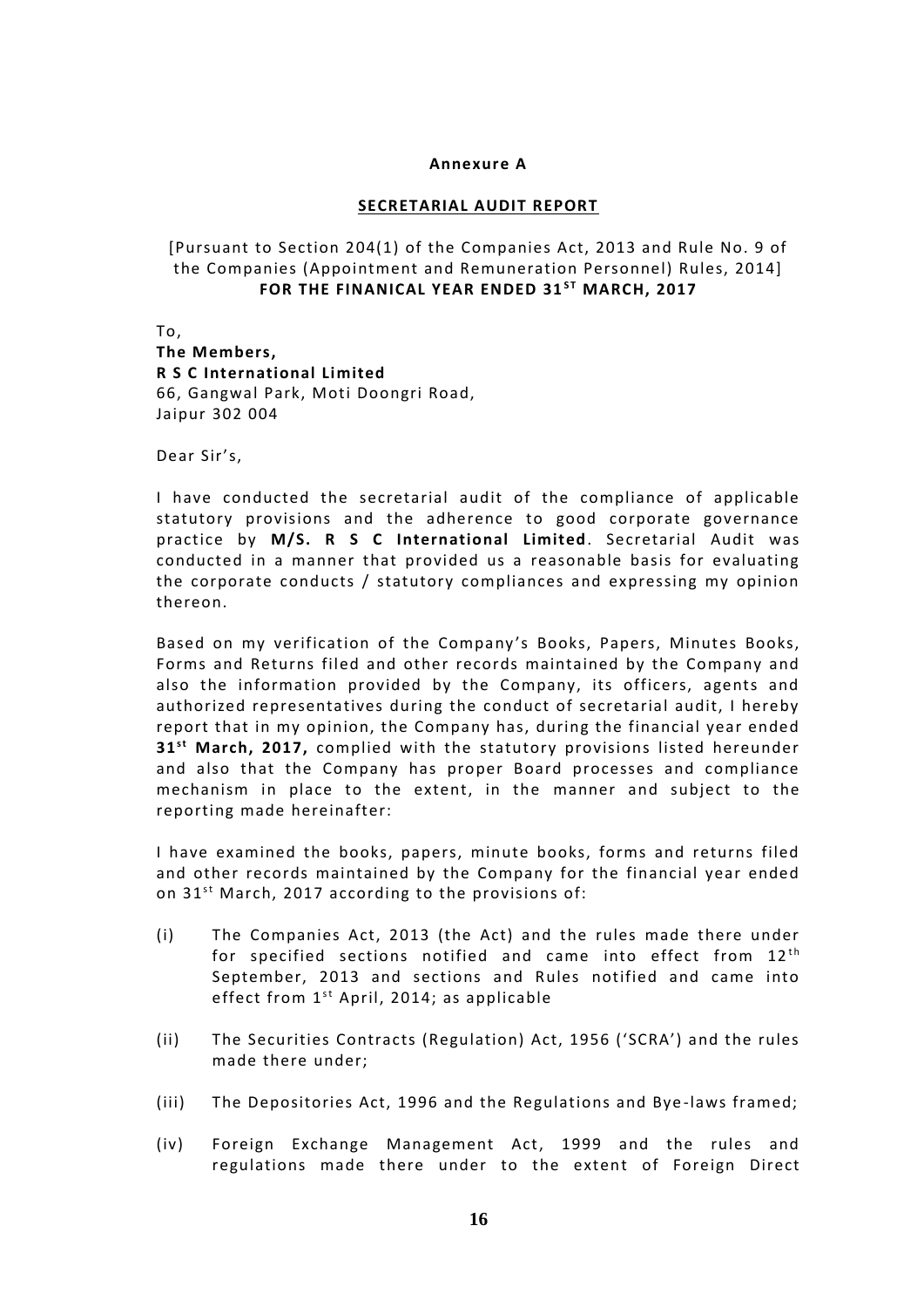# **Annexure A**

# **SECRETARIAL AUDIT REPORT**

[Pursuant to Section 204(1) of the Companies Act, 2013 and Rule No. 9 of the Companies (Appointment and Remuneration Personnel) Rules, 2014] o Section 204(1) of the Companies Act, 2013 and Rule No. 9:<br>Inies (Appointment and Remuneration Personnel) Rules, 20:<br>**FOR THE FINANICAL YEAR ENDED 31<sup>st</sup> MARCH, 2017** 

To, **The Members, R S C International Limited** 66, Gangwal Park, Moti Doongri Road, Jaipur 302 004

Dear Sir's,

I have conducted the secretarial audit of the compliance of applicable statutory provisions and the adherence to good corporate governance practice by **M/S. R S C International Limited**. Secretarial Audit was conducted in a manner that provided us a reasonable basis for evaluating the corporate conducts / statutory compliances and expressing my opinion thereon.

Based on my verification of the Company 's Books, Papers, Minutes Books, Forms and Returns filed and other records maintained by the Company and also the information provided by the Company, its officers, agents and authorized representatives during the conduct of secretarial audit, I hereby report that in my opinion, the Company has, during the financial year ended 31<sup>st</sup> March, 2017, complied with the statutory provisions listed hereunder and also that the Company has proper Board processes and compliance mechanism in place to the extent, in the manner and subject to the reporting made hereinafter:

I have examined the books, papers, minute books, forms and returns filed and other records maintained by the Company for the financial year ended l have examined the books, papers, minute books, for<br>and other records maintained by the Company for the<br>on 31<sup>st</sup> March, 2017 according to the provisions of:

- (i) The Companies Act, 2013 (the Act) and the rules made there under March, 2017 according to the provisions of:<br>The Companies Act, 2013 (the Act) and the rules made there under<br>for specified sections notified and came into effect from 12<sup>th</sup><br>September 2012 and sections and <sup>pulos</sup> potified September, 2013 and sections and Rules notified and came into for specified sections notified and came into effect from  $12^{th}$ <br>September, 2013 and sections and Rules notified and came into<br>effect from  $1^{st}$  April, 2014; as applicable
- (ii) The Securities Contracts (Regulation) Act, 1956 ('SCRA') and the rules made there under;
- (iii) The Depositories Act, 1996 and the Regulations and Bye -laws framed;
- (iv) Foreign Exchange Management Act, 1999 and the rules and regulations made there under to the extent of Foreign Direct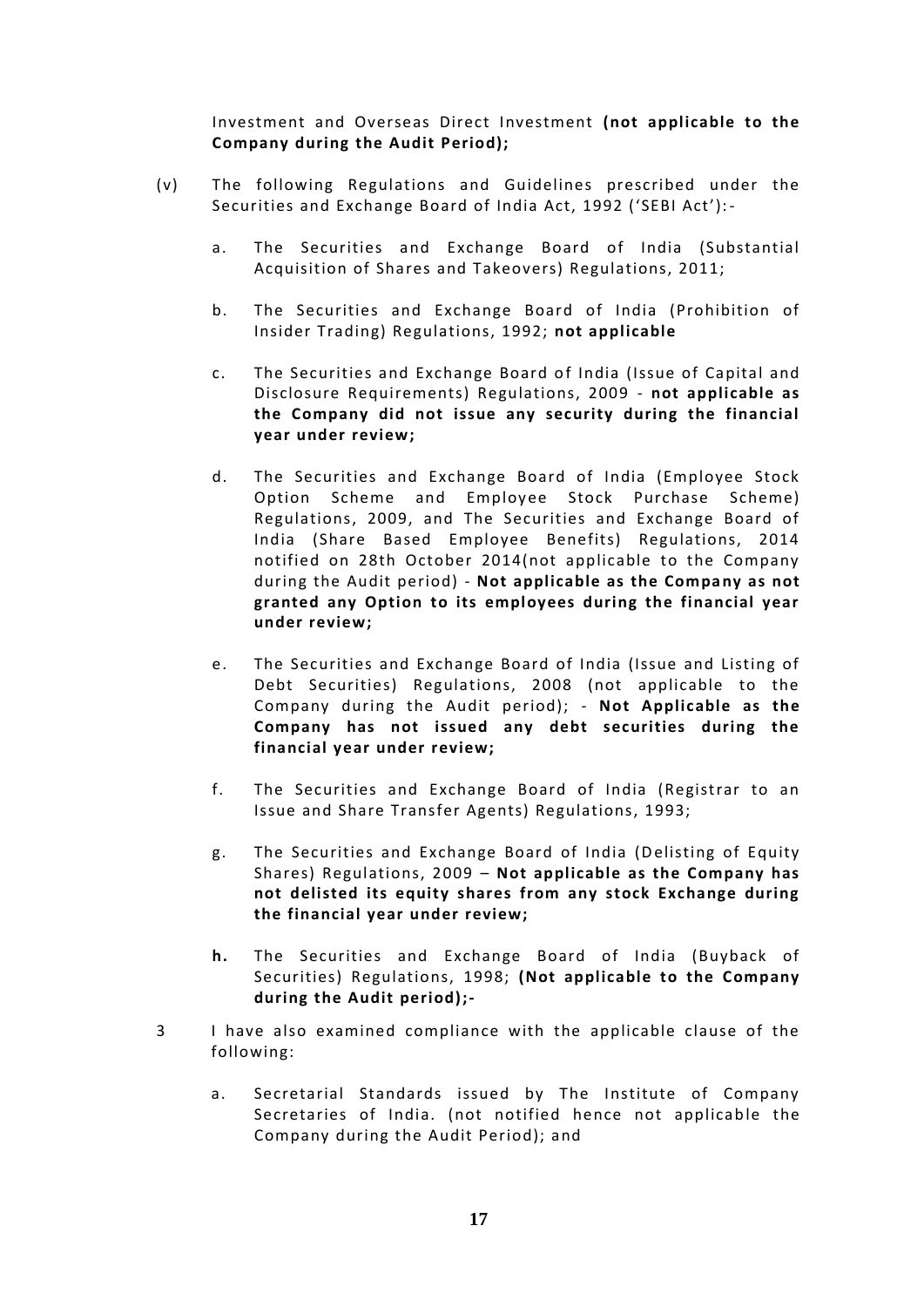Investment and Overseas Direct Investment **(not applicable to the Company during the Audit Period);**

- (v) The following Regulations and Guidelines prescribed under the Securities and Exchange Board of India Act, 1992 ('SEBI Act'):
	- a. The Securities and Exchange Board of India (Substantial Acquisition of Shares and Takeovers) Regulations, 2011;
	- b. The Securities and Exchange Board of India (Prohibition of Insider Trading) Regulations, 1992; **not applicable**
	- c. The Securities and Exchange Board of India (Issue of Capital and Disclosure Requirements) Regulations, 2009 - **not applicable as the Company did not issue any security during the financial year under review;**
	- d. The Securities and Exchange Board of India (Employee Stock Option Scheme and Employee Stock Purchase Scheme) Regulations, 2009, and The Securities and Exchange Board of India (Share Based Employee Benefits) Regulations, 2014 notified on 28th October 2014(not applicable to the Company during the Audit period) - **Not applicable as the Company as not granted any Option to its employees during the financial year under review;**
	- e. The Securities and Exchange Board of India (Issue and Listing of Debt Securities) Regulations, 2008 (not applicable to the Company during the Audit period); - **Not Applicable as the Company has not issued any debt securities during the financial year under review;**
	- f. The Securities and Exchange Board of India (Registrar to an Issue and Share Transfer Agents) Regulations, 1993;
	- g. The Securities and Exchange Board of India (Delisting of Equity Shares) Regulations, 2009 – **Not applicable as the Company has not delisted its equity shares from any stock Exchange during the financial year under review;**
	- **h.** The Securities and Exchange Board of India (Buyback of Securities) Regulations, 1998; **(Not applicable to the Company during the Audit period);-**
- 3 I have also examined compliance with the applicable clause of the following:
	- a. Secretarial Standards issued by The Institute of Company Secretaries of India. (not notified hence not applicable the Company during the Audit Period); and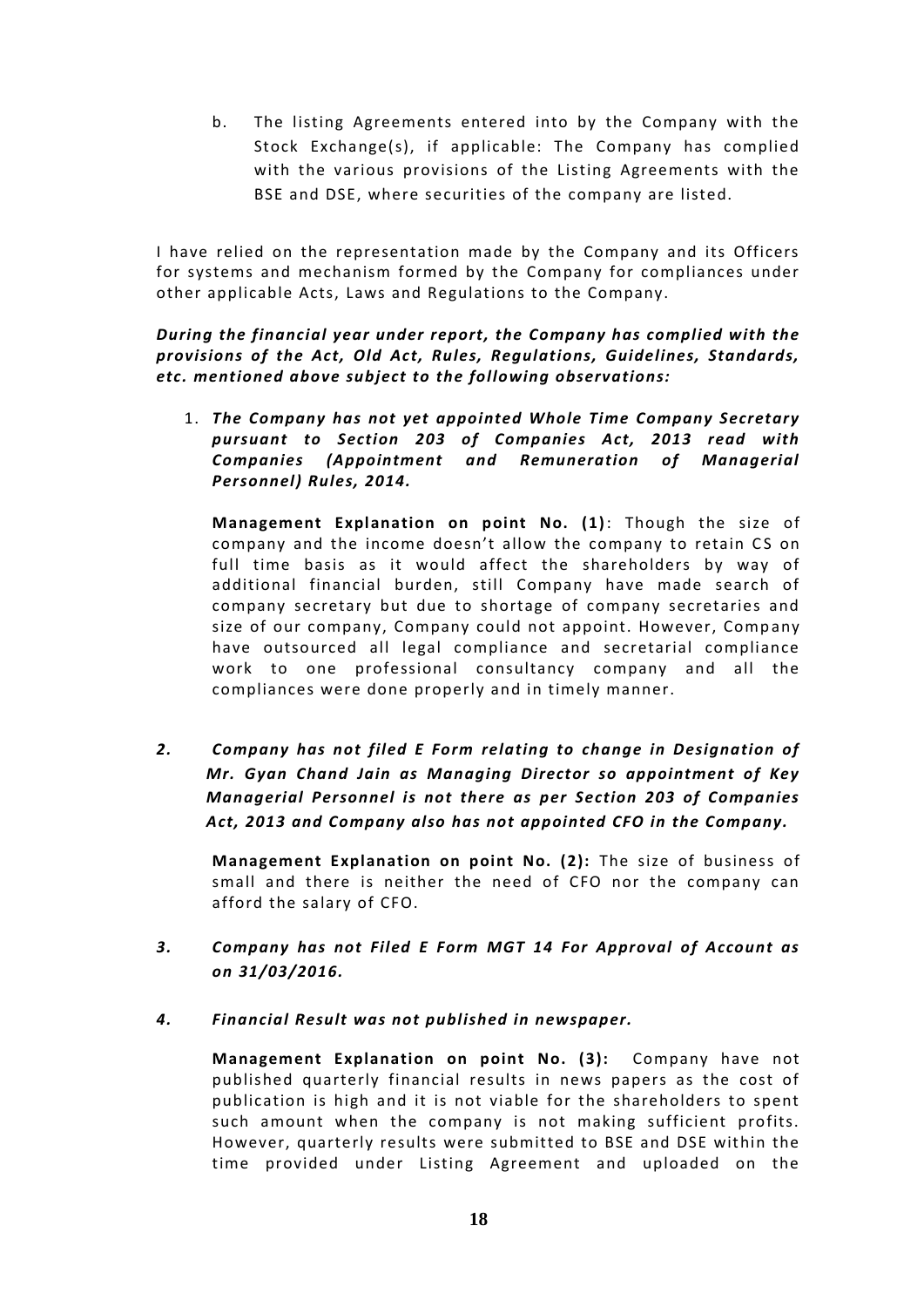b. The listing Agreements entered into by the Company with the Stock Exchange(s), if applicable: The Company has complied with the various provisions of the Listing Agreements with the BSE and DSE, where securities of the company are listed.

I have relied on the representation made by the Company and its Officers for systems and mechanism formed by the Company for compliances under other applicable Acts, Laws and Regulations to the Company.

*During the financial year under report, the Company has complied with the provisions of the Act, Old Act, Rules, Regulations, Guidelines, Standards, etc. mentioned above subject to the following observations:*

1. *The Company has not yet appointed Whole Time Company Secretary pursuant to Section 203 of Companies Act, 2013 read with Companies (Appointment and Remuneration of Managerial Personnel) Rules, 2014.*

**Management Explanation on point No. (1)**: Though the size of company and the income doesn't allow the company to retain CS on full time basis as it would affect the shareholders by way of additional financial burden, still Company have made search of company secretary but due to shortage of company secretaries and size of our company, Company could not appoint. However, Company have outsourced all legal compliance and secretarial compliance work to one professional consultancy company and all the compliances were done properly and in timely manner.

*2. Company has not filed E Form relating to change in Designation of Mr. Gyan Chand Jain as Managing Director so appointment of Key Managerial Personnel is not there as per Section 203 of Companies Act, 2013 and Company also has not appointed CFO in the Company.*

**Management Explanation on point No. (2):** The size of business of small and there is neither the need of CFO nor the company can afford the salary of CFO.

- *3. Company has not Filed E Form MGT 14 For Approval of Account as on 31/03/2016.*
- *4. Financial Result was not published in newspaper.*

**Management Explanation on point No. (3):** Company have not published quarterly financial results in news papers as the cost of publication is high and it is not viable for the shareholders to spent such amount when the company is not making sufficient profits. However, quarterly results were submitted to BSE and DSE within the time provided under Listing Agreement and uploaded on the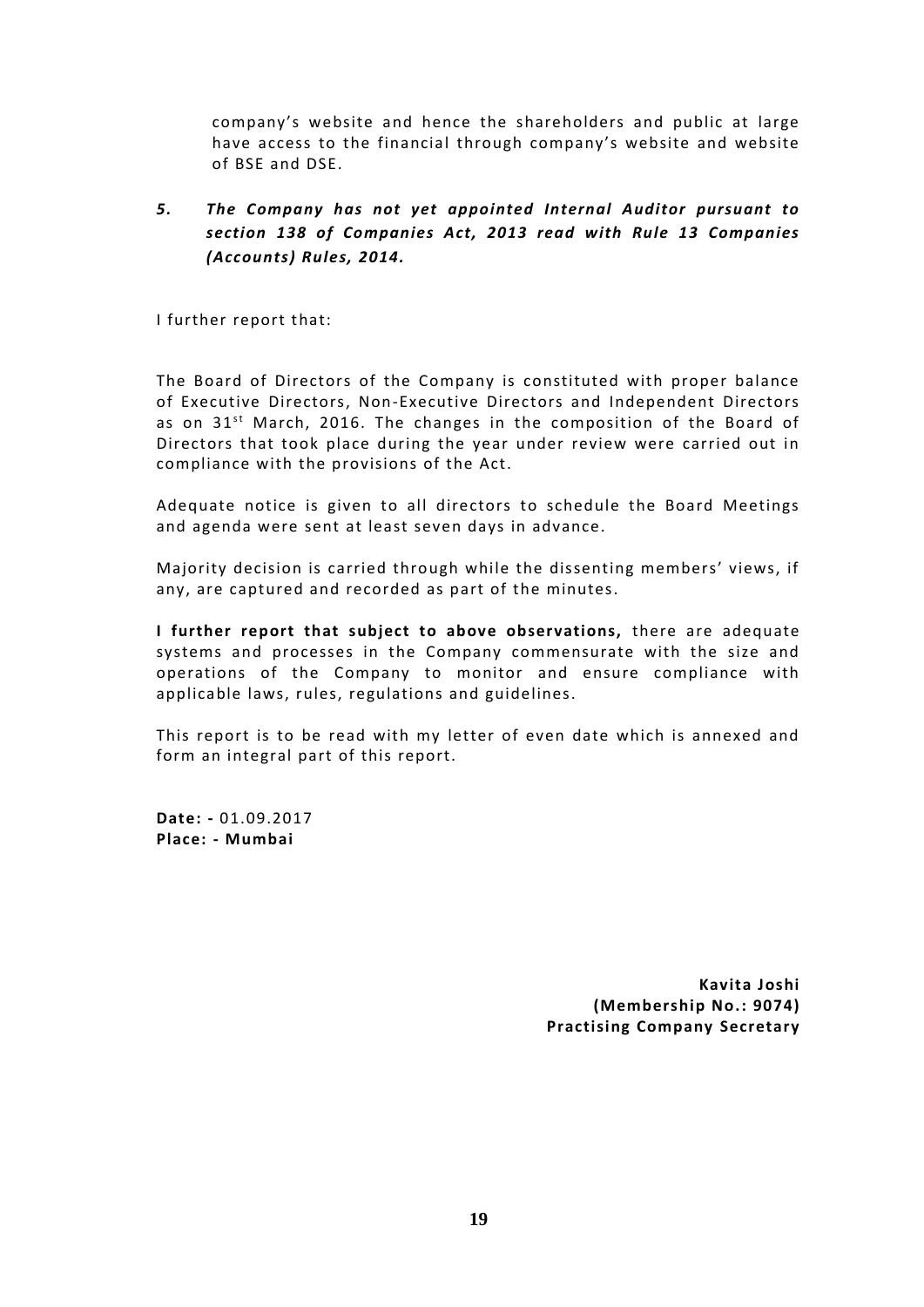company's website and hence the shareholders and public at large have access to the financial through company's website and website of BSE and DSE.

# *5. The Company has not yet appointed Internal Auditor pursuant to section 138 of Companies Act, 2013 read with Rule 13 Companies (Accounts) Rules, 2014.*

I further report that:

The Board of Directors of the Company is constituted with proper balance of Executive Directors, Non-Executive Directors and Independent Directors The Board of Directors of the Company is constituted with proper balance<br>of Executive Directors, Non-Executive Directors and Independent Directors<br>as on 31<sup>st</sup> March, 2016. The changes in the composition of the Board of<br>Di Directors that took place during the year under review were carried out in compliance with the provisions of the Act.

Adequate notice is given to all directors to schedule the Board Meetings and agenda were sent at least seven days in advance.

Majority decision is carried through while the dissenting members' views, if any, are captured and recorded as part of the minutes.

**I further report that subject to above observations,** there are adequate systems and processes in the Company commensurate with the size and operations of the Company to monitor and ensure compliance with applicable laws, rules, regulations and guidelines.

This report is to be read with my letter of even date which is annexed and form an integral part of this report.

**Date: -** 01.09.2017 **Place: - Mumbai**

> **Kavita Joshi (Membership No.: 9074) Practising Company Secretary**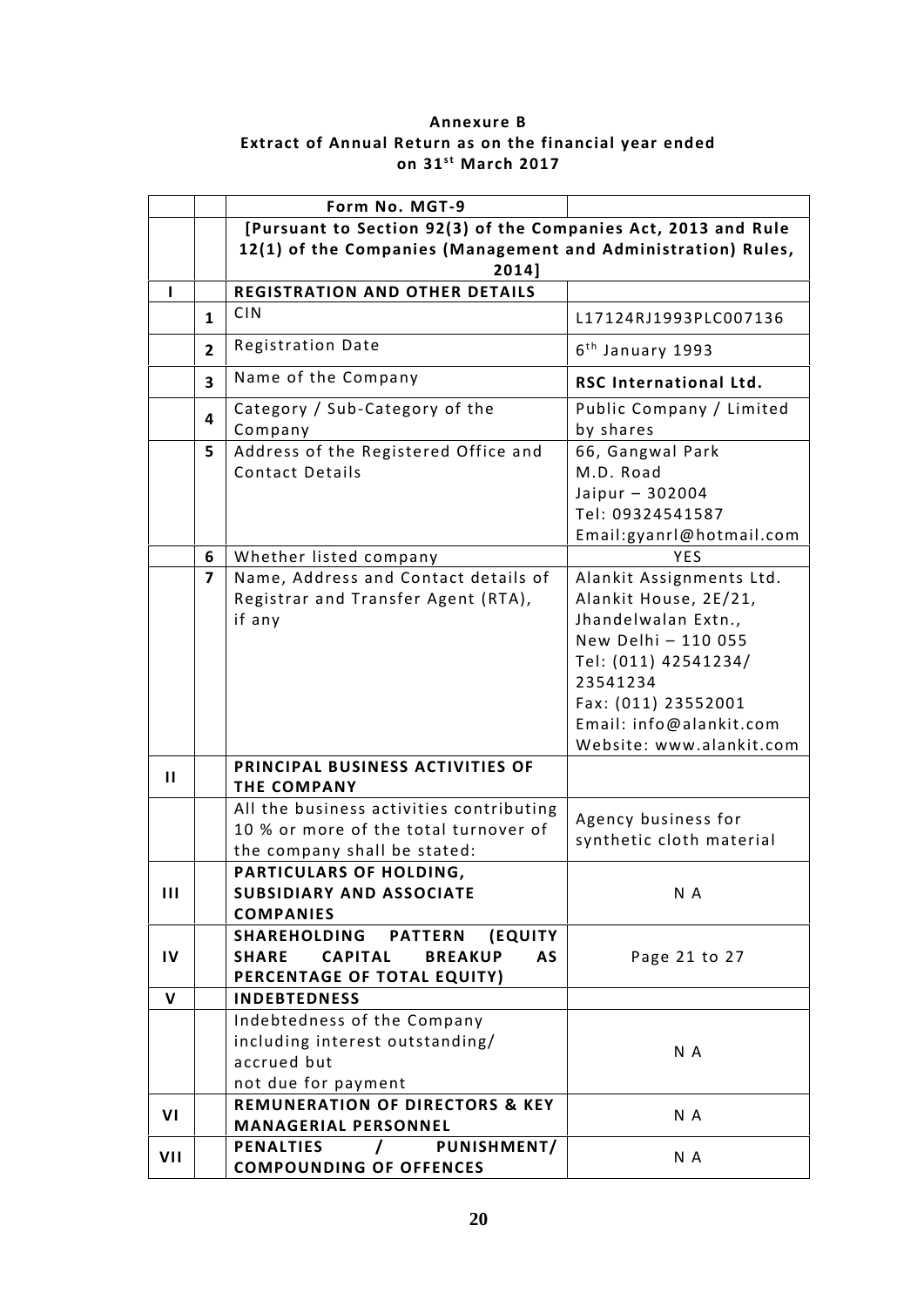# **Annexure B Extract of Annual Return as on the financial year ended** Annexure B<br>Return as on the financial<br>on 31<sup>st</sup> March 2017

|              |                         | Form No. MGT-9                                                                                                                             |                                                                                                                                                                                                                                 |
|--------------|-------------------------|--------------------------------------------------------------------------------------------------------------------------------------------|---------------------------------------------------------------------------------------------------------------------------------------------------------------------------------------------------------------------------------|
|              |                         | [Pursuant to Section 92(3) of the Companies Act, 2013 and Rule                                                                             |                                                                                                                                                                                                                                 |
|              |                         | 12(1) of the Companies (Management and Administration) Rules,<br>2014]                                                                     |                                                                                                                                                                                                                                 |
| L            |                         | <b>REGISTRATION AND OTHER DETAILS</b>                                                                                                      |                                                                                                                                                                                                                                 |
|              | $\mathbf{1}$            | <b>CIN</b>                                                                                                                                 | L17124RJ1993PLC007136                                                                                                                                                                                                           |
|              | $\overline{2}$          | Registration Date                                                                                                                          | $6th$ January 1993                                                                                                                                                                                                              |
|              | $\overline{\mathbf{3}}$ | Name of the Company                                                                                                                        | <b>RSC International Ltd.</b>                                                                                                                                                                                                   |
|              | 4<br>5                  | Category / Sub-Category of the<br>Company<br>Address of the Registered Office and<br><b>Contact Details</b>                                | Public Company / Limited<br>by shares<br>66, Gangwal Park<br>M.D. Road<br>Jaipur - 302004<br>Tel: 09324541587<br>Email:gyanrl@hotmail.com                                                                                       |
|              | 6<br>7                  | Whether listed company<br>Name, Address and Contact details of<br>Registrar and Transfer Agent (RTA),<br>if any                            | <b>YES</b><br>Alankit Assignments Ltd.<br>Alankit House, 2E/21,<br>Jhandelwalan Extn.,<br>New Delhi - 110 055<br>Tel: (011) 42541234/<br>23541234<br>Fax: (011) 23552001<br>Email: info@alankit.com<br>Website: www.alankit.com |
| П            |                         | PRINCIPAL BUSINESS ACTIVITIES OF<br><b>THE COMPANY</b>                                                                                     |                                                                                                                                                                                                                                 |
|              |                         | All the business activities contributing<br>10 % or more of the total turnover of<br>the company shall be stated:                          | Agency business for<br>synthetic cloth material                                                                                                                                                                                 |
| Ш            |                         | PARTICULARS OF HOLDING,<br>SUBSIDIARY AND ASSOCIATE<br><b>COMPANIES</b>                                                                    | N A                                                                                                                                                                                                                             |
| IV           |                         | <b>PATTERN</b><br><b>SHAREHOLDING</b><br>(EQUITY)<br><b>SHARE</b><br><b>CAPITAL</b><br><b>BREAKUP</b><br>AS<br>PERCENTAGE OF TOTAL EQUITY) | Page 21 to 27                                                                                                                                                                                                                   |
| $\mathbf{V}$ |                         | <b>INDEBTEDNESS</b>                                                                                                                        |                                                                                                                                                                                                                                 |
|              |                         | Indebtedness of the Company<br>including interest outstanding/<br>accrued but<br>not due for payment                                       | N A                                                                                                                                                                                                                             |
| VI           |                         | <b>REMUNERATION OF DIRECTORS &amp; KEY</b><br><b>MANAGERIAL PERSONNEL</b>                                                                  | N A                                                                                                                                                                                                                             |
| VII          |                         | <b>PENALTIES</b><br>PUNISHMENT/<br>$\prime$<br><b>COMPOUNDING OF OFFENCES</b>                                                              | N A                                                                                                                                                                                                                             |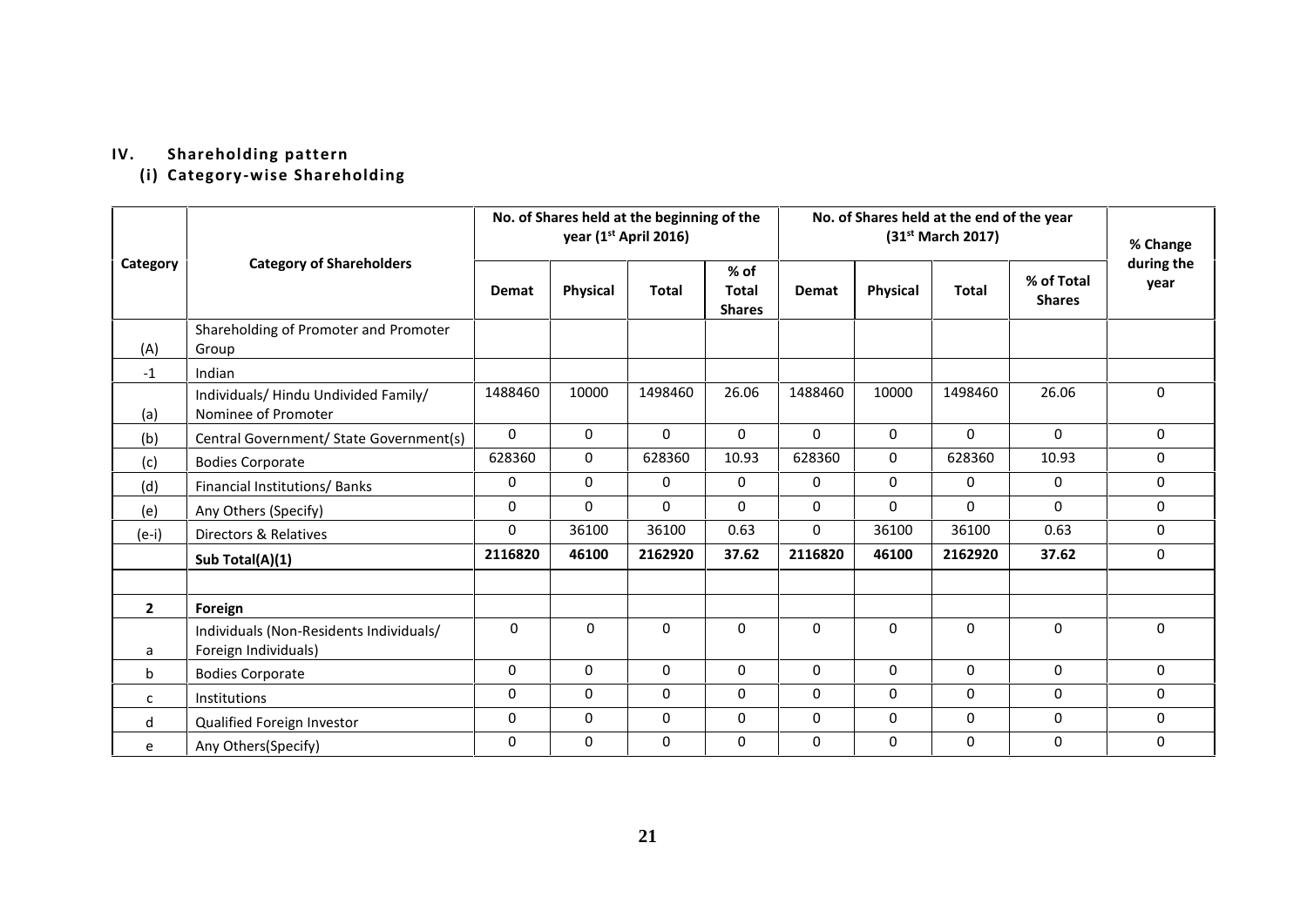# **IV. Shareholding pattern**

**(i) Category-wise Shareholding**

|              |                                                                 | No. of Shares held at the beginning of the<br>year (1 <sup>st</sup> April 2016) |                 |              | No. of Shares held at the end of the year<br>(31 <sup>st</sup> March 2017) |             |             |              | % Change                    |                    |
|--------------|-----------------------------------------------------------------|---------------------------------------------------------------------------------|-----------------|--------------|----------------------------------------------------------------------------|-------------|-------------|--------------|-----------------------------|--------------------|
| Category     | <b>Category of Shareholders</b>                                 | Demat                                                                           | <b>Physical</b> | <b>Total</b> | $%$ of<br><b>Total</b><br><b>Shares</b>                                    | Demat       | Physical    | <b>Total</b> | % of Total<br><b>Shares</b> | during the<br>year |
| (A)          | Shareholding of Promoter and Promoter<br>Group                  |                                                                                 |                 |              |                                                                            |             |             |              |                             |                    |
| $-1$         | Indian                                                          |                                                                                 |                 |              |                                                                            |             |             |              |                             |                    |
| (a)          | Individuals/ Hindu Undivided Family/<br>Nominee of Promoter     | 1488460                                                                         | 10000           | 1498460      | 26.06                                                                      | 1488460     | 10000       | 1498460      | 26.06                       | $\mathbf{0}$       |
| (b)          | Central Government/ State Government(s)                         | $\Omega$                                                                        | $\Omega$        | $\Omega$     | $\Omega$                                                                   | $\Omega$    | $\mathbf 0$ | $\Omega$     | $\Omega$                    | $\Omega$           |
| (c)          | <b>Bodies Corporate</b>                                         | 628360                                                                          | $\mathbf 0$     | 628360       | 10.93                                                                      | 628360      | $\mathbf 0$ | 628360       | 10.93                       | 0                  |
| (d)          | Financial Institutions/Banks                                    | 0                                                                               | $\Omega$        | 0            | 0                                                                          | $\mathbf 0$ | 0           | 0            | 0                           | 0                  |
| (e)          | Any Others (Specify)                                            | 0                                                                               | $\Omega$        | $\Omega$     | $\Omega$                                                                   | $\mathbf 0$ | $\Omega$    | $\mathbf 0$  | $\Omega$                    | $\Omega$           |
| $(e-i)$      | Directors & Relatives                                           | 0                                                                               | 36100           | 36100        | 0.63                                                                       | $\mathbf 0$ | 36100       | 36100        | 0.63                        | $\mathbf 0$        |
|              | Sub Total(A)(1)                                                 | 2116820                                                                         | 46100           | 2162920      | 37.62                                                                      | 2116820     | 46100       | 2162920      | 37.62                       | 0                  |
| $\mathbf{2}$ | Foreign                                                         |                                                                                 |                 |              |                                                                            |             |             |              |                             |                    |
| a            | Individuals (Non-Residents Individuals/<br>Foreign Individuals) | 0                                                                               | $\mathbf 0$     | $\mathbf 0$  | 0                                                                          | $\mathbf 0$ | $\mathbf 0$ | $\mathbf 0$  | $\mathbf 0$                 | $\mathbf 0$        |
| b            | <b>Bodies Corporate</b>                                         | 0                                                                               | $\Omega$        | 0            | $\Omega$                                                                   | $\mathbf 0$ | 0           | $\Omega$     | $\mathbf 0$                 | $\mathbf{0}$       |
| c            | Institutions                                                    | 0                                                                               | $\mathbf 0$     | 0            | $\Omega$                                                                   | $\mathbf 0$ | 0           | $\mathbf 0$  | $\mathbf 0$                 | $\Omega$           |
| d            | Qualified Foreign Investor                                      | 0                                                                               | $\mathbf 0$     | $\pmb{0}$    | $\Omega$                                                                   | $\mathbf 0$ | 0           | 0            | $\pmb{0}$                   | $\Omega$           |
| e            | Any Others(Specify)                                             | 0                                                                               | $\mathbf 0$     | $\mathbf 0$  | 0                                                                          | $\mathbf 0$ | 0           | $\mathbf 0$  | $\mathbf 0$                 | 0                  |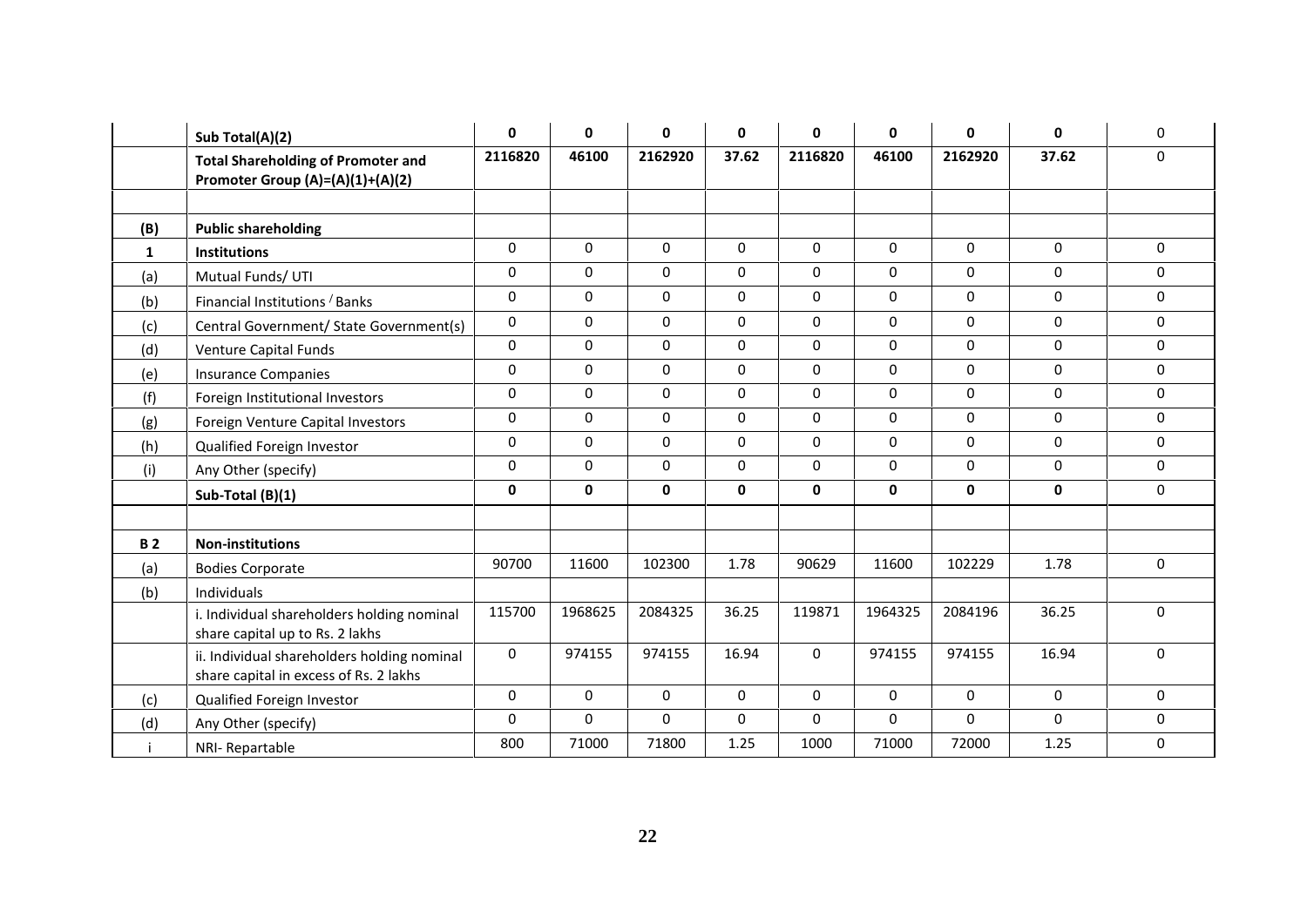|           | Sub Total(A)(2)                                                                       | 0              | $\mathbf 0$ | $\mathbf 0$ | 0           | 0           | $\mathbf{0}$ | $\mathbf{0}$ | $\mathbf{0}$ | $\mathbf 0$ |
|-----------|---------------------------------------------------------------------------------------|----------------|-------------|-------------|-------------|-------------|--------------|--------------|--------------|-------------|
|           | <b>Total Shareholding of Promoter and</b><br>Promoter Group (A)=(A)(1)+(A)(2)         | 2116820        | 46100       | 2162920     | 37.62       | 2116820     | 46100        | 2162920      | 37.62        | 0           |
|           |                                                                                       |                |             |             |             |             |              |              |              |             |
| (B)       | <b>Public shareholding</b>                                                            |                |             |             |             |             |              |              |              |             |
| 1         | <b>Institutions</b>                                                                   | 0              | 0           | $\mathbf 0$ | $\mathbf 0$ | $\mathbf 0$ | $\mathbf 0$  | $\Omega$     | 0            | $\Omega$    |
| (a)       | Mutual Funds/ UTI                                                                     | 0              | 0           | $\Omega$    | $\mathbf 0$ | $\Omega$    | $\mathbf 0$  | $\Omega$     | $\Omega$     | $\mathbf 0$ |
| (b)       | Financial Institutions / Banks                                                        | 0              | $\pmb{0}$   | $\pmb{0}$   | 0           | $\mathbf 0$ | $\pmb{0}$    | 0            | $\mathbf 0$  | 0           |
| (c)       | Central Government/ State Government(s)                                               | $\overline{0}$ | $\pmb{0}$   | 0           | $\pmb{0}$   | 0           | $\mathbf 0$  | $\mathbf 0$  | 0            | 0           |
| (d)       | Venture Capital Funds                                                                 | 0              | $\pmb{0}$   | $\pmb{0}$   | 0           | 0           | $\pmb{0}$    | $\mathbf 0$  | 0            | 0           |
| (e)       | <b>Insurance Companies</b>                                                            | 0              | $\pmb{0}$   | 0           | 0           | 0           | $\mathbf 0$  | 0            | 0            | $\mathbf 0$ |
| (f)       | Foreign Institutional Investors                                                       | 0              | $\pmb{0}$   | $\pmb{0}$   | $\mathbf 0$ | 0           | $\pmb{0}$    | $\mathbf 0$  | 0            | $\pmb{0}$   |
| (g)       | Foreign Venture Capital Investors                                                     | 0              | $\pmb{0}$   | 0           | $\mathbf 0$ | 0           | $\mathbf 0$  | $\mathbf 0$  | 0            | 0           |
| (h)       | Qualified Foreign Investor                                                            | 0              | 0           | $\Omega$    | $\mathbf 0$ | $\Omega$    | $\mathbf 0$  | $\Omega$     | $\mathbf 0$  | $\Omega$    |
| (i)       | Any Other (specify)                                                                   | 0              | $\pmb{0}$   | $\pmb{0}$   | 0           | 0           | $\mathbf 0$  | $\mathbf 0$  | $\mathbf 0$  | 0           |
|           | Sub-Total (B)(1)                                                                      | 0              | 0           | 0           | 0           | 0           | $\mathbf 0$  | 0            | 0            | $\mathbf 0$ |
|           |                                                                                       |                |             |             |             |             |              |              |              |             |
| <b>B2</b> | <b>Non-institutions</b>                                                               |                |             |             |             |             |              |              |              |             |
| (a)       | <b>Bodies Corporate</b>                                                               | 90700          | 11600       | 102300      | 1.78        | 90629       | 11600        | 102229       | 1.78         | $\mathbf 0$ |
| (b)       | Individuals                                                                           |                |             |             |             |             |              |              |              |             |
|           | i. Individual shareholders holding nominal<br>share capital up to Rs. 2 lakhs         | 115700         | 1968625     | 2084325     | 36.25       | 119871      | 1964325      | 2084196      | 36.25        | $\mathbf 0$ |
|           | ii. Individual shareholders holding nominal<br>share capital in excess of Rs. 2 lakhs | 0              | 974155      | 974155      | 16.94       | $\Omega$    | 974155       | 974155       | 16.94        | $\Omega$    |
| (c)       | Qualified Foreign Investor                                                            | 0              | 0           | 0           | 0           | $\Omega$    | 0            | 0            | 0            | $\mathbf 0$ |
| (d)       | Any Other (specify)                                                                   | 0              | $\mathbf 0$ | 0           | $\mathbf 0$ | 0           | $\mathbf 0$  | $\Omega$     | $\Omega$     | 0           |
|           | NRI-Repartable                                                                        | 800            | 71000       | 71800       | 1.25        | 1000        | 71000        | 72000        | 1.25         | 0           |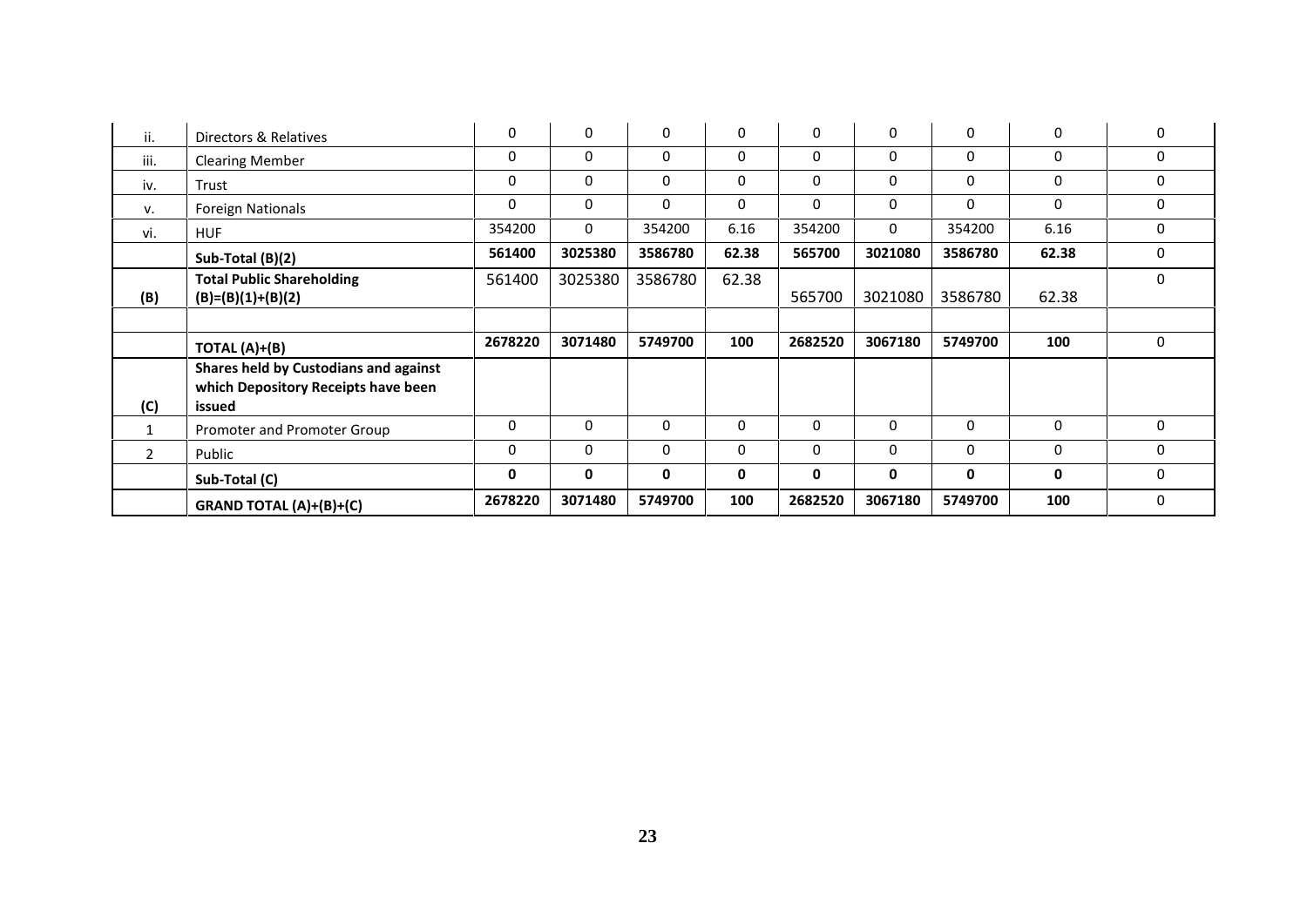| ii.            | Directors & Relatives                                                                  | $\Omega$     | $\Omega$ | $\Omega$ | $\mathbf 0$ | $\Omega$     | $\Omega$    | $\Omega$     | $\Omega$ | $\mathbf 0$  |
|----------------|----------------------------------------------------------------------------------------|--------------|----------|----------|-------------|--------------|-------------|--------------|----------|--------------|
| iii.           | <b>Clearing Member</b>                                                                 | 0            | 0        | 0        | $\mathbf 0$ | $\mathbf 0$  | $\Omega$    | 0            | $\Omega$ | $\mathbf{0}$ |
| iv.            | Trust                                                                                  | 0            | 0        | $\Omega$ | $\mathbf 0$ | $\Omega$     | $\mathbf 0$ | $\Omega$     | $\Omega$ | $\mathbf 0$  |
| v.             | <b>Foreign Nationals</b>                                                               | 0            | 0        | $\Omega$ | $\mathbf 0$ | $\mathbf 0$  | $\mathbf 0$ | $\Omega$     | $\Omega$ | $\mathbf 0$  |
| vi.            | <b>HUF</b>                                                                             | 354200       | $\Omega$ | 354200   | 6.16        | 354200       | $\Omega$    | 354200       | 6.16     | $\Omega$     |
|                | Sub-Total (B)(2)                                                                       | 561400       | 3025380  | 3586780  | 62.38       | 565700       | 3021080     | 3586780      | 62.38    | $\mathbf{0}$ |
| (B)            | <b>Total Public Shareholding</b><br>$(B)=(B)(1)+(B)(2)$                                | 561400       | 3025380  | 3586780  | 62.38       | 565700       | 3021080     | 3586780      | 62.38    | $\mathbf{0}$ |
|                |                                                                                        |              |          |          |             |              |             |              |          |              |
|                | TOTAL (A)+(B)                                                                          | 2678220      | 3071480  | 5749700  | 100         | 2682520      | 3067180     | 5749700      | 100      | $\mathbf 0$  |
| (C)            | Shares held by Custodians and against<br>which Depository Receipts have been<br>issued |              |          |          |             |              |             |              |          |              |
| $\mathbf{1}$   | Promoter and Promoter Group                                                            | 0            | 0        | 0        | 0           | $\mathbf 0$  | 0           | 0            | $\Omega$ | 0            |
| $\overline{2}$ | Public                                                                                 | $\mathbf{0}$ | 0        | $\Omega$ | 0           | $\Omega$     | $\Omega$    | $\mathbf{0}$ | $\Omega$ | $\Omega$     |
|                | Sub-Total (C)                                                                          | 0            | 0        | 0        | 0           | $\mathbf{0}$ | 0           | 0            | 0        | $\Omega$     |
|                | <b>GRAND TOTAL (A)+(B)+(C)</b>                                                         | 2678220      | 3071480  | 5749700  | 100         | 2682520      | 3067180     | 5749700      | 100      | 0            |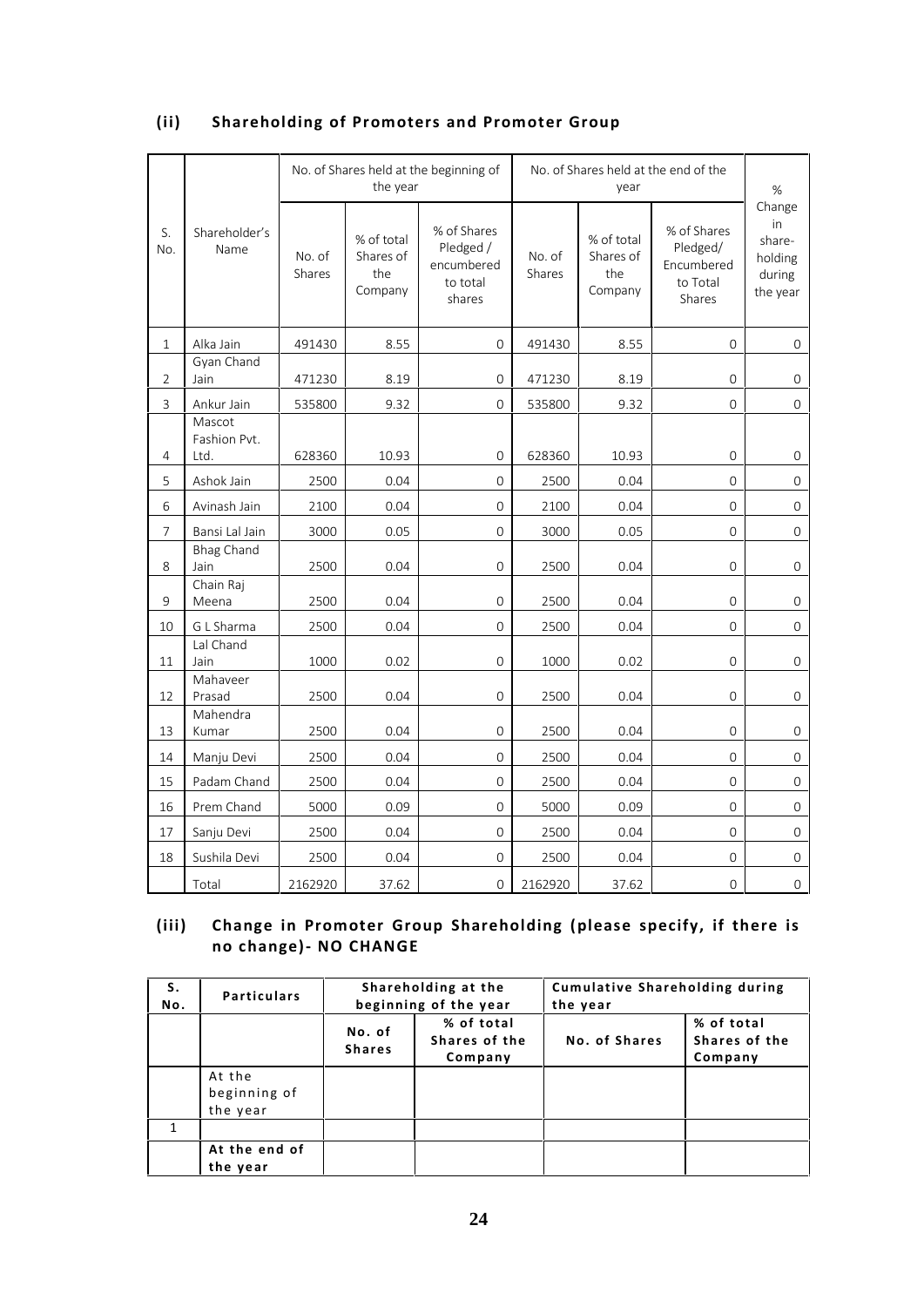# **(ii) Shareholding of Promoters and Promoter Group**

|                |                                |                  | the year                                  | No. of Shares held at the beginning of                       |                  | year                                      | No. of Shares held at the end of the                        | $\%$                                                    |
|----------------|--------------------------------|------------------|-------------------------------------------|--------------------------------------------------------------|------------------|-------------------------------------------|-------------------------------------------------------------|---------------------------------------------------------|
| S.<br>No.      | Shareholder's<br>Name          | No. of<br>Shares | % of total<br>Shares of<br>the<br>Company | % of Shares<br>Pledged /<br>encumbered<br>to total<br>shares | No. of<br>Shares | % of total<br>Shares of<br>the<br>Company | % of Shares<br>Pledged/<br>Encumbered<br>to Total<br>Shares | Change<br>in<br>share-<br>holding<br>during<br>the year |
| 1              | Alka Jain                      | 491430           | 8.55                                      | $\mathbf{O}$                                                 | 491430           | 8.55                                      | 0                                                           | 0                                                       |
| $\overline{2}$ | Gyan Chand<br>Jain             | 471230           | 8.19                                      | $\Omega$                                                     | 471230           | 8.19                                      | $\Omega$                                                    | 0                                                       |
| 3              | Ankur Jain                     | 535800           | 9.32                                      | $\Omega$                                                     | 535800           | 9.32                                      | $\mathbf{O}$                                                | 0                                                       |
| $\overline{4}$ | Mascot<br>Fashion Pvt.<br>Ltd. | 628360           | 10.93                                     | $\mathbf{0}$                                                 | 628360           | 10.93                                     | $\overline{0}$                                              | $\mathbf{O}$                                            |
| 5              | Ashok Jain                     | 2500             | 0.04                                      | $\Omega$                                                     | 2500             | 0.04                                      | $\mathbf{O}$                                                | $\Omega$                                                |
| 6              | Avinash Jain                   | 2100             | 0.04                                      | $\overline{0}$                                               | 2100             | 0.04                                      | $\mathbf{O}$                                                | $\mathbf{O}$                                            |
| 7              | Bansi Lal Jain                 | 3000             | 0.05                                      | $\Omega$                                                     | 3000             | 0.05                                      | $\Omega$                                                    | $\Omega$                                                |
| 8              | <b>Bhag Chand</b><br>Jain      | 2500             | 0.04                                      | $\Omega$                                                     | 2500             | 0.04                                      | $\Omega$                                                    | $\mathbf{O}$                                            |
| 9              | Chain Raj<br>Meena             | 2500             | 0.04                                      | $\mathbf 0$                                                  | 2500             | 0.04                                      | $\mathbf{0}$                                                | $\overline{0}$                                          |
| 10             | G L Sharma                     | 2500             | 0.04                                      | $\overline{0}$                                               | 2500             | 0.04                                      | $\mathbf 0$                                                 | $\mathbf 0$                                             |
| 11             | Lal Chand<br>Jain              | 1000             | 0.02                                      | $\overline{0}$                                               | 1000             | 0.02                                      | $\mathbf{0}$                                                | $\overline{0}$                                          |
| 12             | Mahaveer<br>Prasad             | 2500             | 0.04                                      | $\overline{0}$                                               | 2500             | 0.04                                      | $\mathbf 0$                                                 | 0                                                       |
| 13             | Mahendra<br>Kumar              | 2500             | 0.04                                      | 0                                                            | 2500             | 0.04                                      | 0                                                           | 0                                                       |
| 14             | Manju Devi                     | 2500             | 0.04                                      | $\Omega$                                                     | 2500             | 0.04                                      | $\Omega$                                                    | $\Omega$                                                |
| 15             | Padam Chand                    | 2500             | 0.04                                      | $\mathbf{O}$                                                 | 2500             | 0.04                                      | $\mathbf{O}$                                                | $\Omega$                                                |
| 16             | Prem Chand                     | 5000             | 0.09                                      | $\mathbf{O}$                                                 | 5000             | 0.09                                      | $\mathbf{O}$                                                | $\mathbf{0}$                                            |
| 17             | Sanju Devi                     | 2500             | 0.04                                      | $\mathbf{O}$                                                 | 2500             | 0.04                                      | $\mathbf{O}$                                                | $\Omega$                                                |
| 18             | Sushila Devi                   | 2500             | 0.04                                      | $\mathbf{O}$                                                 | 2500             | 0.04                                      | $\mathbf{O}$                                                | $\mathbf{O}$                                            |
|                | Total                          | 2162920          | 37.62                                     | 0                                                            | 2162920          | 37.62                                     | $\mathbf{O}$                                                | $\mathbf{0}$                                            |

# **(iii) Change in Promoter Group Shareholding (please specify, if there is no change)- NO CHANGE**

| (iii)        | no change) - NO CHANGE             |                         |                                              | Change in Promoter Group Shareholding (please specify, if there is |                                        |  |
|--------------|------------------------------------|-------------------------|----------------------------------------------|--------------------------------------------------------------------|----------------------------------------|--|
| S.<br>No.    | <b>Particulars</b>                 |                         | Shareholding at the<br>beginning of the year | <b>Cumulative Shareholding during</b><br>the year                  |                                        |  |
|              |                                    | No. of<br><b>Shares</b> | % of total<br>Shares of the<br>Company       | No. of Shares                                                      | % of total<br>Shares of the<br>Company |  |
|              | At the<br>beginning of<br>the year |                         |                                              |                                                                    |                                        |  |
| $\mathbf{1}$ |                                    |                         |                                              |                                                                    |                                        |  |
|              | At the end of<br>the year          |                         |                                              |                                                                    |                                        |  |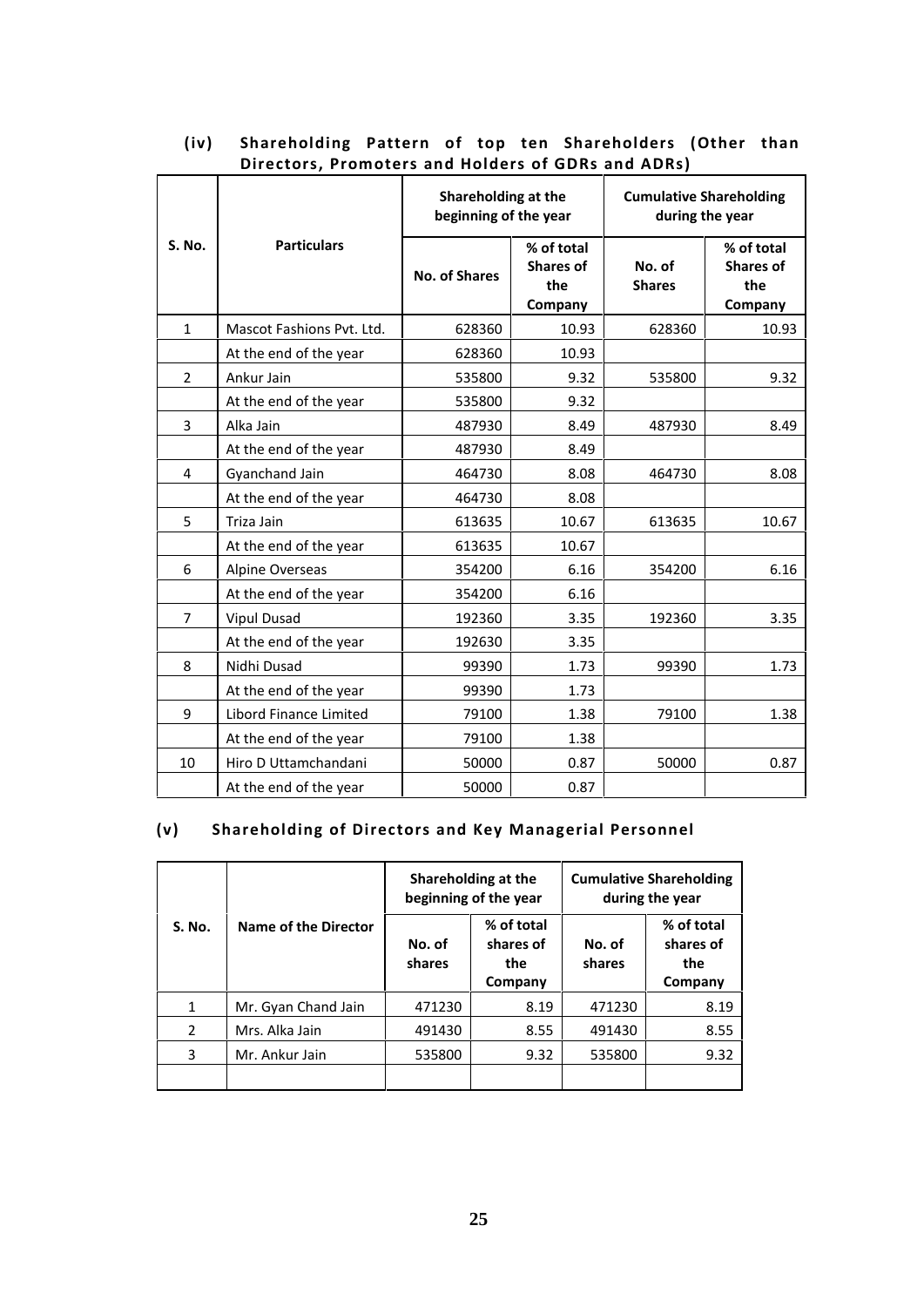|                |                           | Shareholding at the<br>beginning of the year |                                                  | <b>Cumulative Shareholding</b><br>during the year |                                                  |
|----------------|---------------------------|----------------------------------------------|--------------------------------------------------|---------------------------------------------------|--------------------------------------------------|
| S. No.         | <b>Particulars</b>        | <b>No. of Shares</b>                         | % of total<br><b>Shares of</b><br>the<br>Company | No. of<br><b>Shares</b>                           | % of total<br><b>Shares of</b><br>the<br>Company |
| 1              | Mascot Fashions Pvt. Ltd. | 628360                                       | 10.93                                            | 628360                                            | 10.93                                            |
|                | At the end of the year    | 628360                                       | 10.93                                            |                                                   |                                                  |
| $\overline{2}$ | Ankur Jain                | 535800                                       | 9.32                                             | 535800                                            | 9.32                                             |
|                | At the end of the year    | 535800                                       | 9.32                                             |                                                   |                                                  |
| 3              | Alka Jain                 | 487930                                       | 8.49                                             | 487930                                            | 8.49                                             |
|                | At the end of the year    | 487930                                       | 8.49                                             |                                                   |                                                  |
| 4              | Gyanchand Jain            | 464730                                       | 8.08                                             | 464730                                            | 8.08                                             |
|                | At the end of the year    | 464730                                       | 8.08                                             |                                                   |                                                  |
| 5              | Triza Jain                | 613635                                       | 10.67                                            | 613635                                            | 10.67                                            |
|                | At the end of the year    | 613635                                       | 10.67                                            |                                                   |                                                  |
| 6              | Alpine Overseas           | 354200                                       | 6.16                                             | 354200                                            | 6.16                                             |
|                | At the end of the year    | 354200                                       | 6.16                                             |                                                   |                                                  |
| 7              | <b>Vipul Dusad</b>        | 192360                                       | 3.35                                             | 192360                                            | 3.35                                             |
|                | At the end of the year    | 192630                                       | 3.35                                             |                                                   |                                                  |
| 8              | Nidhi Dusad               | 99390                                        | 1.73                                             | 99390                                             | 1.73                                             |
|                | At the end of the year    | 99390                                        | 1.73                                             |                                                   |                                                  |
| 9              | Libord Finance Limited    | 79100                                        | 1.38                                             | 79100                                             | 1.38                                             |
|                | At the end of the year    | 79100                                        | 1.38                                             |                                                   |                                                  |
| 10             | Hiro D Uttamchandani      | 50000                                        | 0.87                                             | 50000                                             | 0.87                                             |
|                | At the end of the year    | 50000                                        | 0.87                                             |                                                   |                                                  |

# **(iv) Shareholding Pattern of top ten Shareholders (Other than Directors, Promoters and Holders of GDRs and ADRs)**

# **(v) Shareholding of Directors and Key Managerial Personnel**

|               |                      | Shareholding at the<br>beginning of the year |                                           | <b>Cumulative Shareholding</b><br>during the year |                                           |
|---------------|----------------------|----------------------------------------------|-------------------------------------------|---------------------------------------------------|-------------------------------------------|
| <b>S. No.</b> | Name of the Director | No. of<br>shares                             | % of total<br>shares of<br>the<br>Company | No. of<br>shares                                  | % of total<br>shares of<br>the<br>Company |
| 1             | Mr. Gyan Chand Jain  | 471230                                       | 8.19                                      | 471230                                            | 8.19                                      |
| 2             | Mrs. Alka Jain       | 491430                                       | 8.55                                      | 491430                                            | 8.55                                      |
| 3             | Mr. Ankur Jain       | 535800                                       | 9.32                                      | 535800                                            | 9.32                                      |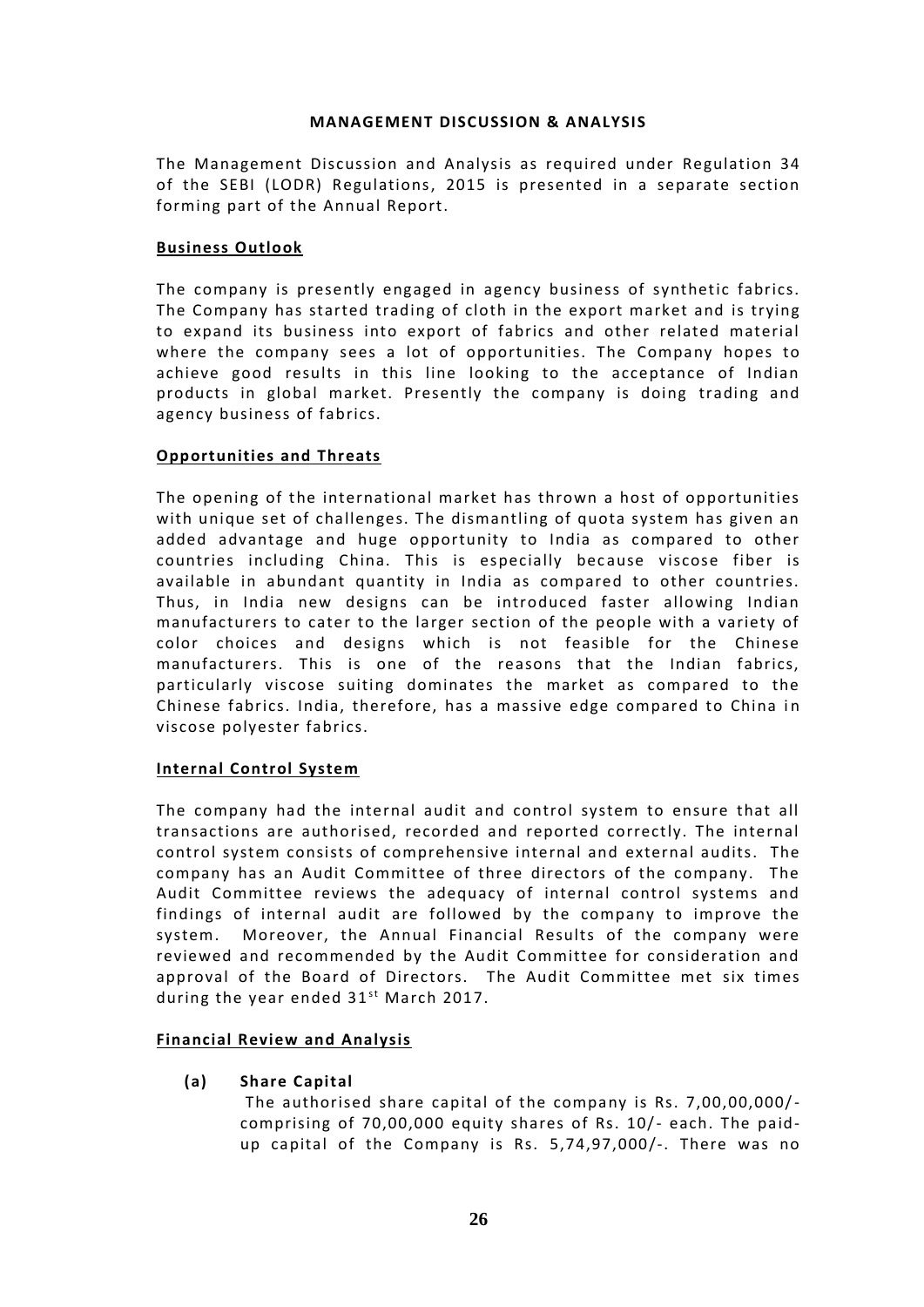# **MANAGEMENT DISCUSSION & ANALYSIS**

The Management Discussion and Analysis as required under Regulation 34 of the SEBI (LODR) Regulations, 2015 is presented in a separate section forming part of the Annual Report.

# **Business Outlook**

The company is presently engaged in agency business of synthetic fabrics. The Company has started trading of cloth in the export market and is trying to expand its business into export of fabrics and other related material where the company sees a lot of opportunities. The Company hopes to achieve good results in this line looking to the acceptance of Indian products in global market. Presently the company is doing trading and agency business of fabrics.

# **Opportunities and Threats**

The opening of the international market has thrown a host of opportunities with unique set of challenges. The dismantling of quota system has given an added advantage and huge opportunity to India as compared to other countries including China. This is especially because viscose fiber is available in abundant quantity in India as compared to other countries. Thus, in India new designs can be introduced faster allowing Indian manufacturers to cater to the larger section of the people with a variety of color choices and designs which is not feasible for the Chinese manufacturers. This is one of the reasons that the Indian fabrics, particularly viscose suiting dominates the market as compared to the Chinese fabrics. India, therefore, has a massive edge compared to China in viscose polyester fabrics.

# **Internal Control System**

The company had the internal audit and control system to ensure that all transactions are authorised, recorded and reported correctly. The internal control system consists of comprehensive internal and external audits. The company has an Audit Committee of three directors of the company. The Audit Committee reviews the adequacy of internal control systems and findings of internal audit are followed by the company to improve the system. Moreover, the Annual Financial Results of the company were reviewed and recommended by the Audit Committee for consideration and approval of the Board of Directors. The Audit Committee met six times system. Moreover, the Annual Financia<br>reviewed and recommended by the Audit (<br>approval of the Board of Directors. The<br>during the year ended 31<sup>st</sup> March 2017.

# **Financial Review and Analysis**

**(a) Share Capital**

The authorised share capital of the company is Rs. 7,00,00,000/ comprising of 70,00,000 equity shares of Rs. 10/- each. The paid up capital of the Company is Rs. 5,74,97,000/-. There was no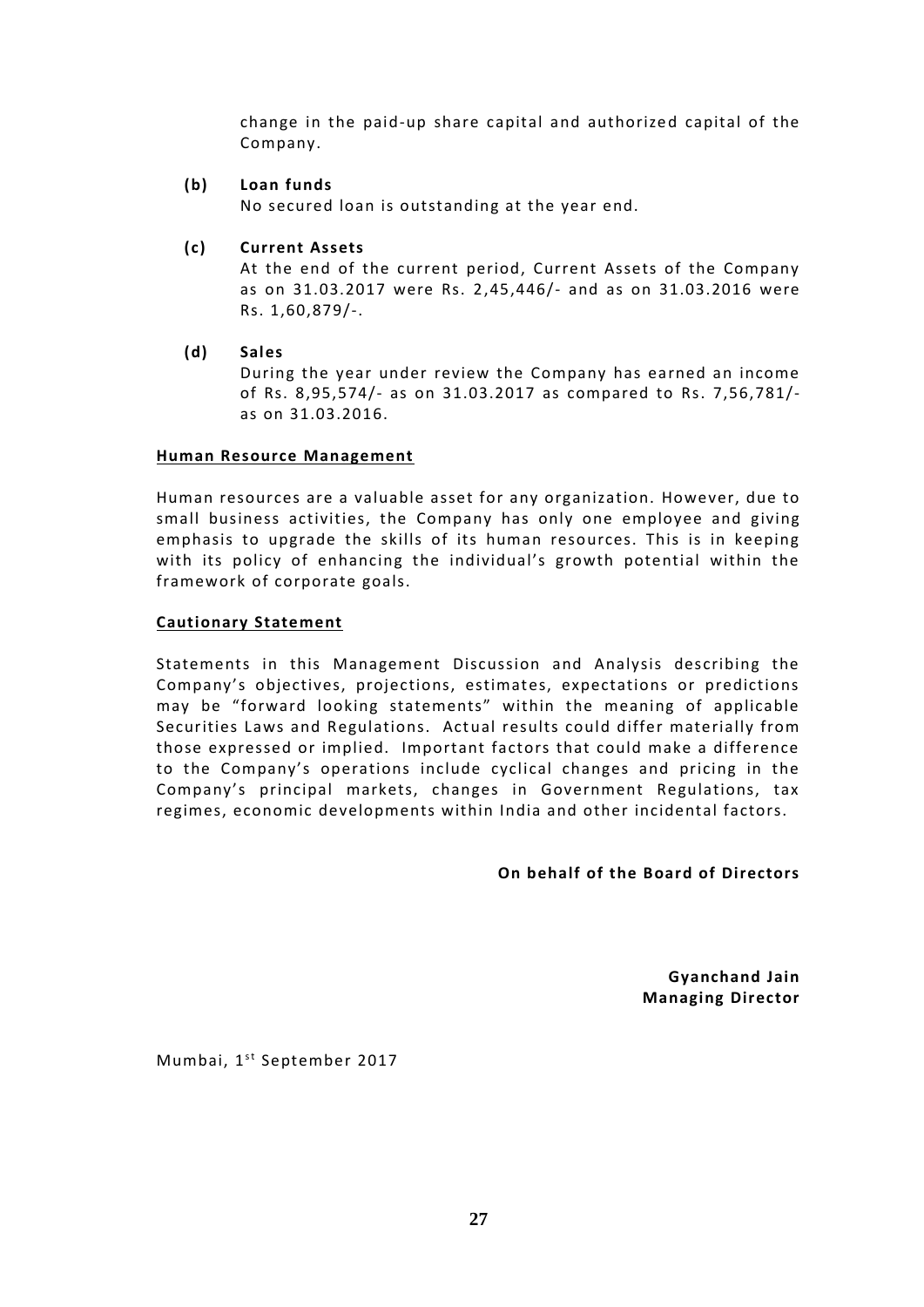change in the paid-up share capital and authorized capital of the Company.

# **(b) Loan funds**

No secured loan is outstanding at the year end.

# **(c) Current Assets**

At the end of the current period, Current Assets of the Company as on 31.03.2017 were Rs. 2,45,446/- and as on 31.03.2016 were Rs. 1,60,879/-.

**(d) Sales**

During the year under review the Company has earned an income of Rs. 8,95,574/- as on 31.03.2017 as compared to Rs. 7,56,781/ as on 31.03.2016.

# **Human Resource Management**

Human resources are a valuable asset for any organization. However, due to small business activities, the Company has only one employee and giving emphasis to upgrade the skills of its human resources. This is in keeping with its policy of enhancing the individual's growth potential within the framework of corporate goals.

# **Cautionary Statement**

Statements in this Management Discussion and Analysis describing the Company's objectives, projections, estimates, expectations or predictions may be "forward looking statements" within the meaning of applicable Securities Laws and Regulations. Actual results could differ materially from those expressed or implied. Important factors that could make a difference to the Company's operations include cyclical changes and pricing in the Company's principal markets, changes in Government Regulations, tax regimes, economic developments within India and other incidental factors.

**On behalf of the Board of Directors**

**Gyanchand Jain Managing Director**

Mumbai, 1<sup>st</sup> September 2017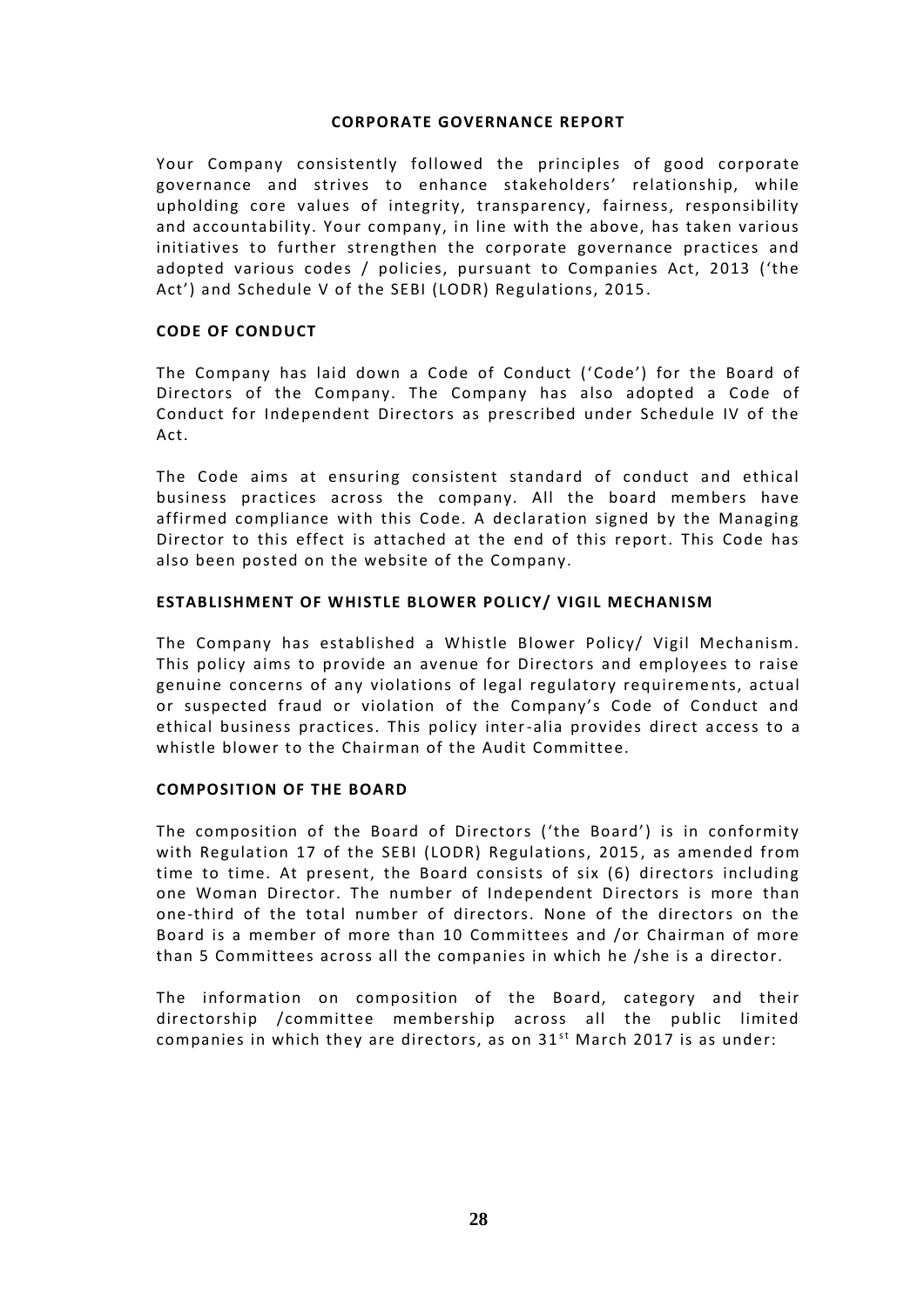# **CORPORATE GOVERNANCE REPORT**

Your Company consistently followed the principles of good corporate governance and strives to enhance stakeholders' relationship, while upholding core values of integrity, transparency, fairness, responsibility and accountability. Your company, in line with the above, has taken various initiatives to further strengthen the corporate governance practices and adopted various codes / policies, pursuant to Companies Act, 2013 ('the Act') and Schedule V of the SEBI (LODR) Regulations, 2015 .

# **CODE OF CONDUCT**

The Company has laid down a Code of Conduct ('Code') for the Board of Directors of the Company. The Company has also adopted a Code of Conduct for Independent Directors as prescribed under Schedule IV of the Act.

The Code aims at ensuring consistent standard of conduct and ethical business practices across the company. All the board members have affirmed compliance with this Code. A declaration signed by the Managing Director to this effect is attached at the end of this report. This Code has also been posted on the website of the Company.

# **ESTABLISHMENT OF WHISTLE BLOWER POLICY/ VIGIL MECHANISM**

The Company has established a Whistle Blower Policy/ Vigil Mechanism. This policy aims to provide an avenue for Directors and employees to raise genuine concerns of any violations of legal regulatory requireme nts, actual or suspected fraud or violation of the Company's Code of Conduct and ethical business practices. This policy inter-alia provides direct access to a whistle blower to the Chairman of the Audit Committee.

# **COMPOSITION OF THE BOARD**

The composition of the Board of Directors ('the Board') is in conformity with Regulation 17 of the SEBI (LODR) Regulations, 2015, as amended from time to time. At present, the Board consists of six (6) directors including one Woman Director. The number of Independent Directors is more than one-third of the total number of directors. None of the directors on the Board is a member of more than 10 Committees and /or Chairman of more than 5 Committees across all the companies in which he /she is a director.

The information on composition of the Board, category and their directorship /committee membership across all the public limited The information on composition of the Board, category and th<br>directorship /committee membership across all the public limit<br>companies inwhich they are directors, as on 31<sup>st</sup> March 2017 is as under: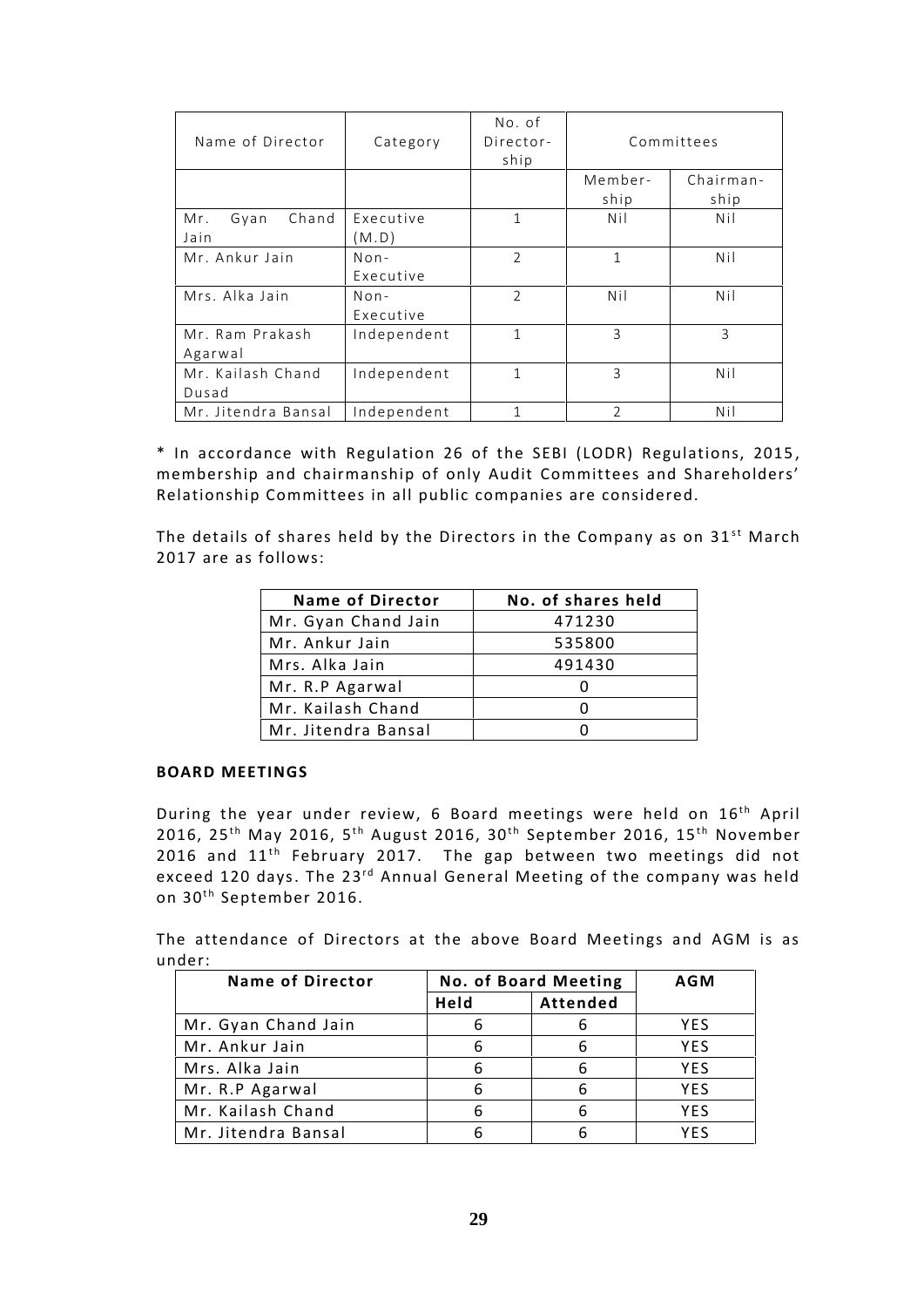| Name of Director     | Category    | No. of<br>Director-<br>ship |                | Committees |
|----------------------|-------------|-----------------------------|----------------|------------|
|                      |             |                             | Member-        | Chairman-  |
|                      |             |                             | ship           | ship       |
| Chand<br>Mr.<br>Gyan | Executive   | 1                           | Nil            | Nil        |
| Jain                 | (M.D)       |                             |                |            |
| Mr. Ankur Jain       | $Non-$      | $\overline{2}$              | 1              | Nil        |
|                      | Executive   |                             |                |            |
| Mrs. Alka Jain       | $Non-$      | $\overline{2}$              | Nil            | Nil        |
|                      | Executive   |                             |                |            |
| Mr. Ram Prakash      | Independent | 1                           | $\overline{3}$ | 3          |
| Agarwal              |             |                             |                |            |
| Mr. Kailash Chand    | Independent | 1                           | 3              | Nil        |
| Dusad                |             |                             |                |            |
| Mr. Jitendra Bansal  | Independent | 1                           | $\overline{2}$ | Nil        |

\* In accordance with Regulation 26 of the SEBI (LODR) Regulations, 2015 , membership and chairmanship of only Audit Committees and Shareholders' Relationship Committees in all public companies are considered.

The details of shares held by the Directors in the Company as on  $31<sup>st</sup>$  March 2017 are as follows:

| <b>Name of Director</b> | No. of shares held |
|-------------------------|--------------------|
| Mr. Gyan Chand Jain     | 471230             |
| Mr. Ankur Jain          | 535800             |
| Mrs. Alka Jain          | 491430             |
| Mr. R.P Agarwal         |                    |
| Mr. Kailash Chand       |                    |
| Mr. Jitendra Bansal     |                    |

# **BOARD MEETINGS**

During the year under review, 6 Board meetings were held on 16<sup>th</sup> April BOARD MEETINGS<br>During the year under review, 6 Board meetings were held on 16<sup>th</sup> April<br>2016, 25<sup>th</sup> May 2016, 5<sup>th</sup> August 2016, 30<sup>th</sup> September 2016, 15<sup>th</sup> November<br>2016, and 11<sup>th</sup> February 2017. The san between two m During the year under review, 6 Board meetings were held on 16<sup>th</sup> April<br>2016, 25<sup>th</sup> May 2016, 5<sup>th</sup> August 2016, 30<sup>th</sup> September 2016, 15<sup>th</sup> November<br>2016 and 11<sup>th</sup> February 2017. The gap between two meetings did not exceed 120 days. The 23<sup>rd</sup> Annual General Meeting of the company was held review, 6 Board meetings were held on 16<sup>th</sup> April<br>'August 2016, 30<sup>th</sup> September 2016, 15<sup>th</sup> November<br>' 2017. The gap between two meetings did not<br><sup>rd</sup> Annual General Meeting of the company was held 2016 and  $11^{\text{th}}$  February 2017. The gap between two meetings did not exceed 120 days. The  $23^{\text{rd}}$  Annual General Meeting of the company was held on  $30^{\text{th}}$  September 2016.

The attendance of Directors at the above Board Meetings and AGM is as under:

| <b>Name of Director</b> |      | <b>No. of Board Meeting</b> |            |
|-------------------------|------|-----------------------------|------------|
|                         | Held | Attended                    |            |
| Mr. Gyan Chand Jain     |      |                             | YES.       |
| Mr. Ankur Jain          | 6    |                             | <b>YES</b> |
| Mrs. Alka Jain          | 6    | 6                           | YES.       |
| Mr. R.P Agarwal         | 6    | 6                           | <b>YFS</b> |
| Mr. Kailash Chand       | 6    |                             | <b>YES</b> |
| Mr. Jitendra Bansal     |      |                             | YFS        |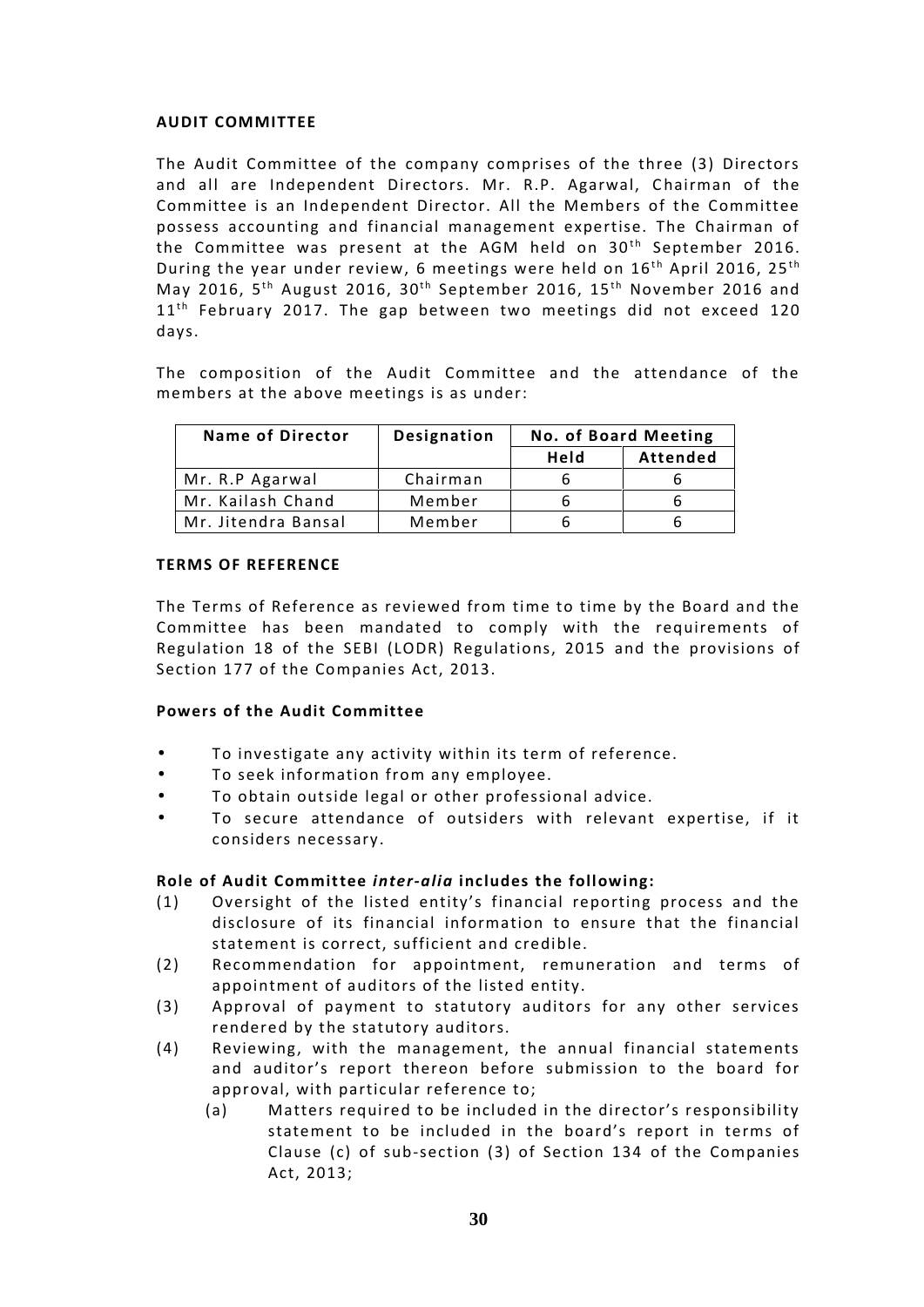# **AUDIT COMMITTEE**

The Audit Committee of the company comprises of the three (3) Directors and all are Independent Directors. Mr. R.P. Agarwal, Chairman of the Committee is an Independent Director. All the Members of the Committee possess accounting and financial management expertise. The Chairman of the Committee was present at the AGM held on 30<sup>th</sup> September 2016.<br>During the year under review, 6 meetings were held on 16<sup>th</sup> April 2016, 25<sup>th</sup> possess accounting and financial management expertise. The Chairman of<br>the Committee was present at the AGM held on 30<sup>th</sup> September 2016.<br>During the year under review, 6 meetings were held on 16<sup>th</sup> April 2016, 25<sup>th</sup><br>May the Committee was present at the AGM held on 30<sup>th</sup> September 2016.<br>During the year under review, 6 meetings were held on 16<sup>th</sup> April 2016, 25<sup>th</sup><br>May 2016, 5<sup>th</sup> August 2016, 30<sup>th</sup> September 2016, 15<sup>th</sup> November 2016 a days.

The composition of the Audit Committee and the attendance of the members at the above meetings is as under:

| <b>Name of Director</b> | Designation | <b>No. of Board Meeting</b> |                 |
|-------------------------|-------------|-----------------------------|-----------------|
|                         |             | Held                        | <b>Attended</b> |
| Mr. R.P Agarwal         | Chairman    |                             |                 |
| Mr. Kailash Chand       | Member      |                             |                 |
| Mr. Jitendra Bansal     | Member      |                             |                 |

# **TERMS OF REFERENCE**

The Terms of Reference as reviewed from time to time by the Board and the Committee has been mandated to comply with the requirements of Regulation 18 of the SEBI (LODR) Regulations, 2015 and the provisions of Section 177 of the Companies Act, 2013.

# **Powers of the Audit Committee**

- To investigate any activity within its term of reference.
- To seek information from any employee.
- To obtain outside legal or other professional advice.
- To secure attendance of outsiders with relevant expertise, if it considers necessary.

# **Role of Audit Committee** *inter-alia* **includes the following:**

- (1) Oversight of the listed entity's financial reporting process and the disclosure of its financial information to ensure that the financial statement is correct, sufficient and credible.
- (2) Recommendation for appointment, remuneration and terms of appointment of auditors of the listed entity.
- (3) Approval of payment to statutory auditors for any other services rendered by the statutory auditors.
- (4) Reviewing, with the management, the annual financial statements and auditor's report thereon before submission to the board for approval, with particular reference to;
	- (a) Matters required to be included in the director's responsibility statement to be included in the board's report in terms of Clause (c) of sub-section (3) of Section 134 of the Companies Act, 2013;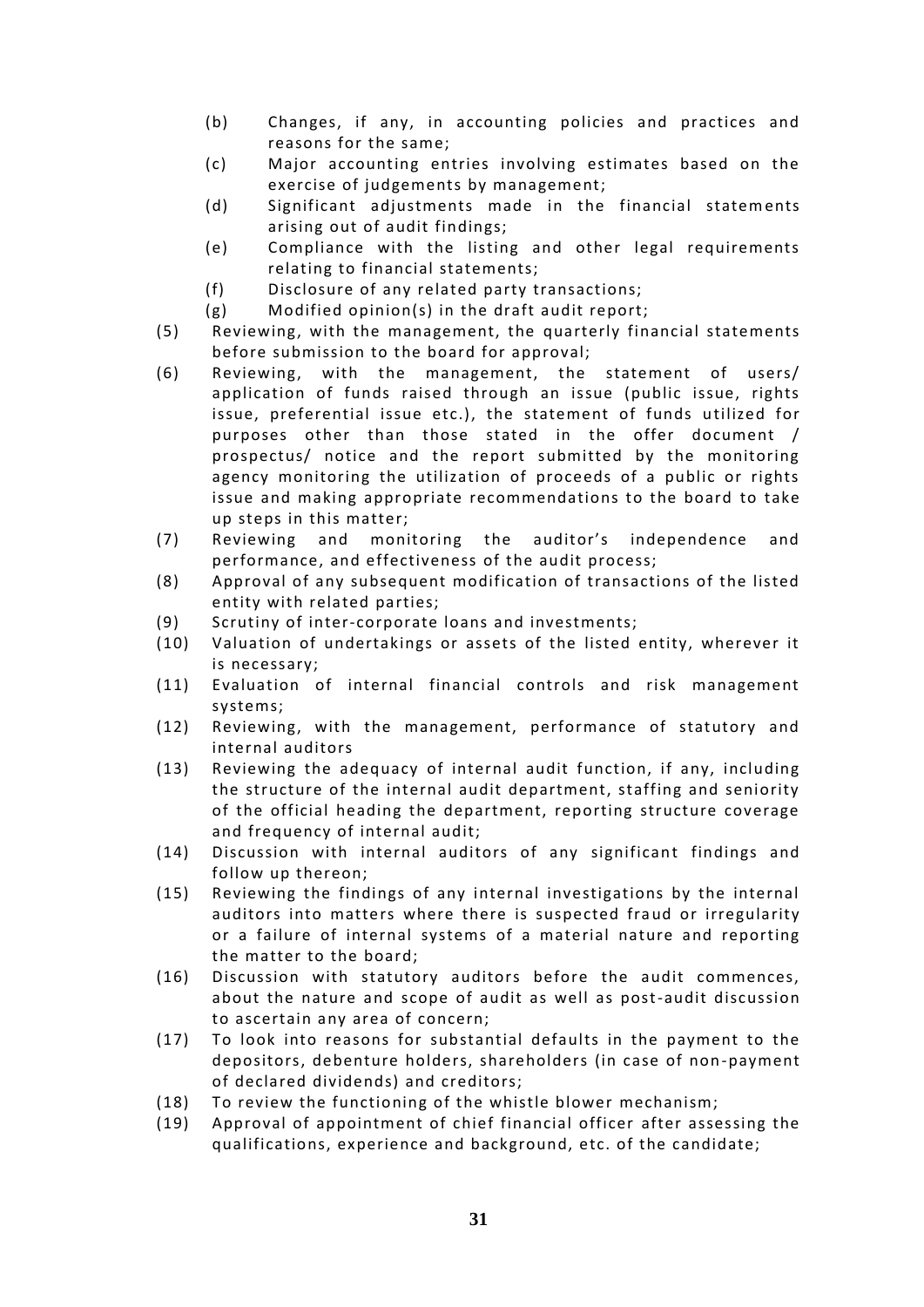- (b) Changes, if any, in accounting policies and practices and reasons for the same;
- (c) Major accounting entries involving estimates based on the exercise of judgements by management;
- (d) Significant adjustments made in the financial statements arising out of audit findings;
- (e) Compliance with the listing and other legal requirements relating to financial statements;
- (f) Disclosure of any related party transactions;
- (g) Modified opinion(s) in the draft audit report;
- (5) Reviewing, with the management, the quarterly financial statements before submission to the board for approval;
- (6) Reviewing, with the management, the statement of users/ application of funds raised through an issue (public issue, rights issue, preferential issue etc.), the statement of funds utilized for purposes other than those stated in the offer document / prospectus/ notice and the report submitted by the monitoring agency monitoring the utilization of proceeds of a public or rights issue and making appropriate recommendations to the board to take up steps in this matter;
- (7) Reviewing and monitoring the auditor's independence and performance, and effectiveness of the audit process;
- (8) Approval of any subsequent modification of transactions of the listed entity with related parties;
- (9) Scrutiny of inter-corporate loans and investments;
- (10) Valuation of undertakings or assets of the listed entity, wherever it is necessary;
- (11) Evaluation of internal financial controls and risk management systems;
- (12) Reviewing, with the management, performance of statutory and internal auditors
- (13) Reviewing the adequacy of internal audit function, if any, including the structure of the internal audit department, staffing and seniority of the official heading the department, reporting structure coverage and frequency of internal audit;
- (14) Discussion with internal auditors of any significant findings and follow up thereon;
- (15) Reviewing the findings of any internal investigations by the internal auditors into matters where there is suspected fraud or irregularity or a failure of internal systems of a material nature and reporting the matter to the board;
- (16) Discussion with statutory auditors before the audit commences, about the nature and scope of audit as well as post-audit discussion to ascertain any area of concern;
- (17) To look into reasons for substantial defaults in the payment to the depositors, debenture holders, shareholders (in case of non-payment of declared dividends) and creditors;
- (18) To review the functioning of the whistle blower mechanism;
- (19) Approval of appointment of chief financial officer after assessing the qualifications, experience and background, etc. of the candidate;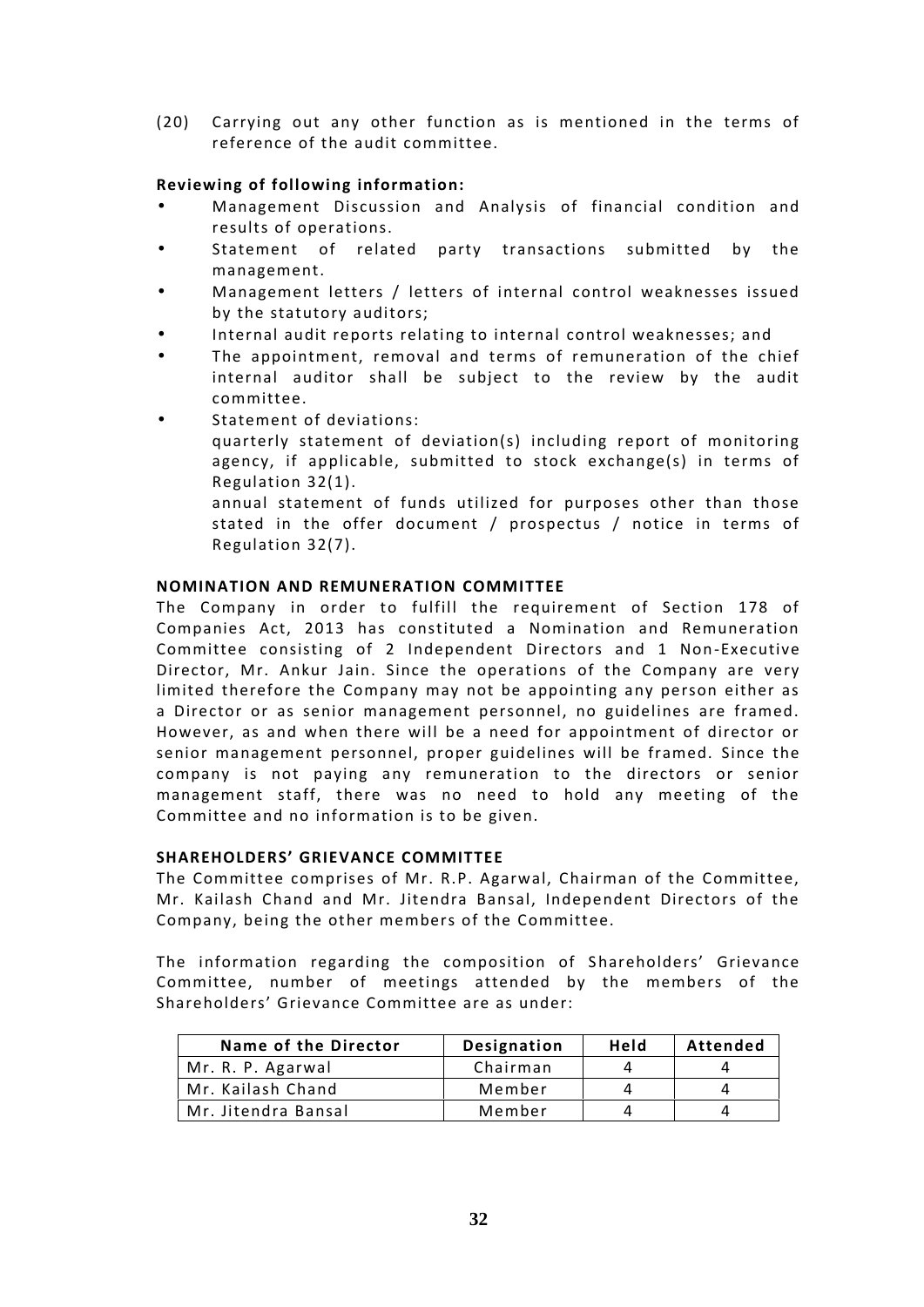(20) Carrying out any other function as is mentioned in the terms of reference of the audit committee.

# **Reviewing of following information:**

- Management Discussion and Analysis of financial condition and results of operations.
- Statement of related party transactions submitted by the management.
- Management letters / letters of internal control weaknesses issued by the statutory auditors;
- Internal audit reports relating to internal control weaknesses; and
- The appointment, removal and terms of remuneration of the chief internal auditor shall be subject to the review by the audit committee.
- Statement of deviations:
	- quarterly statement of deviation(s) including report of monitoring agency, if applicable, submitted to stock exchange(s) in terms of Regulation 32(1).

annual statement of funds utilized for purposes other than those stated in the offer document / prospectus / notice in terms of Regulation 32(7).

# **NOMINATION AND REMUNERATION COMMITTEE**

The Company in order to fulfill the requirement of Section 178 of Companies Act, 2013 has constituted a Nomination and Remuneration Committee consisting of 2 Independent Directors and 1 Non-Executive Director, Mr. Ankur Jain. Since the operations of the Company are very limited therefore the Company may not be appointing any person either as a Director or as senior management personnel, no guidelines are framed. However, as and when there will be a need for appointment of director or senior management personnel, proper guidelines will be framed. Since the company is not paying any remuneration to the directors or senior management staff, there was no need to hold any meeting of the Committee and no information is to be given.

# **SHAREHOLDERS' GRIEVANCE COMMITTEE**

The Committee comprises of Mr. R.P. Agarwal, Chairman of the Committee, Mr. Kailash Chand and Mr. Jitendra Bansal, Independent Directors of the Company, being the other members of the Committee.

The information regarding the composition of Shareholders' Grievance Committee, number of meetings attended by the members of the Shareholders' Grievance Committee are as under:

| Name of the Director | Designation | Held | Attended |
|----------------------|-------------|------|----------|
| Mr. R. P. Agarwal    | Chairman    |      |          |
| Mr. Kailash Chand    | Member      |      |          |
| Mr. Jitendra Bansal  | Member      |      |          |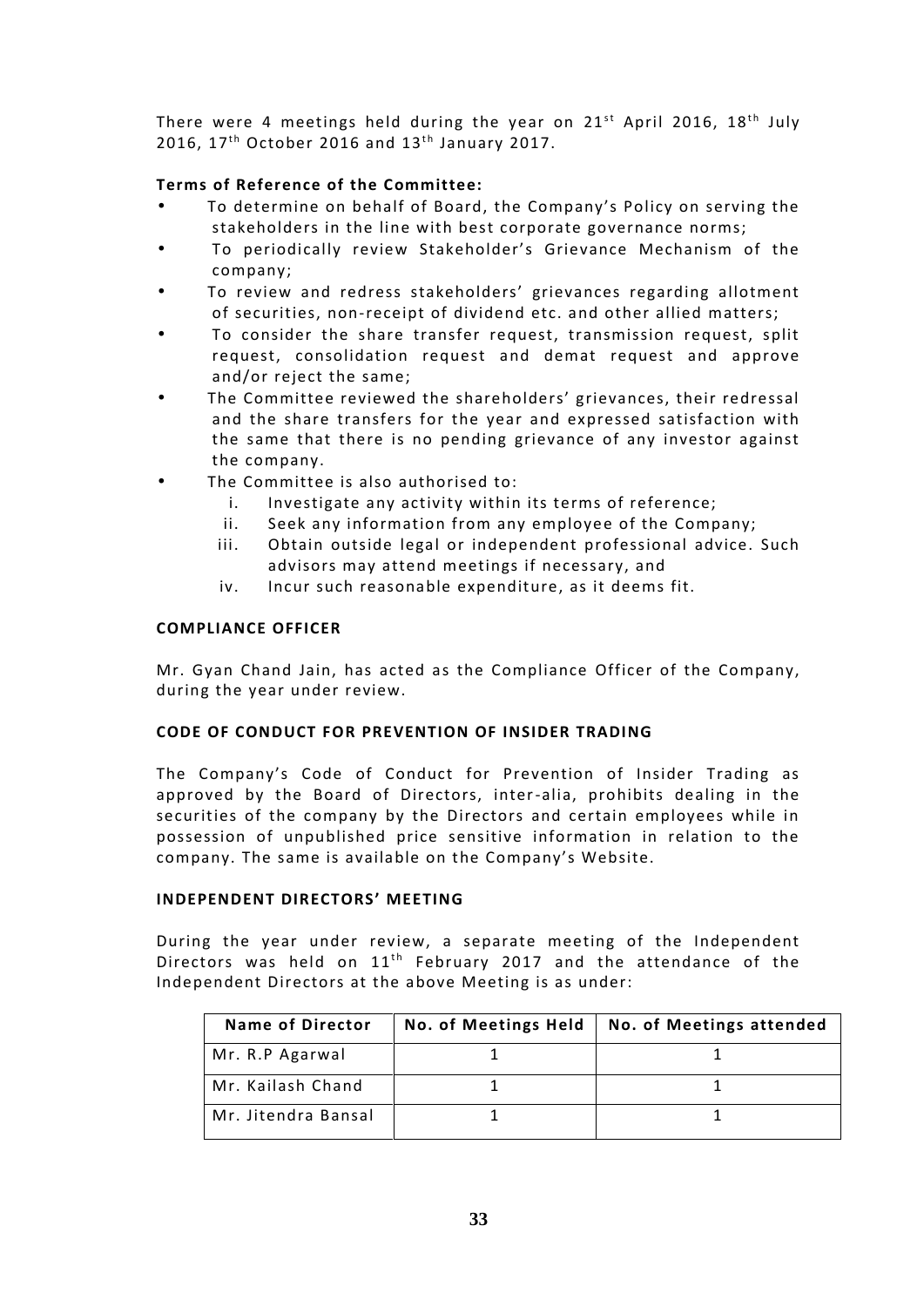There were 4 meetings held during the year on 21st April 2016, 18<sup>th</sup> July There were 4 meetings held during the year on  $\stackrel{?}{2}$ 2016, 17<sup>th</sup> October 2016 and 13<sup>th</sup> January 2017.

# **Terms of Reference of the Committee:**

- To determine on behalf of Board, the Company's Policy on serving the stakeholders in the line with best corporate governance norms;
- To periodically review Stakeholder's Grievance Mechanism of the company;
- To review and redress stakeholders' grievances regarding allotment of securities, non-receipt of dividend etc. and other allied matters;
- To consider the share transfer request, transmission request, split request, consolidation request and demat request and approve and/or reject the same;
- The Committee reviewed the shareholders' grievances, their redressal and the share transfers for the year and expressed satisfaction with the same that there is no pending grievance of any investor against the company.
- The Committee is also authorised to:
	- i. Investigate any activity within its terms of reference;
	- ii. Seek any information from any employee of the Company;
	- iii. Obtain outside legal or independent professional advice. Such advisors may attend meetings if necessary, and
	- iv. Incur such reasonable expenditure, as it deems fit.

# **COMPLIANCE OFFICER**

Mr. Gyan Chand Jain, has acted as the Compliance Officer of the Company, during the year under review.

# **CODE OF CONDUCT FOR PREVENTION OF INSIDER TRADING**

The Company's Code of Conduct for Prevention of Insider Trading as approved by the Board of Directors, inter-alia, prohibits dealing in the securities of the company by the Directors and certain employees while in possession of unpublished price sensitive information in relation to the company. The same is available on the Company's Website.

# **INDEPENDENT DIRECTORS' MEETING**

During the year under review, a separate meeting of the Independent INDEPENDENT DIRECTORS' MEETING<br>During the year under review, a separate meeting of the Independent<br>Directors was held on  $11^{\text{th}}$  February 2017 and the attendance of the<br>Independent Directors at the above Meeting is as u Independent Directors at the above Meeting is as under:

| <b>Name of Director</b> | No. of Meetings Held   No. of Meetings attended |
|-------------------------|-------------------------------------------------|
| Mr. R.P Agarwal         |                                                 |
| Mr. Kailash Chand       |                                                 |
| Mr. Jitendra Bansal     |                                                 |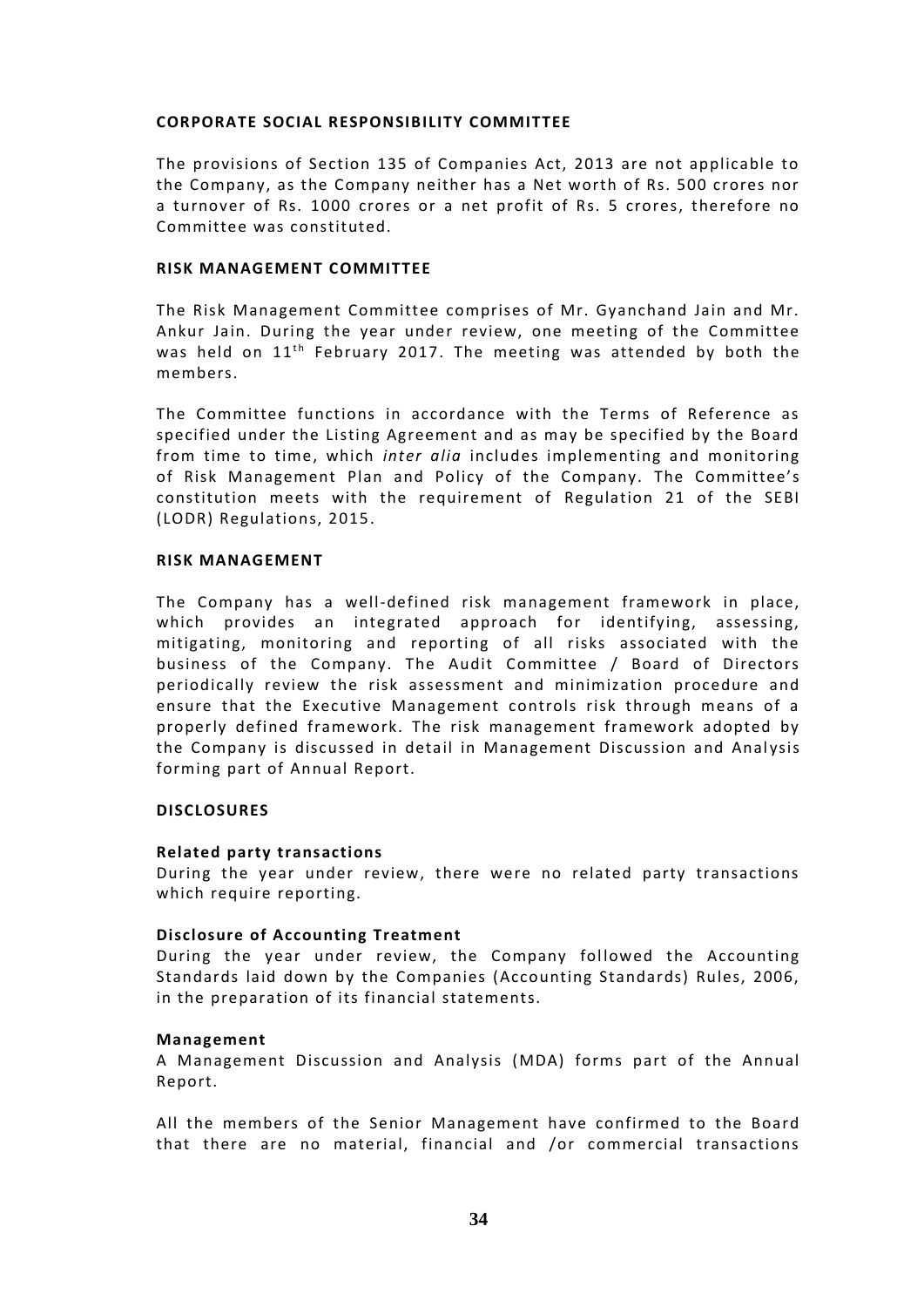# **CORPORATE SOCIAL RESPONSIBILITY COMMITTEE**

The provisions of Section 135 of Companies Act, 2013 are not applicable to the Company, as the Company neither has a Net worth of Rs. 500 crores nor a turnover of Rs. 1000 crores or a net profit of Rs. 5 crores, therefore no Committee was constituted.

# **RISK MANAGEMENT COMMITTEE**

The Risk Management Committee comprises of Mr. Gyanchand Jain and Mr. Ankur Jain. During the year under review, one meeting of the Committee was held on  $11<sup>th</sup>$  February 2017. The meeting was attended by both the members.

The Committee functions in accordance with the Terms of Reference as specified under the Listing Agreement and as may be specified by the Board from time to time, which *inter alia* includes implementing and monitoring of Risk Management Plan and Policy of the Company. The Committee's constitution meets with the requirement of Regulation 21 of the SEBI (LODR) Regulations, 2015.

# **RISK MANAGEMENT**

The Company has a well-defined risk management framework in place, which provides an integrated approach for identifying, assessing, mitigating, monitoring and reporting of all risks associated with the business of the Company. The Audit Committee / Board of Directors periodically review the risk assessment and minimization procedure and ensure that the Executive Management controls risk through means of a properly defined framework. The risk management framework adopted by the Company is discussed in detail in Management Discussion and Analysis forming part of Annual Report.

# **DISCLOSURES**

# **Related party transactions**

During the year under review, there were no related party transactions which require reporting.

# **Disclosure of Accounting Treatment**

During the year under review, the Company followed the Accounting Standards laid down by the Companies (Accounting Standards) Rules, 2006, in the preparation of its financial statements.

# **Management**

A Management Discussion and Analysis (MDA) forms part of the Annual Report.

All the members of the Senior Management have confirmed to the Board that there are no material, financial and /or commercial transactions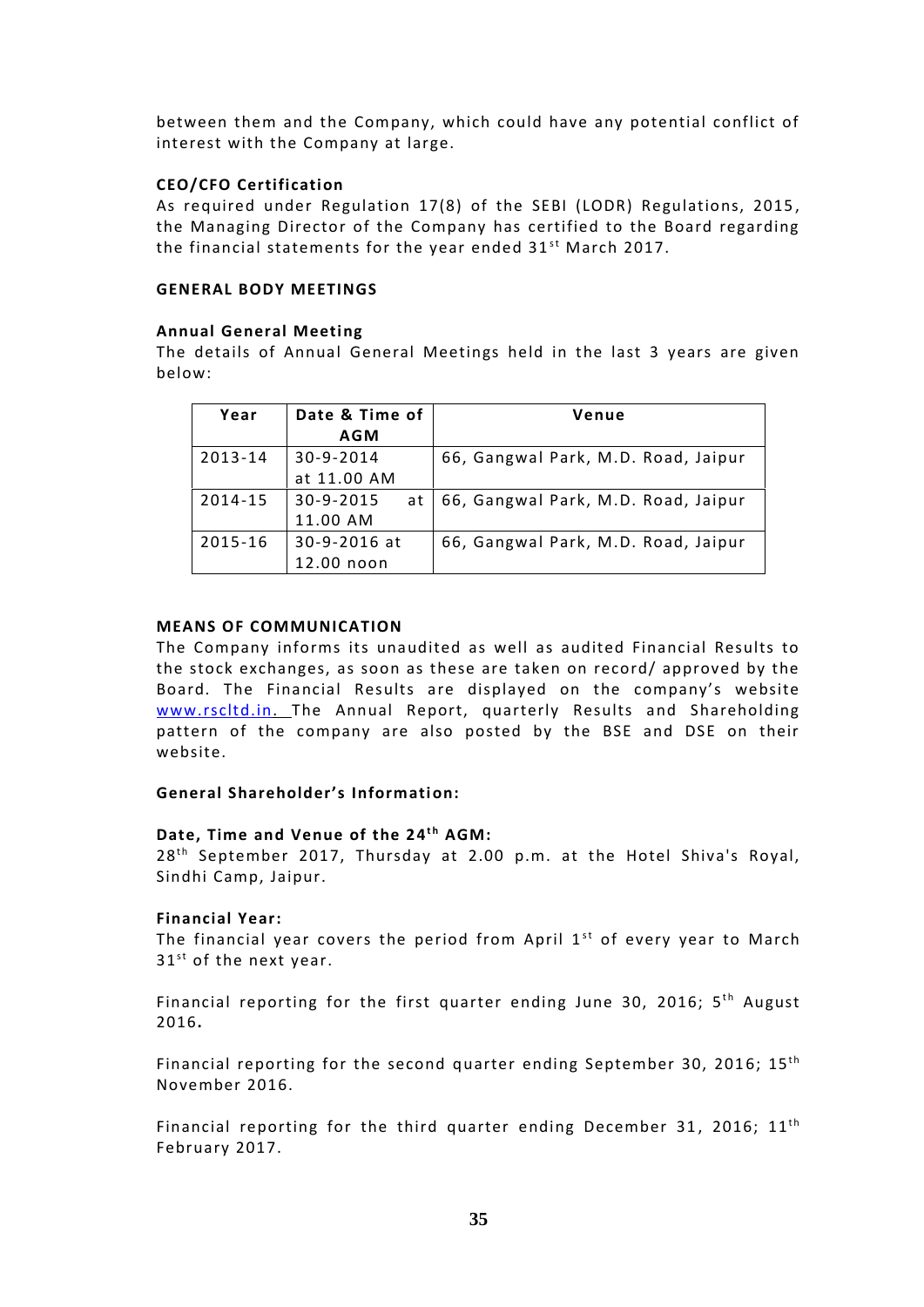between them and the Company, which could have any potential conflict of interest with the Company at large.

# **CEO/CFO Certification**

As required under Regulation 17(8) of the SEBI (LODR) Regulations, 2015 , the Managing Director of the Company has certified to the Board regarding **CEO/CFO Certification**<br>As required under Regulation 17(8) of the SEBI (LODR) Regulat<br>the Managing Director of the Company has certified to the Boar<br>the financial statements for the year ended 31<sup>st</sup> March 2017.

# **GENERAL BODY MEETINGS**

# **Annual General Meeting**

The details of Annual General Meetings held in the last 3 years are given below:

| Date & Time of<br>Year |                 | Venue                               |  |  |
|------------------------|-----------------|-------------------------------------|--|--|
|                        | <b>AGM</b>      |                                     |  |  |
| 2013-14                | 30-9-2014       | 66, Gangwal Park, M.D. Road, Jaipur |  |  |
|                        | at 11.00 AM     |                                     |  |  |
| 2014-15                | 30-9-2015<br>at | 66, Gangwal Park, M.D. Road, Jaipur |  |  |
|                        | 11.00 AM        |                                     |  |  |
| 2015-16                | 30-9-2016 at    | 66, Gangwal Park, M.D. Road, Jaipur |  |  |
|                        | 12.00 noon      |                                     |  |  |

# **MEANS OF COMMUNICATION**

The Company informs its unaudited as well as audited Financial Results to the stock exchanges, as soon as these are taken on record/ approved by the Board. The Financial Results are displayed on the company's website www.rscltd.in. The Annual Report, quarterly Results and Shareholding pattern of the company are also posted by the BSE and DSE on their website.

# **General Shareholder's Information:**

# General Shareholder's Information:<br>Date, Time and Venue of the 24<sup>th</sup> AGM:<br>28th Sentember 2017, Thureday at 2.00 n

28<sup>th</sup> September 2017, Thursday at 2.00 p.m. at the Hotel Shiva's Royal, Sindhi Camp, Jaipur.

# **Financial Year:**

Sindhi Camp, Jaipur.<br>**Financial Year:**<br>The financial year covers the period from April 1<sup>st</sup> of every year to March<br>31<sup>st</sup> of the next year. **Financial Year:**<br>The financial year cover<br>31<sup>st</sup> of the next year. The financial year covers the period from April 1<sup>st</sup> of every year to March<br>31<sup>st</sup> of the next year.<br>Financial reporting for the first quarter ending June 30, 2016; 5<sup>th</sup> August<br>2016

2016**.** st<br>th

Financial reporting for the second quarter ending September 30, 2016;  $15<sup>th</sup>$ November 2016. th<br>th

Financial reporting for the third quarter ending December 31, 2016;  $11<sup>th</sup>$ February 2017.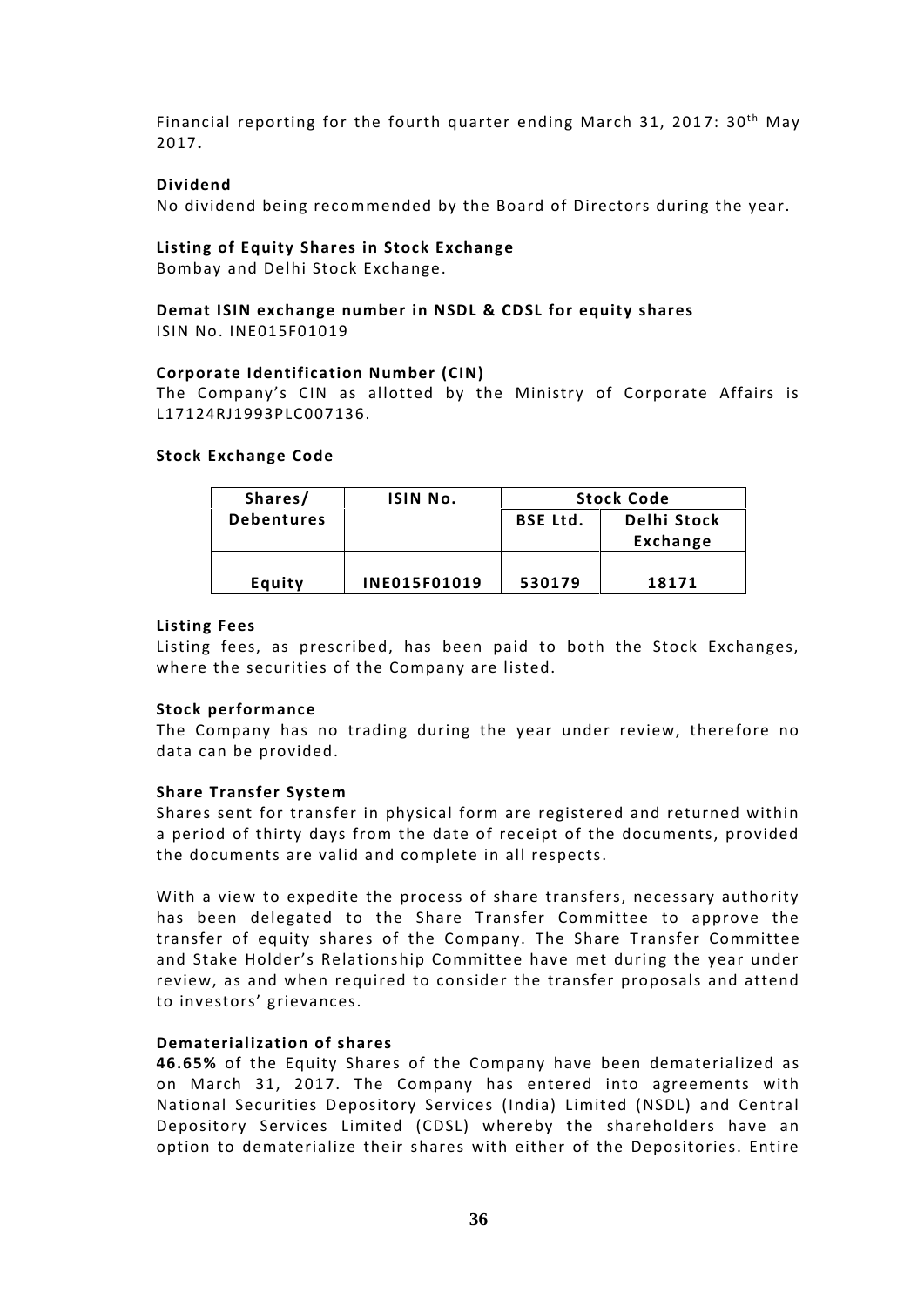Financial reporting for the fourth quarter ending March 31, 2017: 30<sup>th</sup> May 2017**.**

# **Dividend**

No dividend being recommended by the Board of Directors during the year.

# **Listing of Equity Shares in Stock Exchange**

Bombay and Delhi Stock Exchange.

# **Demat ISIN exchange number in NSDL & CDSL for equity shares** ISIN No. INE015F01019

# **Corporate Identification Number (CIN)**

The Company's CIN as allotted by the Ministry of Corporate Affairs is L17124RJ1993PLC007136.

# **Stock Exchange Code**

| Shares/           | ISIN No.            | <b>Stock Code</b> |                         |  |
|-------------------|---------------------|-------------------|-------------------------|--|
| <b>Debentures</b> |                     | <b>BSE Ltd.</b>   | Delhi Stock<br>Exchange |  |
| Equity            | <b>INE015F01019</b> | 530179            | 18171                   |  |

# **Listing Fees**

Listing fees, as prescribed, has been paid to both the Stock Exchanges, where the securities of the Company are listed.

# **Stock performance**

The Company has no trading during the year under review, therefore no data can be provided.

# **Share Transfer System**

Shares sent for transfer in physical form are registered and returned within a period of thirty days from the date of receipt of the documents, provided the documents are valid and complete in all respects.

With a view to expedite the process of share transfers, necessary authority has been delegated to the Share Transfer Committee to approve the transfer of equity shares of the Company. The Share Transfer Committee and Stake Holder's Relationship Committee have met during the year under review, as and when required to consider the transfer proposals and attend to investors' grievances.

# **Dematerialization of shares**

**46.65%** of the Equity Shares of the Company have been dematerialized as on March 31, 2017. The Company has entered into agreements with National Securities Depository Services (India) Limited (NSDL) and Central Depository Services Limited (CDSL) whereby the shareholders have an option to dematerialize their shares with either of the Depositories. Entire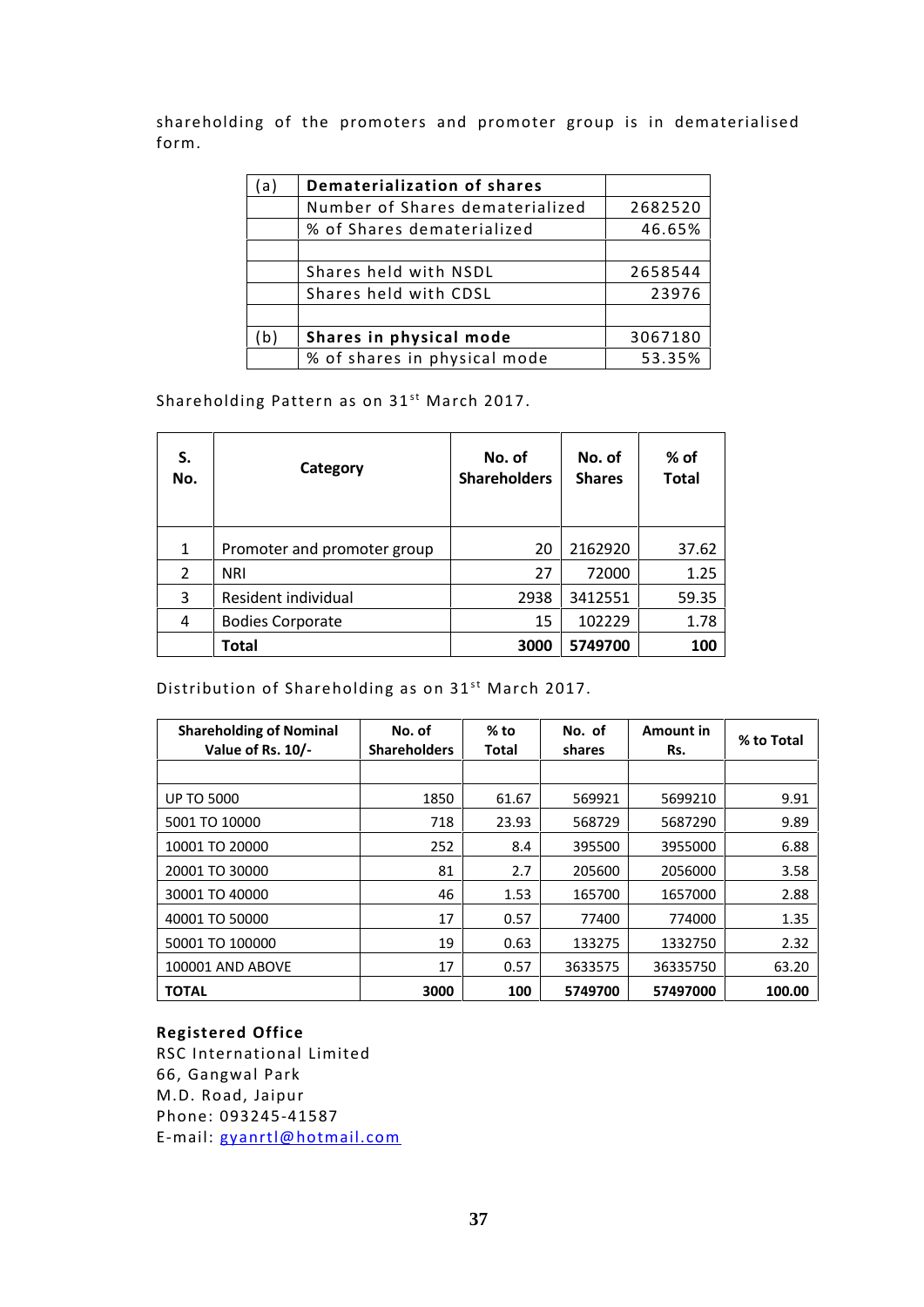shareholding of the promoters and promoter group is in dematerialised form.

| l a l | Dematerialization of shares     |         |
|-------|---------------------------------|---------|
|       | Number of Shares dematerialized | 2682520 |
|       | % of Shares dematerialized      | 46.65%  |
|       |                                 |         |
|       | Shares held with NSDL           | 2658544 |
|       | Shares held with CDSL           | 23976   |
|       |                                 |         |
| (b)   | Shares in physical mode         | 3067180 |
|       | % of shares in physical mode    | 53.35%  |

Shareholding Pattern as on 31<sup>st</sup> March 2017.

| S.<br>No.   | Category                    | No. of<br><b>Shareholders</b> | No. of<br><b>Shares</b> | % of<br><b>Total</b> |
|-------------|-----------------------------|-------------------------------|-------------------------|----------------------|
| $\mathbf 1$ | Promoter and promoter group | 20                            | 2162920                 | 37.62                |
| 2           | <b>NRI</b>                  | 27                            | 72000                   | 1.25                 |
| 3           | Resident individual         | 2938                          | 3412551                 | 59.35                |
| 4           | <b>Bodies Corporate</b>     | 15                            | 102229                  | 1.78                 |
|             | <b>Total</b>                | 3000                          | 5749700                 | 100                  |

Distribution of Shareholding as on 31<sup>st</sup> March 2017.

| <b>Shareholding of Nominal</b><br>Value of Rs. 10/- | No. of<br><b>Shareholders</b> | $%$ to<br><b>Total</b> | No. of<br>shares | Amount in<br>Rs. | % to Total |
|-----------------------------------------------------|-------------------------------|------------------------|------------------|------------------|------------|
|                                                     |                               |                        |                  |                  |            |
| <b>UP TO 5000</b>                                   | 1850                          | 61.67                  | 569921           | 5699210          | 9.91       |
| 5001 TO 10000                                       | 718                           | 23.93                  | 568729           | 5687290          | 9.89       |
| 10001 TO 20000                                      | 252                           | 8.4                    | 395500           | 3955000          | 6.88       |
| 20001 TO 30000                                      | 81                            | 2.7                    | 205600           | 2056000          | 3.58       |
| 30001 TO 40000                                      | 46                            | 1.53                   | 165700           | 1657000          | 2.88       |
| 40001 TO 50000                                      | 17                            | 0.57                   | 77400            | 774000           | 1.35       |
| 50001 TO 100000                                     | 19                            | 0.63                   | 133275           | 1332750          | 2.32       |
| 100001 AND ABOVE                                    | 17                            | 0.57                   | 3633575          | 36335750         | 63.20      |
| <b>TOTAL</b>                                        | 3000                          | 100                    | 5749700          | 57497000         | 100.00     |

# **Registered Office**

RSC International Limited 66, Gangwal Park M.D. Road, Jaipur Phone: 093245-41587 E-mail: gyanrtl@hotmail.com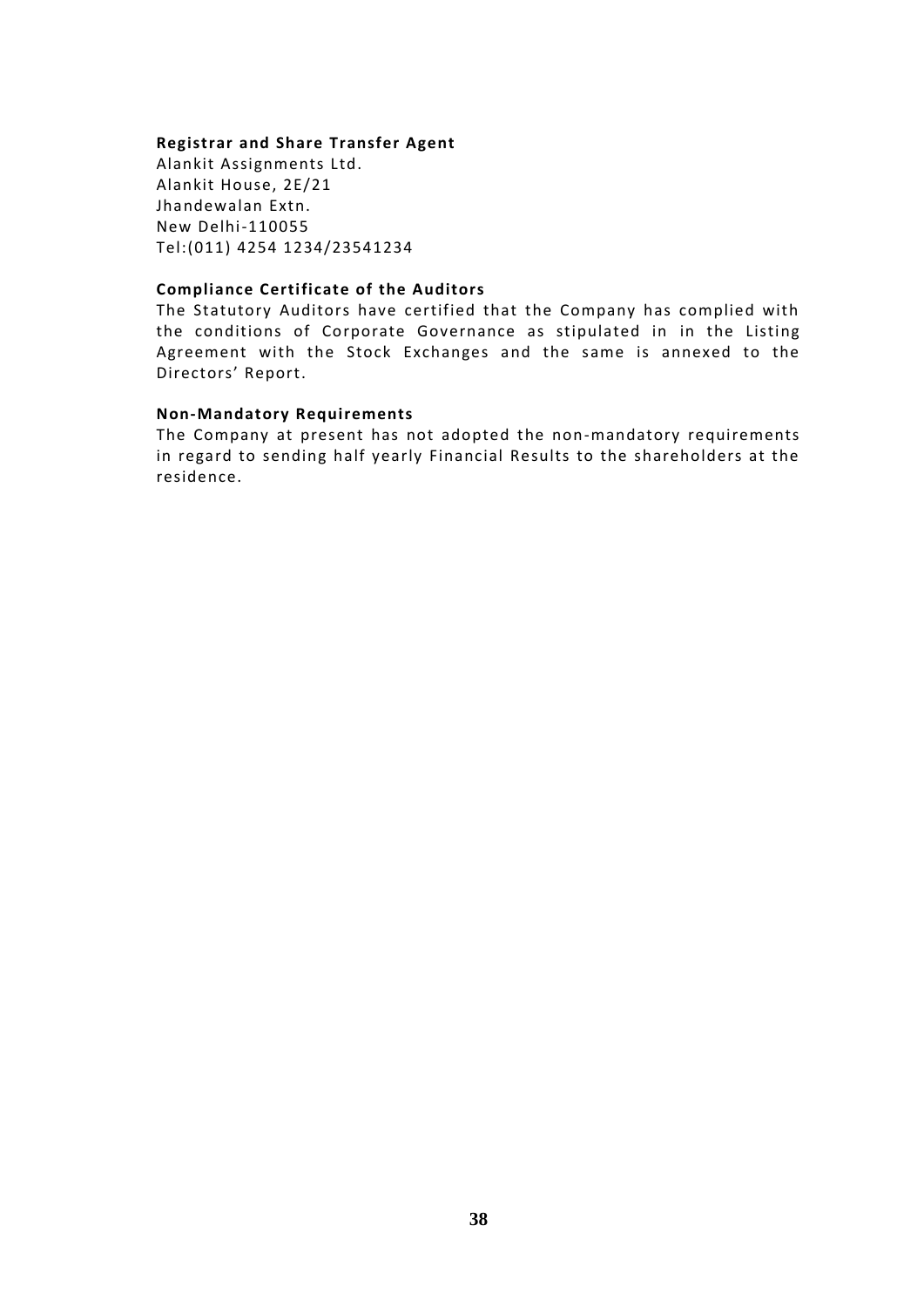# **Registrar and Share Transfer Agent**

Alankit Assignments Ltd. Alankit House, 2E/21 Jhandewalan Extn. New Delhi-110055 Tel:(011) 4254 1234/23541234

# **Compliance Certificate of the Auditors**

The Statutory Auditors have certified that the Company has complied with the conditions of Corporate Governance as stipulated in in the Listing Agreement with the Stock Exchanges and the same is annexed to the Directors' Report.

# **Non-Mandatory Requirements**

The Company at present has not adopted the non-mandatory requirements in regard to sending half yearly Financial Results to the shareholders at the residence.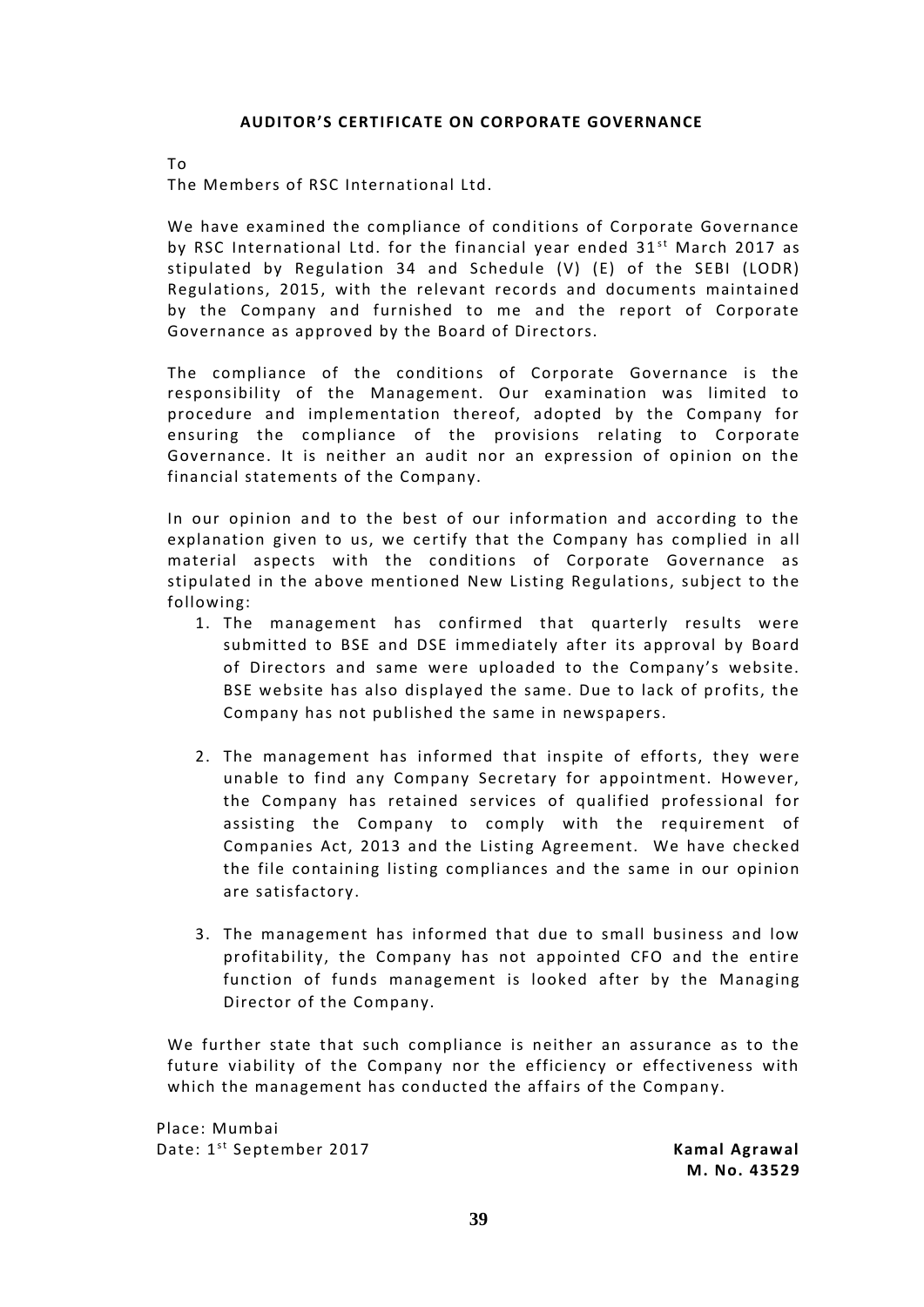# **AUDITOR'S CERTIFICATE ON CORPORATE GOVERNANCE**

To

The Members of RSC International Ltd.

We have examined the compliance of conditions of Corporate Governance by RSC International Ltd. for the financial year ended  $31<sup>st</sup>$  March 2017 as stipulated by Regulation 34 and Schedule (V) (E) of the SEBI (LODR) Regulations, 2015, with the relevant records and documents maintained by the Company and furnished to me and the report of Corporate Governance as approved by the Board of Directors.

The compliance of the conditions of Corporate Governance is the responsibility of the Management. Our examination was limited to procedure and implementation thereof, adopted by the Company for ensuring the compliance of the provisions relating to Corporate Governance. It is neither an audit nor an expression of opinion on the financial statements of the Company.

In our opinion and to the best of our information and according to the explanation given to us, we certify that the Company has complied in all material aspects with the conditions of Corporate Governance as stipulated in the above mentioned New Listing Regulations, subject to the following:

- 1. The management has confirmed that quarterly results were submitted to BSE and DSE immediately after its approval by Board of Directors and same were uploaded to the Company's website. BSE website has also displayed the same. Due to lack of profits, the Company has not published the same in newspapers.
- 2. The management has informed that inspite of efforts, they were unable to find any Company Secretary for appointment. However, the Company has retained services of qualified professional for assisting the Company to comply with the requirement of Companies Act, 2013 and the Listing Agreement. We have checked the file containing listing compliances and the same in our opinion are satisfactory .
- 3. The management has informed that due to small business and low profitability, the Company has not appointed CFO and the entire function of funds management is looked after by the Managing Director of the Company.

We further state that such compliance is neither an assurance as to the future viability of the Company nor the efficiency or effectiveness with which the management has conducted the affairs of the Company.<br>lace: Mumbai<br>ate: 1<sup>st</sup> September 2017 **Kamal Agrawal** 

Place: Mumbai Date: 1<sup>st</sup> September 2017

**M. No. 43529**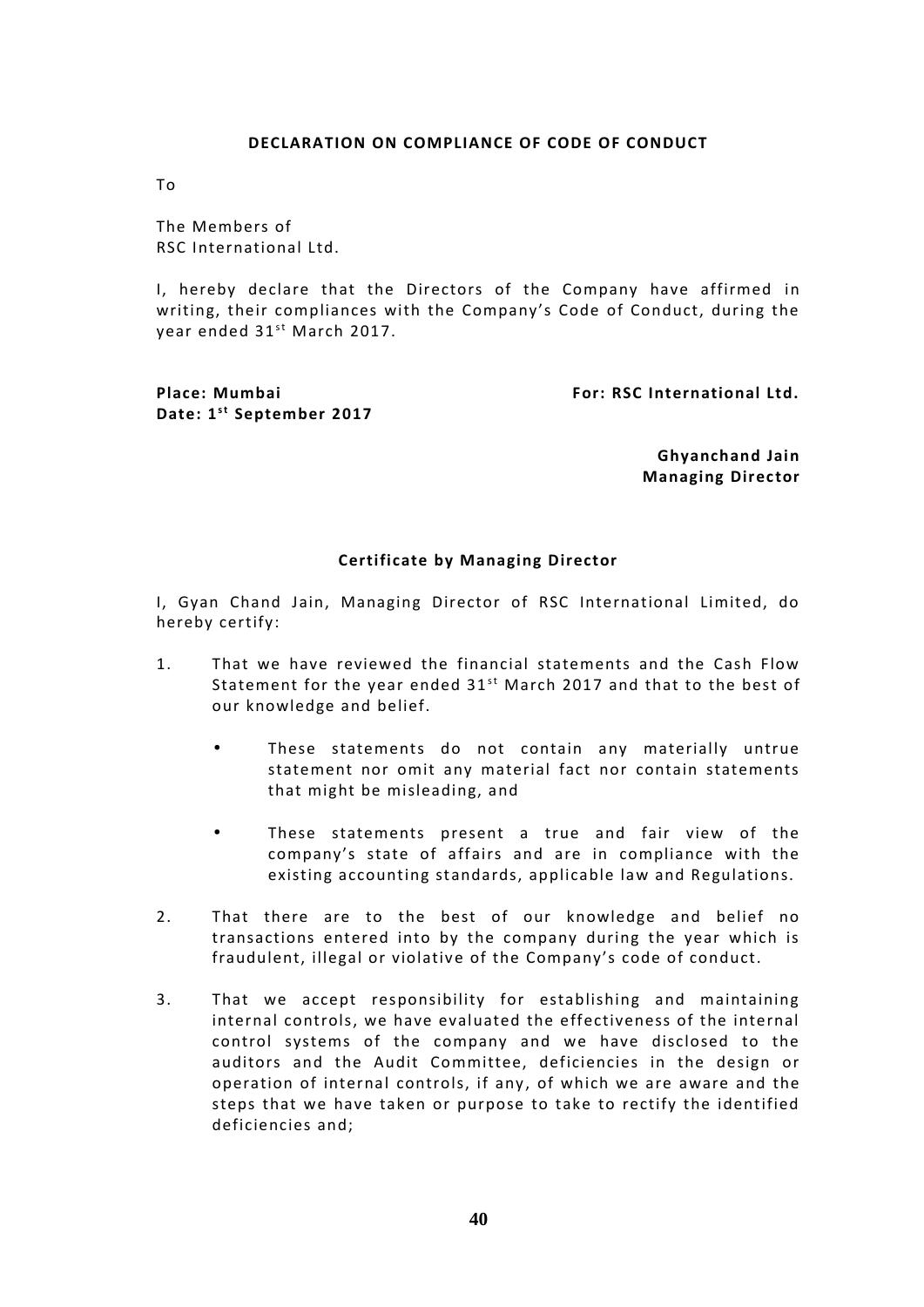# **DECLARATION ON COMPLIANCE OF CODE OF CONDUCT**

To

The Members of RSC International Ltd.

I, hereby declare that the Directors of the Company have affirmed in writing, their compliances with the Company's Code of Conduct, during the I, hereby declare that the Dii<br>writing, their compliances with<br>year ended 31<sup>st</sup> March 2017.

**Date: 1 s t September <sup>2017</sup>**

**Place: Mumbai For: RSC International Ltd.**

**Ghyanchand Jain Managing Director**

# **Certificate by Managing Director**

I, Gyan Chand Jain, Managing Director of RSC International Limited, do hereby certify:

- 1. That we have reviewed the financial statements and the Cash Flow Statement for the year ended  $31<sup>st</sup>$  March 2017 and that to the best of our knowledge and belief.
	- These statements do not contain any materially untrue statement nor omit any material fact nor contain statements that might be misleading, and
	- These statements present a true and fair view of the company's state of affairs and are in compliance with the existing accounting standards, applicable law and Regulations.
- 2. That there are to the best of our knowledge and belief no transactions entered into by the company during the year which is fraudulent, illegal or violative of the Company's code of conduct.
- 3. That we accept responsibility for establishing and maintaining internal controls, we have evaluated the effectiveness of the internal control systems of the company and we have disclosed to the auditors and the Audit Committee, deficiencies in the design or operation of internal controls, if any , of which we are aware and the steps that we have taken or purpose to take to rectify the identified deficiencies and;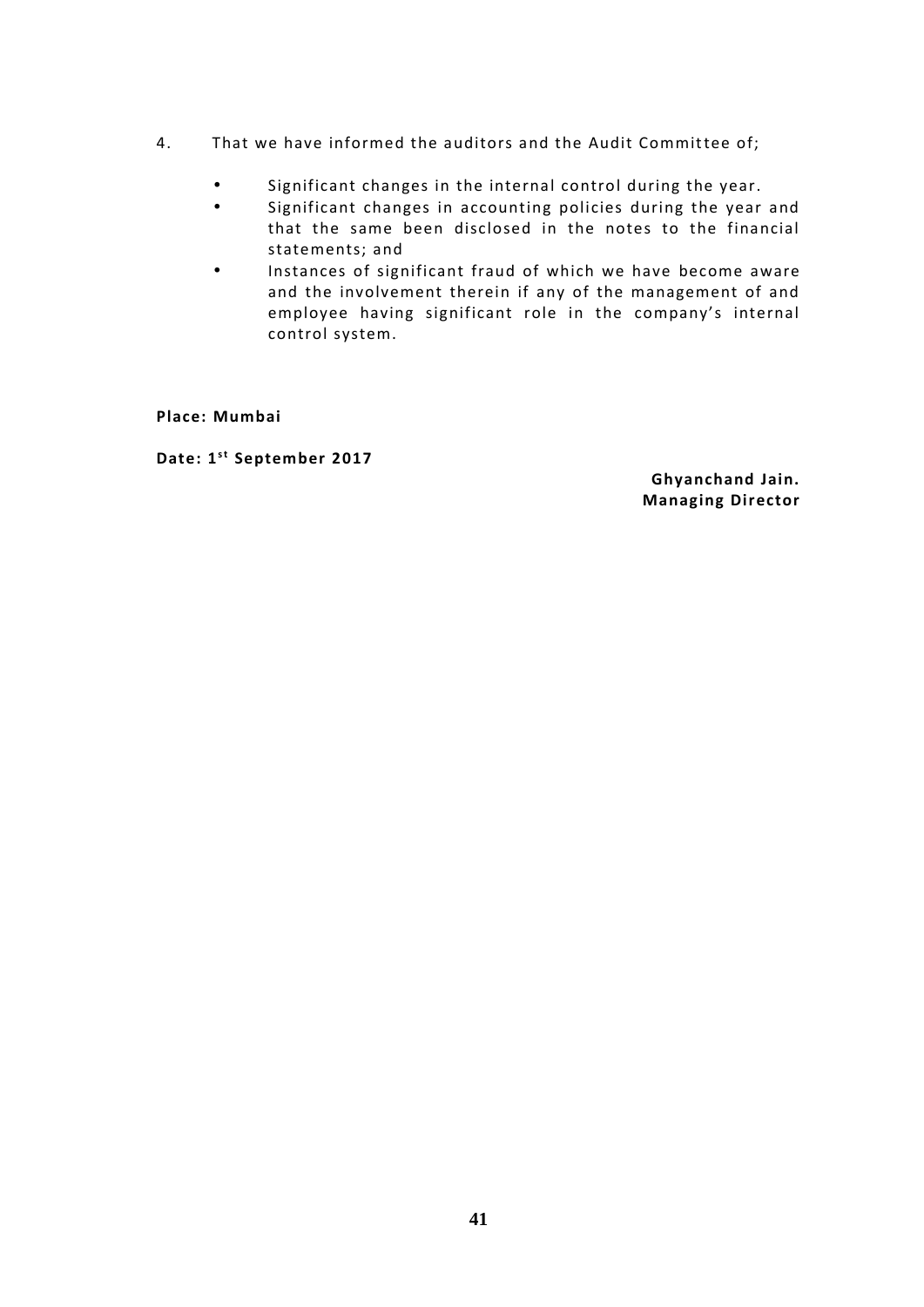- 4. That we have informed the auditors and the Audit Committee of;
	- Significant changes in the internal control during the year.
	- Significant changes in accounting policies during the year and that the same been disclosed in the notes to the financial statements; and
	- Instances of significant fraud of which we have become aware and the involvement therein if any of the management of and employee having significant role in the company's internal control system.

**Place: Mumbai**

**Date: 1 s t September <sup>2017</sup>**

**Ghyanchand Jain. Managing Director**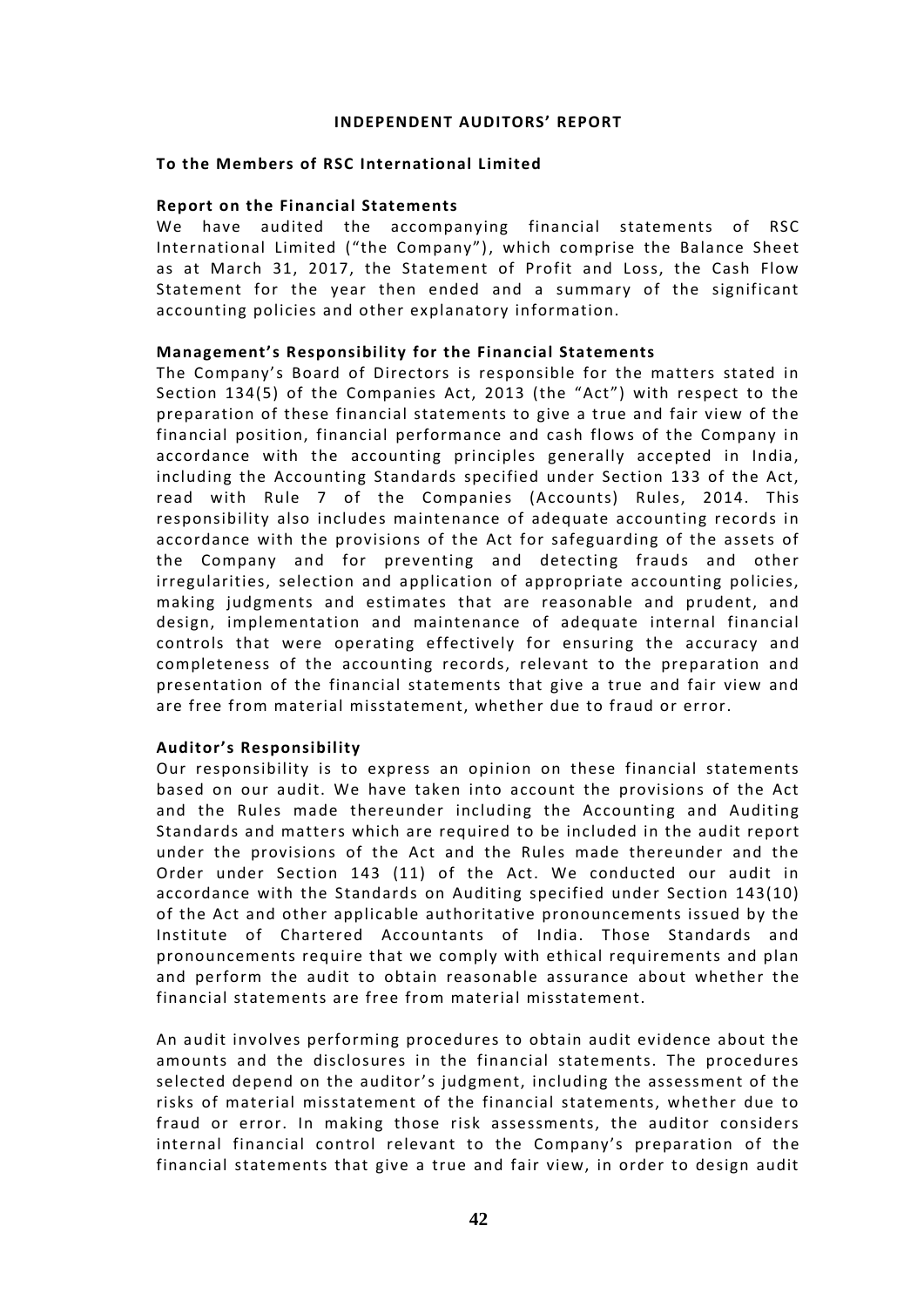# **INDEPENDENT AUDITORS' REPORT**

# **To the Members of RSC International Limited**

# **Report on the Financial Statements**

We have audited the accompanying financial statements of RSC International Limited ("the Company"), which comprise the Balance Sheet as at March 31, 2017, the Statement of Profit and Loss, the Cash Flow Statement for the year then ended and a summary of the significant accounting policies and other explanatory information.

# **Management's Responsibility for the Financial Statements**

The Company's Board of Directors is responsible for the matters stated in Section 134(5) of the Companies Act, 2013 (the "Act") with respect to the preparation of these financial statements to give a true and fair view of the financial position, financial performance and cash flows of the Company in accordance with the accounting principles generally accepted in India, including the Accounting Standards specified under Section 133 of the Act, read with Rule 7 of the Companies (Accounts) Rules, 2014. This responsibility also includes maintenance of adequate accounting records in accordance with the provisions of the Act for safeguarding of the assets of the Company and for preventing and detecting frauds and other irregularities, selection and application of appropriate accounting policies, making judgments and estimates that are reasonable and prudent, and design, implementation and maintenance of adequate internal financial controls that were operating effectively for ensuring the accuracy and completeness of the accounting records, relevant to the preparation and presentation of the financial statements that give a true and fair view and are free from material misstatement, whether due to fraud or error.

# **Auditor's Responsibility**

Our responsibility is to express an opinion on these financial statements based on our audit. We have taken into account the provisions of the Act and the Rules made thereunder including the Accounting and Auditing Standards and matters which are required to be included in the audit report under the provisions of the Act and the Rules made thereunder and the Order under Section 143 (11) of the Act. We conducted our audit in accordance with the Standards on Auditing specified under Section 143(10) of the Act and other applicable authoritative pronouncements issued by the Institute of Chartered Accountants of India. Those Standards and pronouncements require that we comply with ethical requirements and plan and perform the audit to obtain reasonable assurance about whether the financial statements are free from material misstatement.

An audit involves performing procedures to obtain audit evidence about the amounts and the disclosures in the financial statements. The procedures selected depend on the auditor's judgment, including the assessment of the risks of material misstatement of the financial statements, whether due to fraud or error. In making those risk assessments, the auditor considers internal financial control relevant to the Company's preparation of the financial statements that give a true and fair view, in order to design audit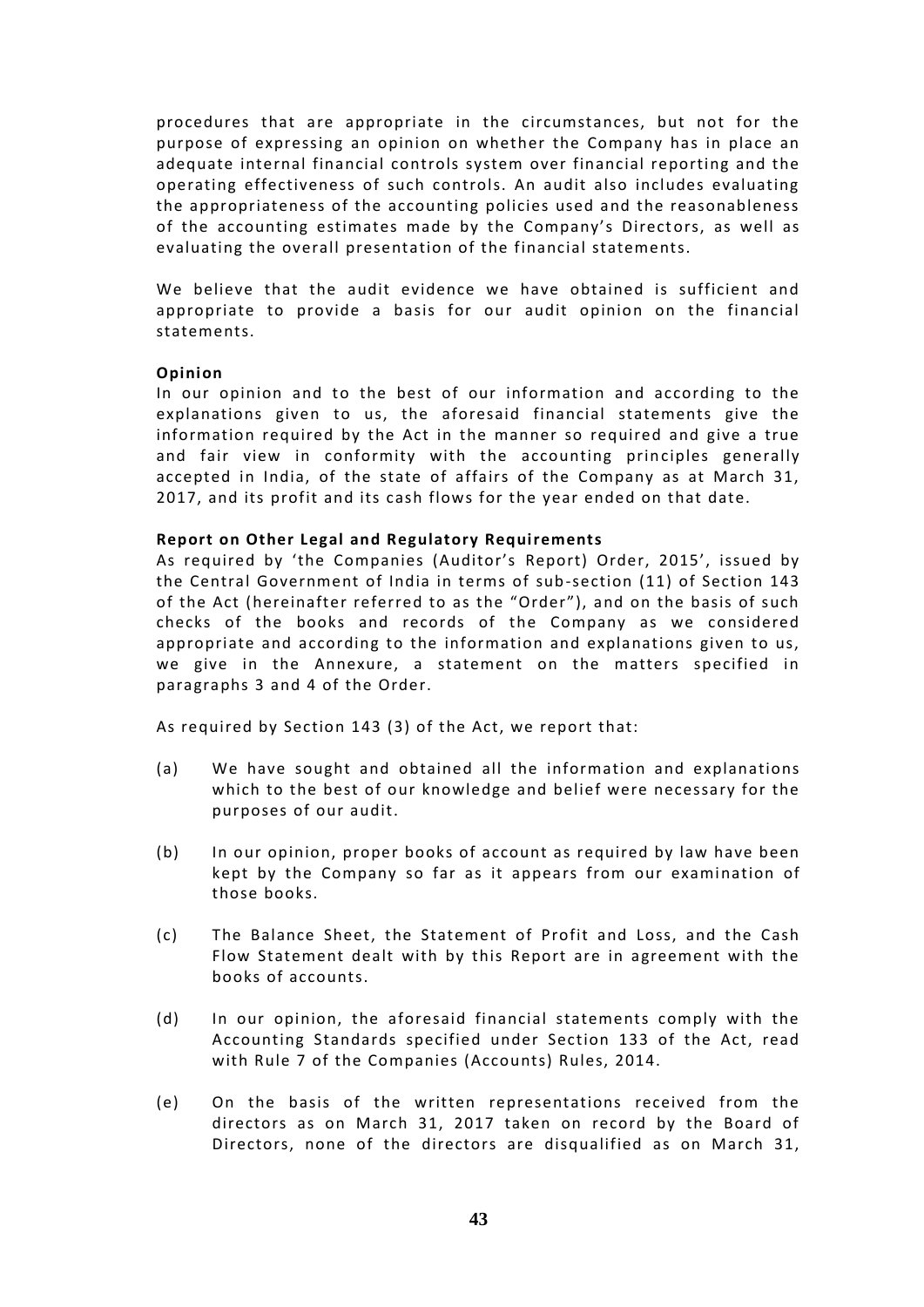procedures that are appropriate in the circumstances, but not for the purpose of expressing an opinion on whether the Company has in place an adequate internal financial controls system over financial reporting and the operating effectiveness of such controls. An audit also includes evaluating the appropriateness of the accounting policies used and the reasonableness of the accounting estimates made by the Company's Directors, as well as evaluating the overall presentation of the financial statements.

We believe that the audit evidence we have obtained is sufficient and appropriate to provide a basis for our audit opinion on the financial statements.

# **Opinion**

In our opinion and to the best of our information and according to the explanations given to us, the aforesaid financial statements give the information required by the Act in the manner so required and give a true and fair view in conformity with the accounting principles generally accepted in India, of the state of affairs of the Company as at March 31, 2017, and its profit and its cash flows for the year ended on that date.

# **Report on Other Legal and Regulatory Requirements**

As required by 'the Companies (Auditor's Report) Order, 2015', issued by the Central Government of India in terms of sub-section (11) of Section 143 of the Act (hereinafter referred to as the "Order"), and on the basis of such checks of the books and records of the Company as we considered appropriate and according to the information and explanations given to us, we give in the Annexure, a statement on the matters specified in paragraphs 3 and 4 of the Order.

As required by Section 143 (3) of the Act, we report that:

- (a) We have sought and obtained all the information and explanations which to the best of our knowledge and belief were necessary for the purposes of our audit.
- (b) In our opinion, proper books of account as required by law have been kept by the Company so far as it appears from our examination of those books.
- (c) The Balance Sheet, the Statement of Profit and Loss, and the Cash Flow Statement dealt with by this Report are in agreement with the books of accounts.
- (d) In our opinion, the aforesaid financial statements comply with the Accounting Standards specified under Section 133 of the Act, read with Rule 7 of the Companies (Accounts) Rules, 2014.
- (e) On the basis of the written representations received from the directors as on March 31, 2017 taken on record by the Board of Directors, none of the directors are disqualified as on March 31,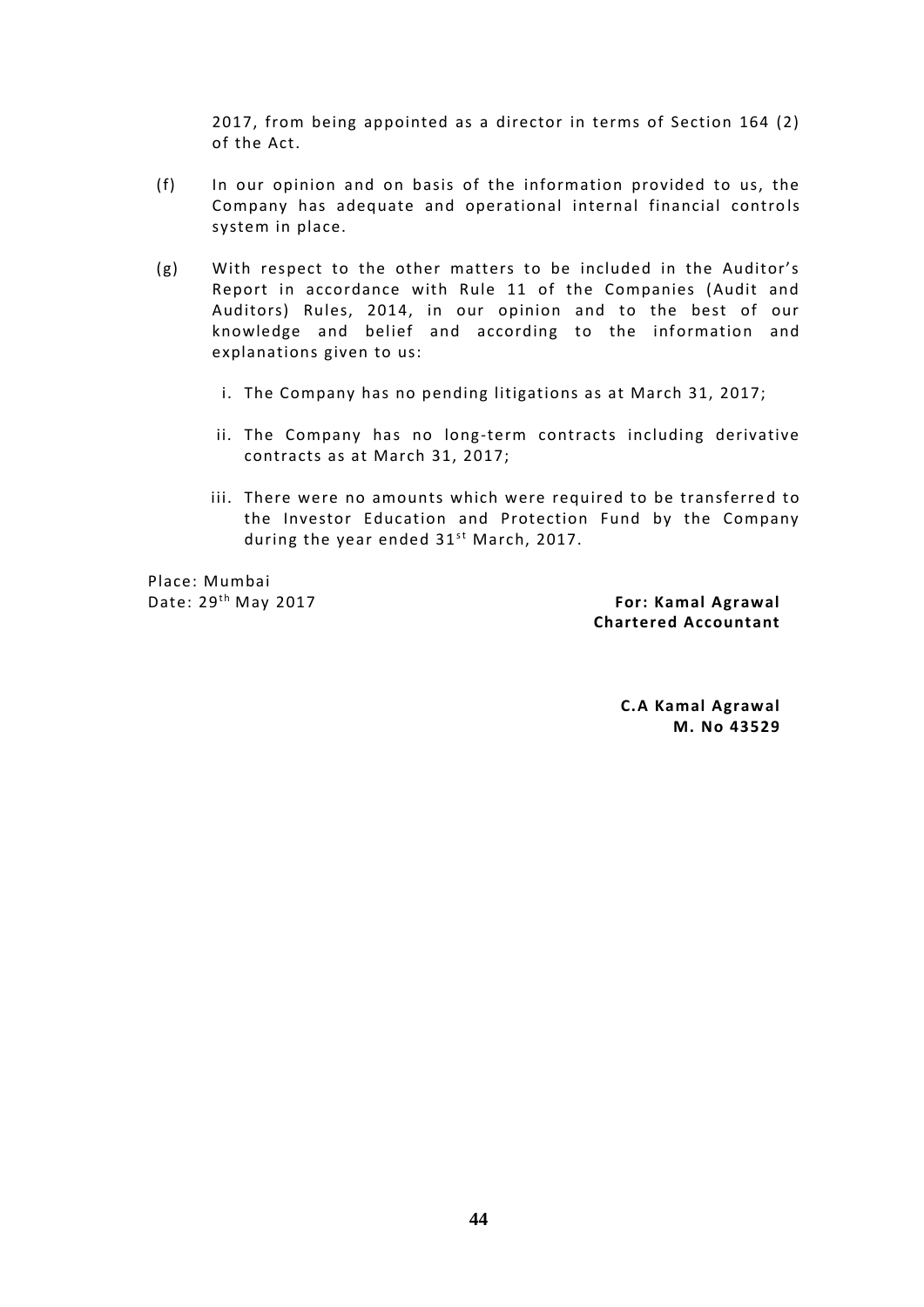2017, from being appointed as a director in terms of Section 164 (2) of the Act.

- (f) In our opinion and on basis of the information provided to us, the Company has adequate and operational internal financial controls system in place.
- (g) With respect to the other matters to be included in the Auditor's Report in accordance with Rule 11 of the Companies (Audit and Auditors) Rules, 2014, in our opinion and to the best of our knowledge and belief and according to the information and explanations given to us:
	- i. The Company has no pending litigations as at March 31, 2017;
	- ii. The Company has no long-term contracts including derivative contracts as at March 31, 2017;
- iii. There were no amounts which were required to be transferred to the Investor Education and Protection Fund by the Company There were no amounts which were require<br>the Investor Education and Protection Fi<br>during the year ended 31<sup>st</sup> March, 2017. during the year ended 31<sup>st</sup> March, 2017.<br>Place: Mumbai **For: Kamal Agrawal**<br>Date: 29<sup>th</sup> May 2017 **For: Kamal Agrawal**

Place: Mumbai

**Chartered Accountant**

**C.A Kamal Agrawal M. No 43529**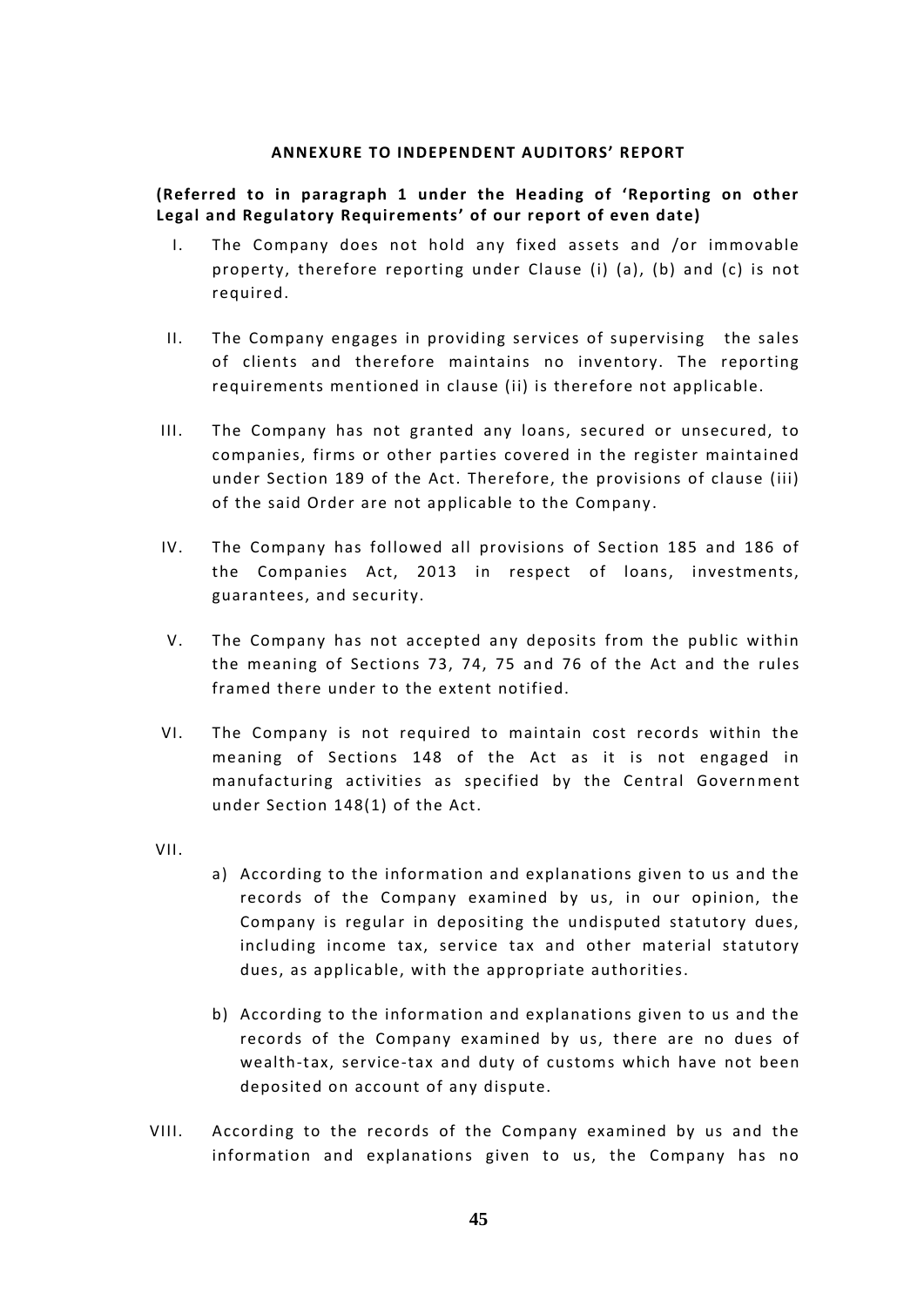# **ANNEXURE TO INDEPENDENT AUDITORS' REPORT**

# **(Referred to in paragraph 1 under the Heading of 'Reporting on other Legal and Regulatory Requirements' of our report of even date)**

- I. The Company does not hold any fixed assets and /or immovable property, therefore reporting under Clause (i) (a), (b) and (c) is not required.
- II. The Company engages in providing services of supervising the sales of clients and therefore maintains no inventory. The reporting requirements mentioned in clause (ii) is therefore not applicable.
- III. The Company has not granted any loans, secured or unsecured, to companies, firms or other parties covered in the register maintained under Section 189 of the Act. Therefore, the provisions of clause (iii) of the said Order are not applicable to the Company .
- IV. The Company has followed all provisions of Section 185 and 186 of the Companies Act, 2013 in respect of loans, investments, guarantees, and security.
- V. The Company has not accepted any deposits from the public within the meaning of Sections 73, 74, 75 and 76 of the Act and the rules framed there under to the extent notified.
- VI. The Company is not required to maintain cost records within the meaning of Sections 148 of the Act as it is not engaged in manufacturing activities as specified by the Central Government under Section 148(1) of the Act.
- VII.
- a) According to the information and explanations given to us and the records of the Company examined by us, in our opinion, the Company is regular in depositing the undisputed statutory dues, including income tax, service tax and other material statutory dues, as applicable, with the appropriate authorities.
- b) According to the information and explanations given to us and the records of the Company examined by us, there are no dues of wealth-tax, service-tax and duty of customs which have not been deposited on account of any dispute.
- VIII. According to the records of the Company examined by us and the information and explanations given to us, the Company has no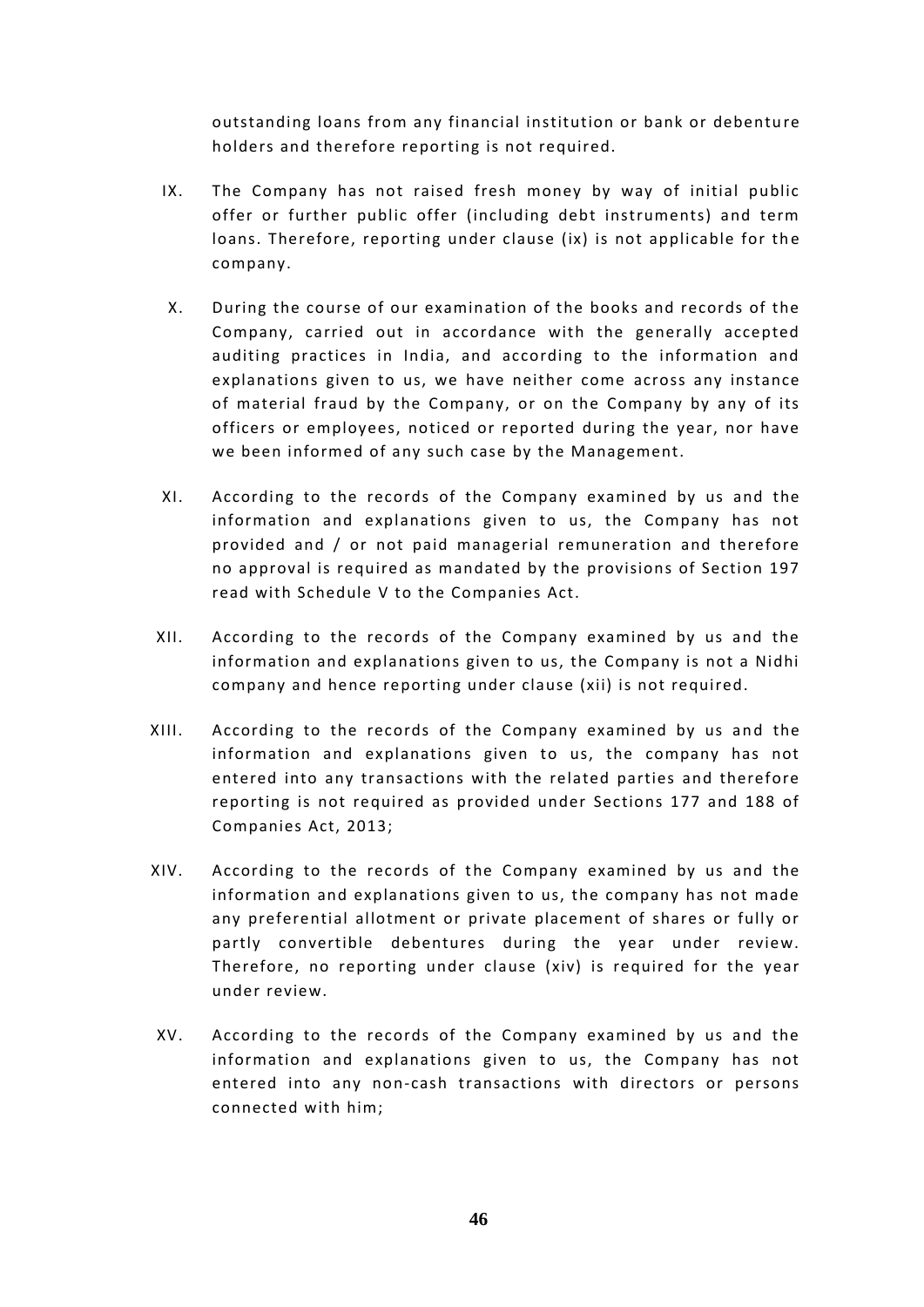outstanding loans from any financial institution or bank or debentu re holders and therefore reporting is not required.

- IX. The Company has not raised fresh money by way of initial public offer or further public offer (including debt instruments) and term loans. Therefore, reporting under clause (ix) is not applicable for the company.
- X. During the course of our examination of the books and records of the Company, carried out in accordance with the generally accepted auditing practices in India, and according to the information and explanations given to us, we have neither come across any instance of material fraud by the Company, or on the Company by any of its officers or employees, noticed or reported during the year, nor have we been informed of any such case by the Management.
- XI. According to the records of the Company examined by us and the information and explanations given to us, the Company has not provided and / or not paid managerial remuneration and therefore no approval is required as mandated by the provisions of Section 197 read with Schedule V to the Companies Act.
- XII. According to the records of the Company examined by us and the information and explanations given to us, the Company is not a Nidhi company and hence reporting under clause (xii) is not required.
- XIII. According to the records of the Company examined by us and the information and explanations given to us, the company has not entered into any transactions with the related parties and therefore reporting is not required as provided under Sections 177 and 188 of Companies Act, 2013;
- XIV. According to the records of the Company examined by us and the information and explanations given to us, the company has not made any preferential allotment or private placement of shares or fully or partly convertible debentures during the year under review. Therefore, no reporting under clause (xiv) is required for the year under review.
- XV. According to the records of the Company examined by us and the information and explanations given to us, the Company has not entered into any non-cash transactions with directors or persons connected with him;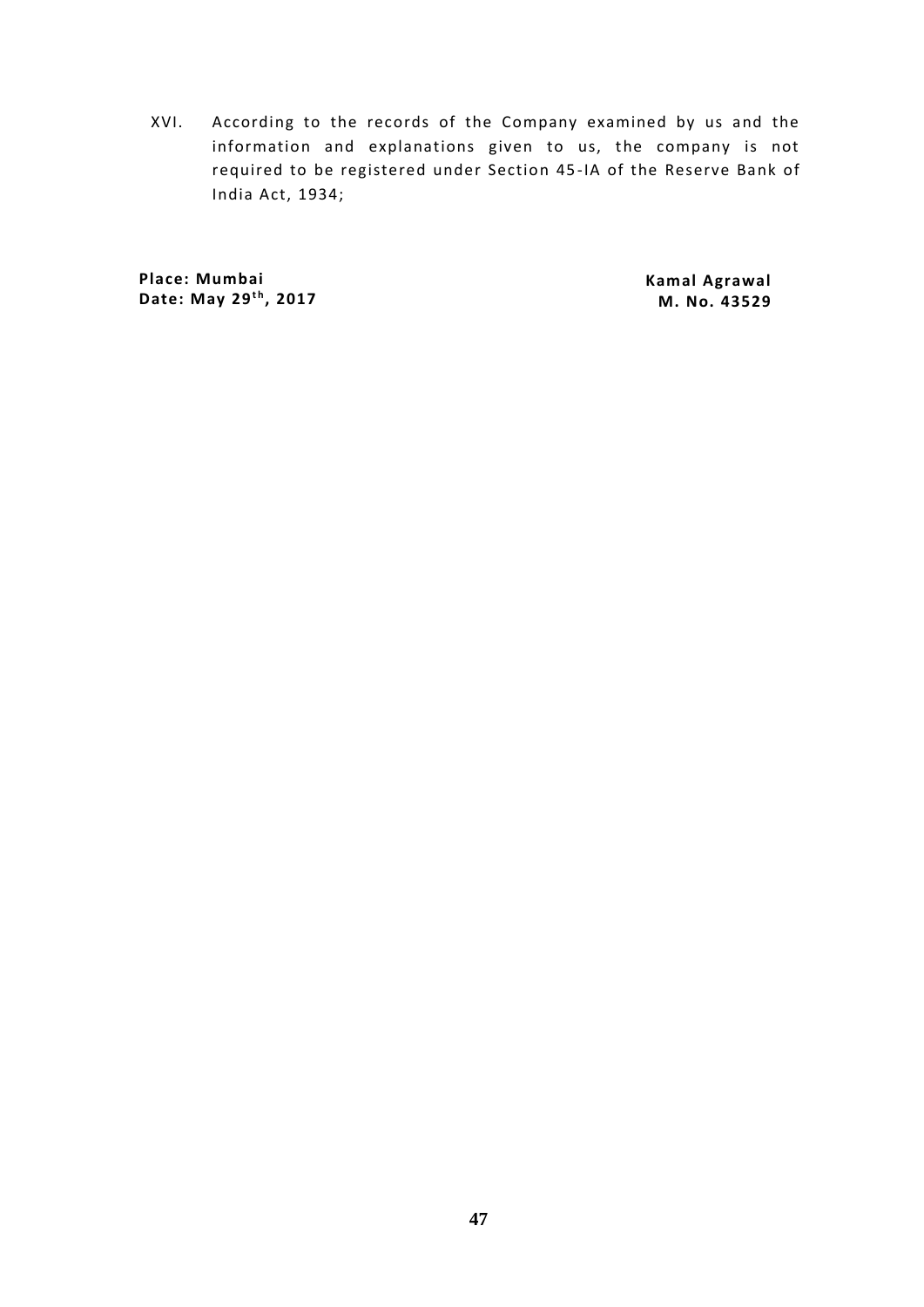XVI. According to the records of the Company examined by us and the information and explanations given to us, the company is not required to be registered under Section 45 -IA of the Reserve Bank of India Act, 1934;

**Place: Mumbai** Place: Mumbai<br>Date: May 29<sup>th</sup>, 2017

**Kamal Agrawal M. No. 43529**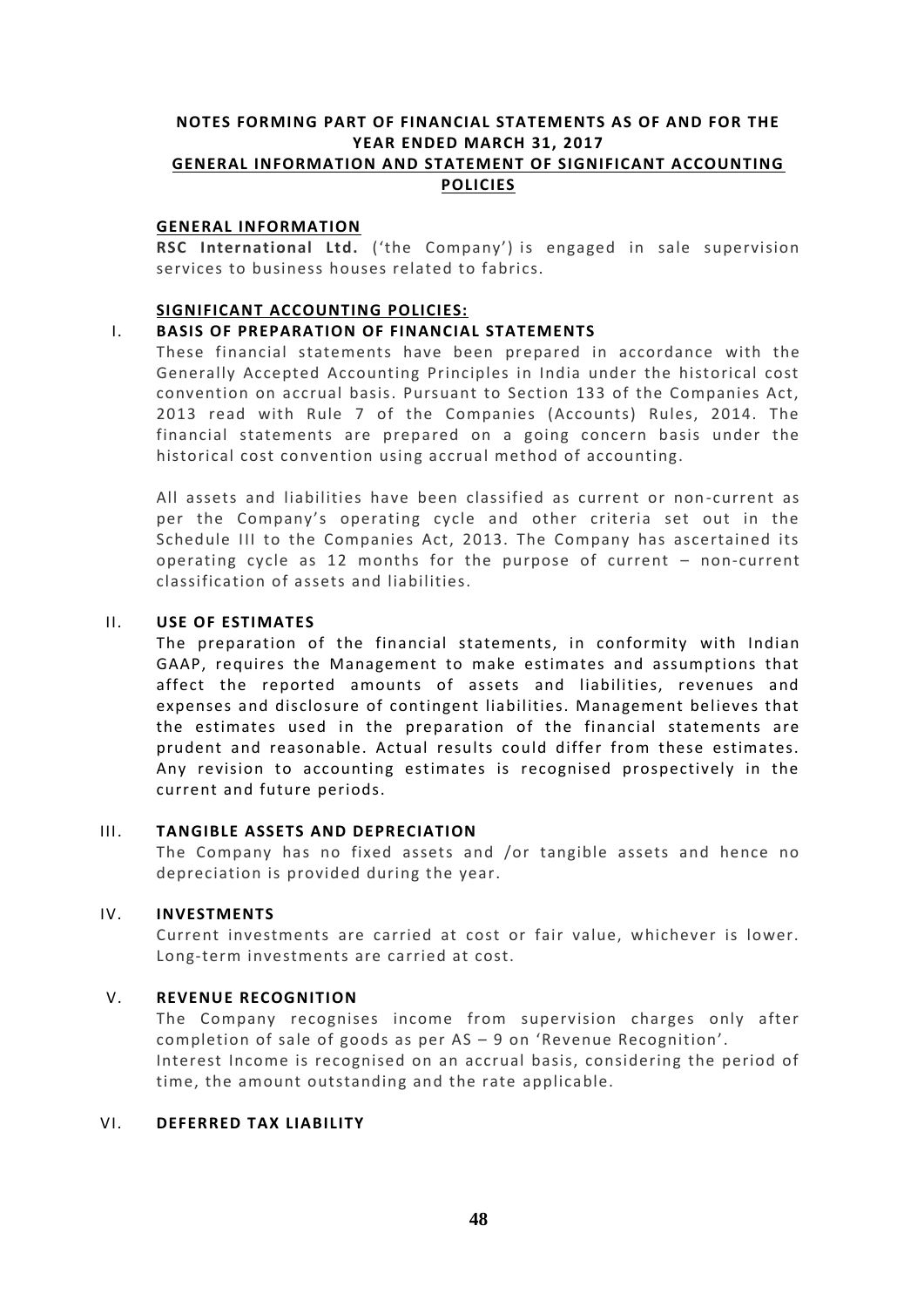# **NOTES FORMING PART OF FINANCIAL STATEMENTS AS OF AND FOR THE YEAR ENDED MARCH 31, 2017 GENERAL INFORMATION AND STATEMENT OF SIGNIFICANT ACCOUNTING POLICIES**

# **GENERAL INFORMATION**

**RSC International Ltd.** ('the Company') is engaged in sale supervision services to business houses related to fabrics.

# **SIGNIFICANT ACCOUNTING POLICIES:**

# I. **BASIS OF PREPARATION OF FINANCIAL STATEMENTS**

These financial statements have been prepared in accordance with the Generally Accepted Accounting Principles in India under the historical cost convention on accrual basis. Pursuant to Section 133 of the Companies Act, 2013 read with Rule 7 of the Companies (Accounts) Rules, 2014. The financial statements are prepared on a going concern basis under the historical cost convention using accrual method of accounting.

All assets and liabilities have been classified as current or non -current as per the Company's operating cycle and other criteria set out in the Schedule III to the Companies Act, 2013. The Company has ascertained its operating cycle as 12 months for the purpose of current – non-current classification of assets and liabilities.

# II. **USE OF ESTIMATES**

The preparation of the financial statements, in conformity with Indian GAAP, requires the Management to make estimates and assumptions that affect the reported amounts of assets and liabilities, revenues and expenses and disclosure of contingent liabilities. Management believes that the estimates used in the preparation of the financial statements are prudent and reasonable. Actual results could differ from these estimates. Any revision to accounting estimates is recognised prospectively in the current and future periods.

# III. **TANGIBLE ASSETS AND DEPRECIATION**

The Company has no fixed assets and /or tangible assets and hence no depreciation is provided during the year.

# IV. **INVESTMENTS**

Current investments are carried at cost or fair value, whichever is lower. Long-term investments are carried at cost.

# V. **REVENUE RECOGNITION**

The Company recognises income from supervision charges only after completion of sale of goods as per AS – 9 on 'Revenue Recognition'. Interest Income is recognised on an accrual basis, considering the period of time, the amount outstanding and the rate applicable.

# VI. **DEFERRED TAX LIABILITY**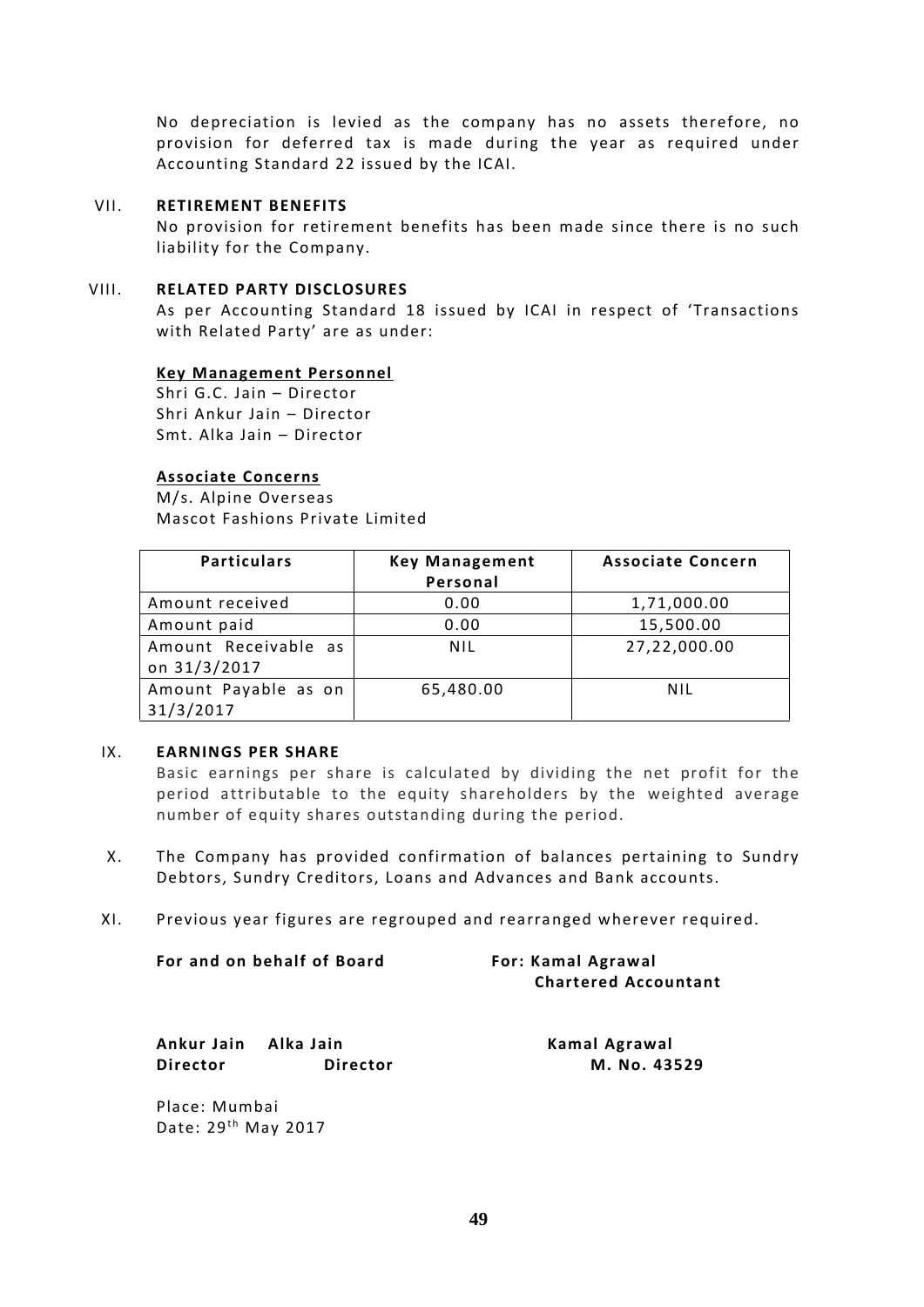No depreciation is levied as the company has no assets therefore, no provision for deferred tax is made during the year as required under Accounting Standard 22 issued by the ICAI.

# VII. **RETIREMENT BENEFITS**

No provision for retirement benefits has been made since there is no such liability for the Company.

# VIII. **RELATED PARTY DISCLOSURES**

As per Accounting Standard 18 issued by ICAI in respect of 'Transactions with Related Party' are as under:

# **Key Management Personnel**

Shri G.C. Jain – Director Shri Ankur Jain – Director Smt. Alka Jain – Director

# **Associate Concerns**

M/s. Alpine Overseas Mascot Fashions Private Limited

| <b>Particulars</b>                   | <b>Key Management</b><br>Personal | <b>Associate Concern</b> |
|--------------------------------------|-----------------------------------|--------------------------|
| Amount received                      | 0.00                              | 1,71,000.00              |
| Amount paid                          | 0.00                              | 15,500.00                |
| Amount Receivable as<br>on 31/3/2017 | <b>NIL</b>                        | 27,22,000.00             |
| Amount Payable as on<br>31/3/2017    | 65,480.00                         | NIL                      |

# IX. **EARNINGS PER SHARE**

Basic earnings per share is calculated by dividing the net profit for the period attributable to the equity shareholders by the weighted average number of equity shares outstanding during the period.

- X. The Company has provided confirmation of balances pertaining to Sundry Debtors, Sundry Creditors, Loans and Advances and Bank accounts.
- XI. Previous year figures are regrouped and rearranged wherever required.

| For and on behalf of Board | <b>For: Kamal Agrawal</b>   |
|----------------------------|-----------------------------|
|                            | <b>Chartered Accountant</b> |
|                            |                             |

**Ankur Jain Alka Jain Kamal Agrawal Director Director M. No. 43529**

Place: Mumbai Date: 29<sup>th</sup> May 2017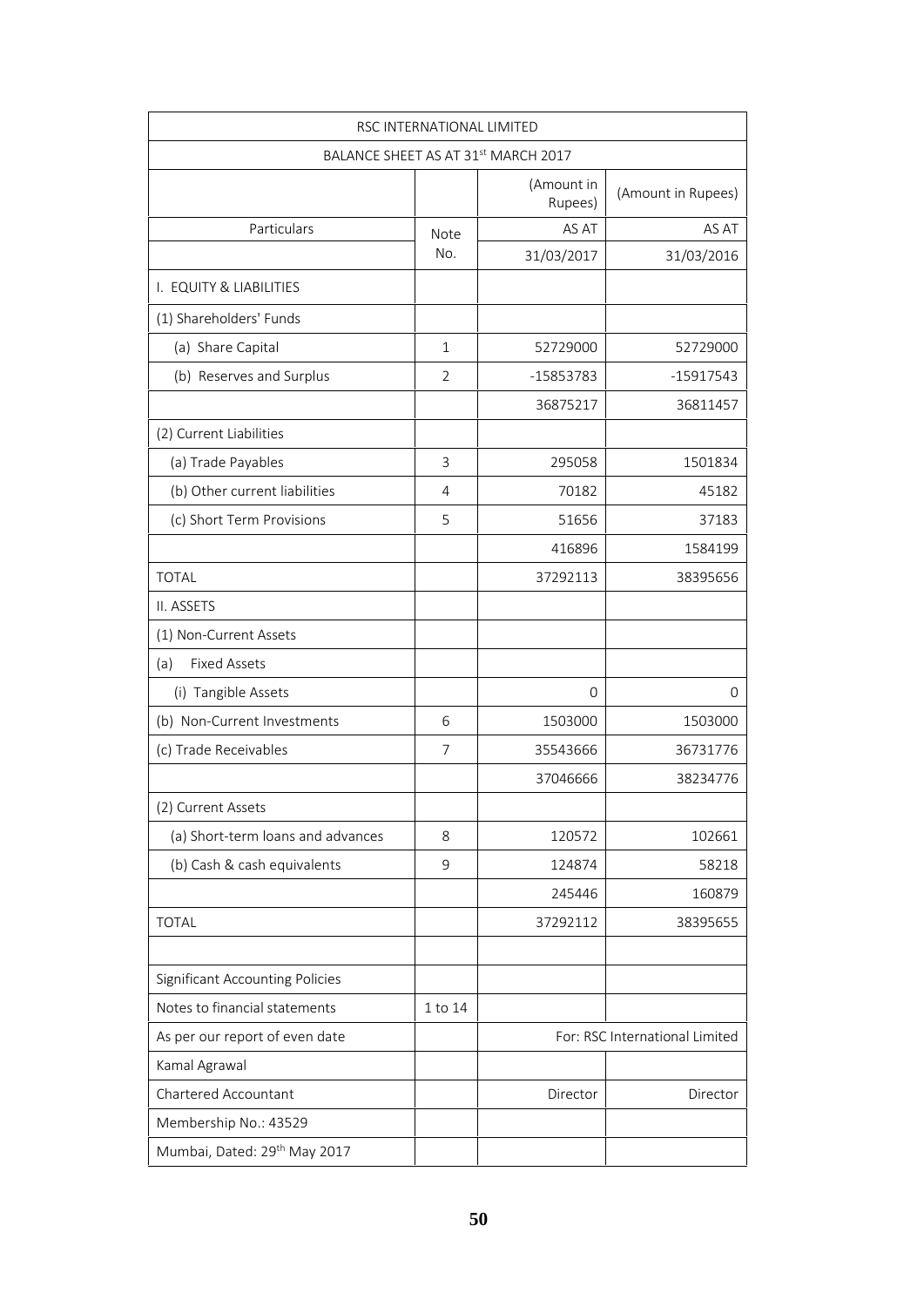|                                          | RSC INTERNATIONAL LIMITED |                                                 |                                |
|------------------------------------------|---------------------------|-------------------------------------------------|--------------------------------|
|                                          |                           | BALANCE SHEET AS AT 31 <sup>st</sup> MARCH 2017 |                                |
|                                          |                           | (Amount in<br>Rupees)                           | (Amount in Rupees)             |
| Particulars                              | Note                      | AS AT                                           | AS AT                          |
|                                          | No.                       | 31/03/2017                                      | 31/03/2016                     |
| I. EQUITY & LIABILITIES                  |                           |                                                 |                                |
| (1) Shareholders' Funds                  |                           |                                                 |                                |
| (a) Share Capital                        | $\mathbf{1}$              | 52729000                                        | 52729000                       |
| (b) Reserves and Surplus                 | 2                         | -15853783                                       | $-15917543$                    |
|                                          |                           | 36875217                                        | 36811457                       |
| (2) Current Liabilities                  |                           |                                                 |                                |
| (a) Trade Payables                       | 3                         | 295058                                          | 1501834                        |
| (b) Other current liabilities            | 4                         | 70182                                           | 45182                          |
| (c) Short Term Provisions                | 5                         | 51656                                           | 37183                          |
|                                          |                           | 416896                                          | 1584199                        |
| <b>TOTAL</b>                             |                           | 37292113                                        | 38395656                       |
| II. ASSETS                               |                           |                                                 |                                |
| (1) Non-Current Assets                   |                           |                                                 |                                |
| <b>Fixed Assets</b><br>(a)               |                           |                                                 |                                |
| (i) Tangible Assets                      |                           | 0                                               | 0                              |
| (b) Non-Current Investments              | 6                         | 1503000                                         | 1503000                        |
| (c) Trade Receivables                    | 7                         | 35543666                                        | 36731776                       |
|                                          |                           | 37046666                                        | 38234776                       |
| (2) Current Assets                       |                           |                                                 |                                |
| (a) Short-term loans and advances        | 8                         | 120572                                          | 102661                         |
| (b) Cash & cash equivalents              | 9                         | 124874                                          | 58218                          |
|                                          |                           | 245446                                          | 160879                         |
| <b>TOTAL</b>                             |                           | 37292112                                        | 38395655                       |
| <b>Significant Accounting Policies</b>   |                           |                                                 |                                |
| Notes to financial statements            | 1 to 14                   |                                                 |                                |
| As per our report of even date           |                           |                                                 | For: RSC International Limited |
| Kamal Agrawal                            |                           |                                                 |                                |
| Chartered Accountant                     |                           | Director                                        | Director                       |
| Membership No.: 43529                    |                           |                                                 |                                |
| Mumbai, Dated: 29 <sup>th</sup> May 2017 |                           |                                                 |                                |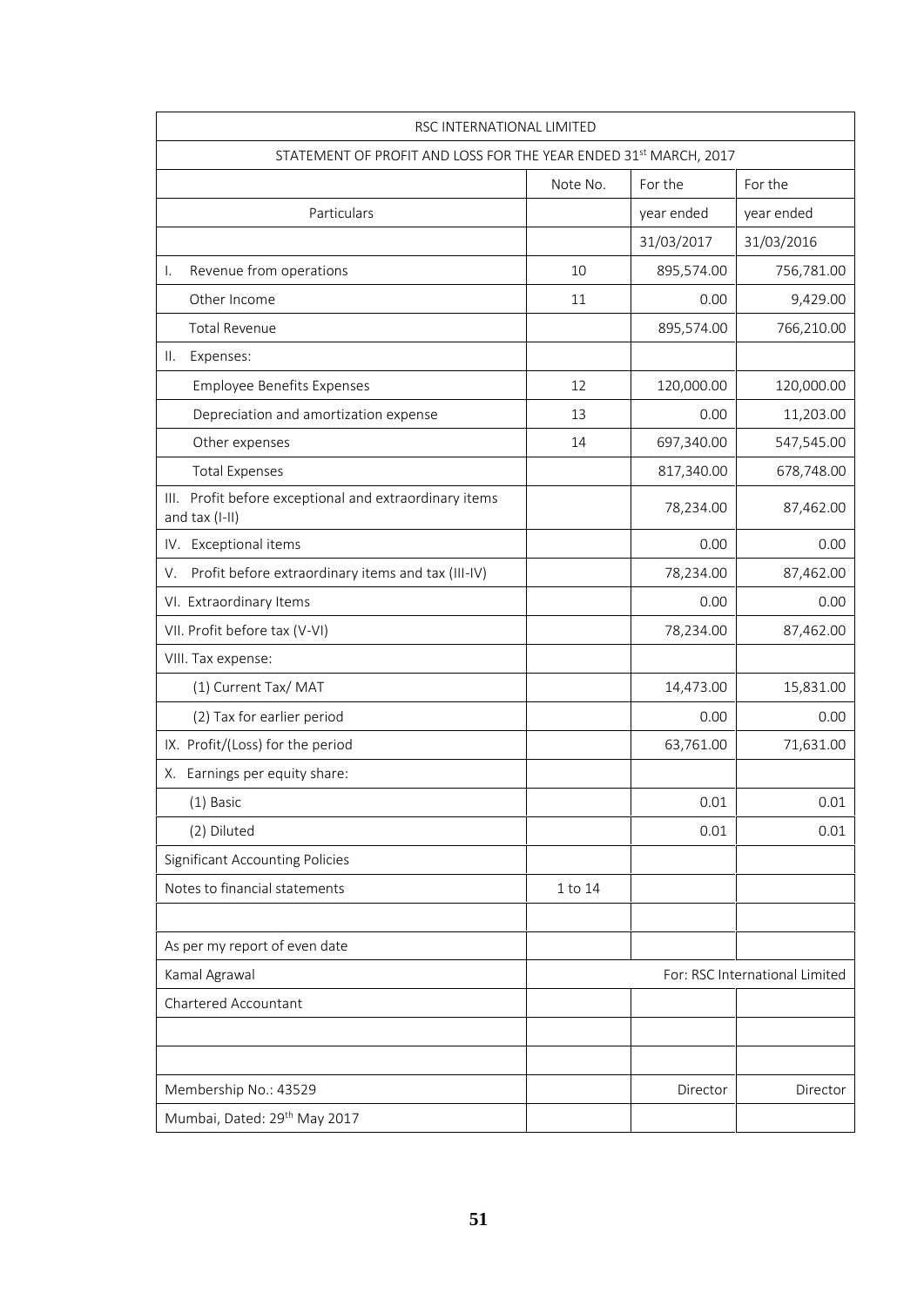| RSC INTERNATIONAL LIMITED                                                |          |            |                                |
|--------------------------------------------------------------------------|----------|------------|--------------------------------|
| STATEMENT OF PROFIT AND LOSS FOR THE YEAR ENDED 31st MARCH, 2017         |          |            |                                |
|                                                                          | Note No. | For the    | For the                        |
| Particulars                                                              |          | year ended | year ended                     |
|                                                                          |          | 31/03/2017 | 31/03/2016                     |
| Revenue from operations<br>Ι.                                            | 10       | 895,574.00 | 756,781.00                     |
| Other Income                                                             | 11       | 0.00       | 9,429.00                       |
| <b>Total Revenue</b>                                                     |          | 895,574.00 | 766,210.00                     |
| Expenses:<br>Ш.                                                          |          |            |                                |
| <b>Employee Benefits Expenses</b>                                        | 12       | 120,000.00 | 120,000.00                     |
| Depreciation and amortization expense                                    | 13       | 0.00       | 11,203.00                      |
| Other expenses                                                           | 14       | 697,340.00 | 547,545.00                     |
| <b>Total Expenses</b>                                                    |          | 817,340.00 | 678,748.00                     |
| III. Profit before exceptional and extraordinary items<br>and tax (I-II) |          | 78,234.00  | 87,462.00                      |
| IV. Exceptional items                                                    |          | 0.00       | 0.00                           |
| Profit before extraordinary items and tax (III-IV)<br>V.                 |          | 78,234.00  | 87,462.00                      |
| VI. Extraordinary Items                                                  |          | 0.00       | 0.00                           |
| VII. Profit before tax (V-VI)                                            |          | 78,234.00  | 87,462.00                      |
| VIII. Tax expense:                                                       |          |            |                                |
| (1) Current Tax/ MAT                                                     |          | 14,473.00  | 15,831.00                      |
| (2) Tax for earlier period                                               |          | 0.00       | 0.00                           |
| IX. Profit/(Loss) for the period                                         |          | 63,761.00  | 71,631.00                      |
| X. Earnings per equity share:                                            |          |            |                                |
| (1) Basic                                                                |          | 0.01       | 0.01                           |
| (2) Diluted                                                              |          | 0.01       | 0.01                           |
| <b>Significant Accounting Policies</b>                                   |          |            |                                |
| Notes to financial statements                                            | 1 to 14  |            |                                |
| As per my report of even date                                            |          |            |                                |
| Kamal Agrawal                                                            |          |            | For: RSC International Limited |
| Chartered Accountant                                                     |          |            |                                |
|                                                                          |          |            |                                |
| Membership No.: 43529                                                    |          | Director   | Director                       |
| Mumbai, Dated: 29 <sup>th</sup> May 2017                                 |          |            |                                |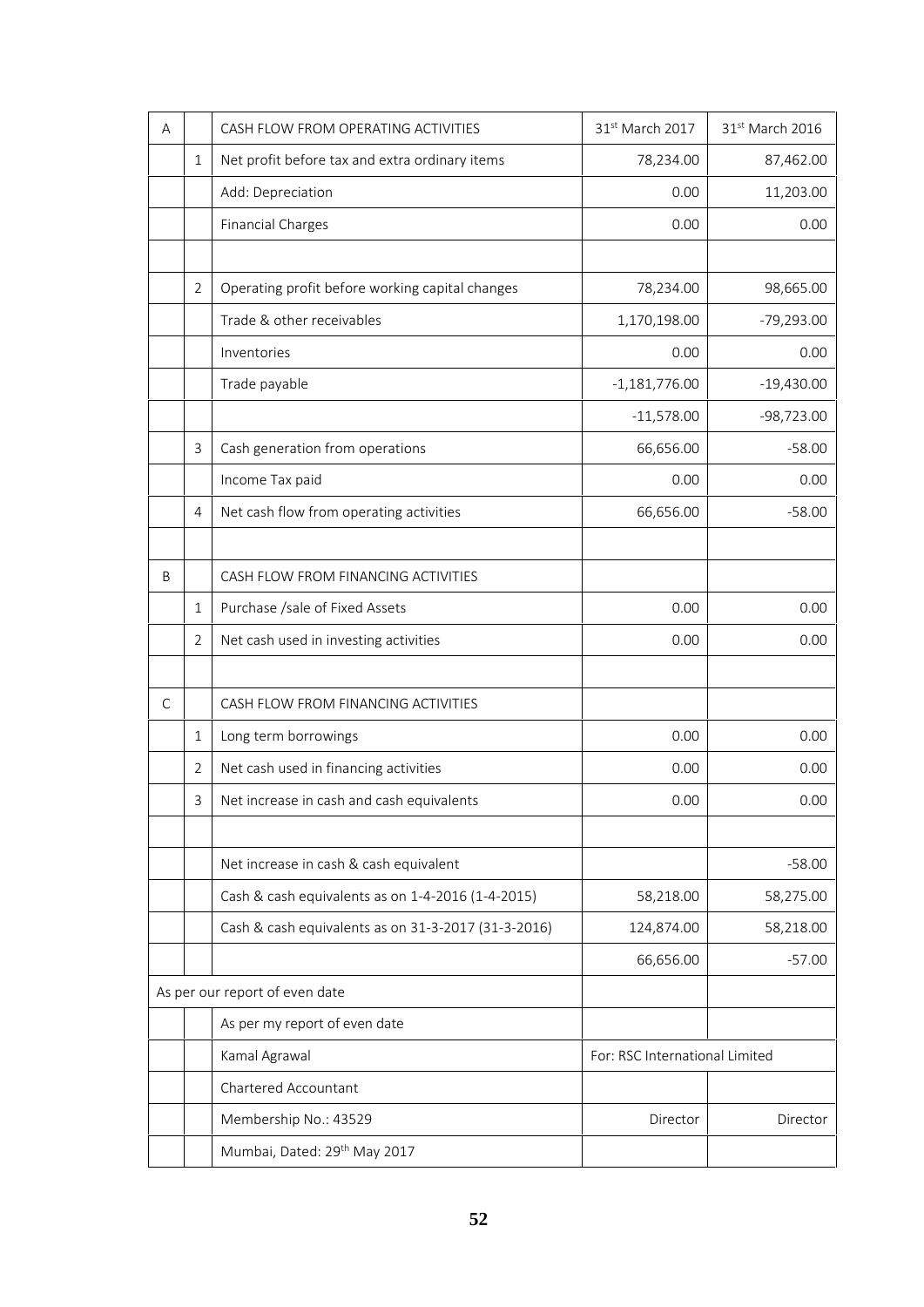| A |                | CASH FLOW FROM OPERATING ACTIVITIES                 | 31st March 2017                | 31 <sup>st</sup> March 2016 |
|---|----------------|-----------------------------------------------------|--------------------------------|-----------------------------|
|   | 1              | Net profit before tax and extra ordinary items      | 78,234.00                      | 87,462.00                   |
|   |                | Add: Depreciation                                   | 0.00                           | 11,203.00                   |
|   |                | <b>Financial Charges</b>                            | 0.00                           | 0.00                        |
|   |                |                                                     |                                |                             |
|   | $\overline{2}$ | Operating profit before working capital changes     | 78,234.00                      | 98,665.00                   |
|   |                | Trade & other receivables                           | 1,170,198.00                   | $-79,293.00$                |
|   |                | Inventories                                         | 0.00                           | 0.00                        |
|   |                | Trade payable                                       | $-1,181,776.00$                | $-19,430.00$                |
|   |                |                                                     | $-11,578.00$                   | $-98,723.00$                |
|   | 3              | Cash generation from operations                     | 66,656.00                      | $-58.00$                    |
|   |                | Income Tax paid                                     | 0.00                           | 0.00                        |
|   | 4              | Net cash flow from operating activities             | 66,656.00                      | $-58.00$                    |
| B |                | CASH FLOW FROM FINANCING ACTIVITIES                 |                                |                             |
|   | 1              | Purchase /sale of Fixed Assets                      | 0.00                           | 0.00                        |
|   | 2              | Net cash used in investing activities               | 0.00                           | 0.00                        |
|   |                |                                                     |                                |                             |
| С |                | CASH FLOW FROM FINANCING ACTIVITIES                 |                                |                             |
|   | 1              | Long term borrowings                                | 0.00                           | 0.00                        |
|   | 2              | Net cash used in financing activities               | 0.00                           | 0.00                        |
|   | 3              | Net increase in cash and cash equivalents           | 0.00                           | 0.00                        |
|   |                | Net increase in cash & cash equivalent              |                                | $-58.00$                    |
|   |                | Cash & cash equivalents as on 1-4-2016 (1-4-2015)   | 58,218.00                      | 58,275.00                   |
|   |                | Cash & cash equivalents as on 31-3-2017 (31-3-2016) | 124,874.00                     | 58,218.00                   |
|   |                |                                                     | 66,656.00                      | $-57.00$                    |
|   |                | As per our report of even date                      |                                |                             |
|   |                | As per my report of even date                       |                                |                             |
|   |                | Kamal Agrawal                                       | For: RSC International Limited |                             |
|   |                | Chartered Accountant                                |                                |                             |
|   |                | Membership No.: 43529                               | Director                       | Director                    |
|   |                | Mumbai, Dated: 29 <sup>th</sup> May 2017            |                                |                             |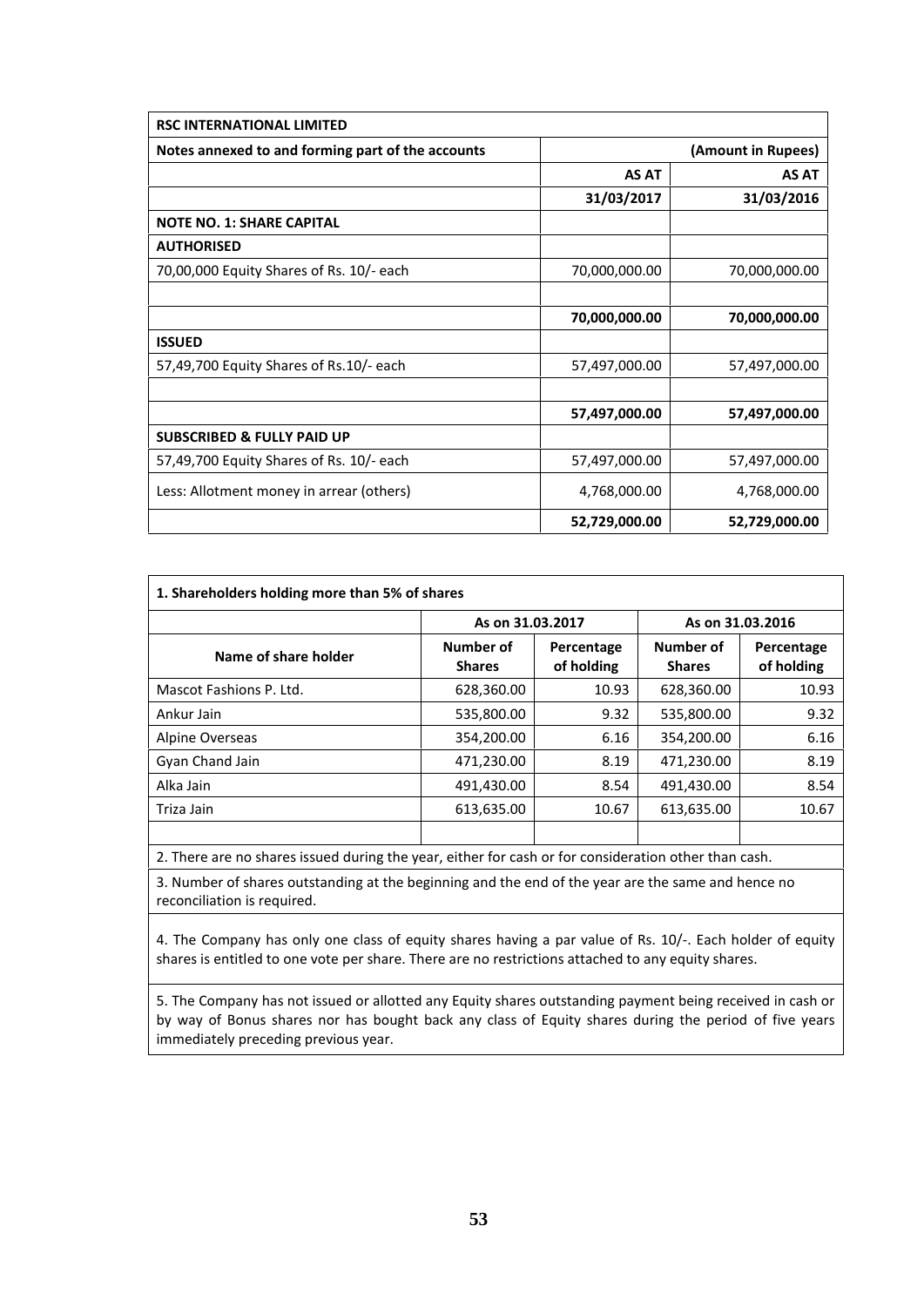| <b>RSC INTERNATIONAL LIMITED</b>                  |               |                    |  |
|---------------------------------------------------|---------------|--------------------|--|
| Notes annexed to and forming part of the accounts |               | (Amount in Rupees) |  |
|                                                   | <b>AS AT</b>  | <b>AS AT</b>       |  |
|                                                   | 31/03/2017    | 31/03/2016         |  |
| <b>NOTE NO. 1: SHARE CAPITAL</b>                  |               |                    |  |
| <b>AUTHORISED</b>                                 |               |                    |  |
| 70,00,000 Equity Shares of Rs. 10/- each          | 70,000,000.00 | 70,000,000.00      |  |
|                                                   | 70,000,000.00 | 70,000,000.00      |  |
| <b>ISSUED</b>                                     |               |                    |  |
| 57,49,700 Equity Shares of Rs.10/- each           | 57,497,000.00 | 57,497,000.00      |  |
|                                                   | 57,497,000.00 | 57,497,000.00      |  |
| <b>SUBSCRIBED &amp; FULLY PAID UP</b>             |               |                    |  |
| 57,49,700 Equity Shares of Rs. 10/- each          | 57,497,000.00 | 57,497,000.00      |  |
| Less: Allotment money in arrear (others)          | 4,768,000.00  | 4,768,000.00       |  |
|                                                   | 52,729,000.00 | 52,729,000.00      |  |

|                         |                            | As on 31.03.2017         |                            | As on 31.03.2016         |  |
|-------------------------|----------------------------|--------------------------|----------------------------|--------------------------|--|
| Name of share holder    | Number of<br><b>Shares</b> | Percentage<br>of holding | Number of<br><b>Shares</b> | Percentage<br>of holding |  |
| Mascot Fashions P. Ltd. | 628,360.00                 | 10.93                    | 628,360.00                 | 10.93                    |  |
| Ankur Jain              | 535,800.00                 | 9.32                     | 535,800.00                 | 9.32                     |  |
| Alpine Overseas         | 354,200.00                 | 6.16                     | 354,200.00                 | 6.16                     |  |
| Gyan Chand Jain         | 471,230.00                 | 8.19                     | 471,230.00                 | 8.19                     |  |
| Alka Jain               | 491,430.00                 | 8.54                     | 491,430.00                 | 8.54                     |  |
| Triza Jain              | 613,635.00                 | 10.67                    | 613,635.00                 | 10.67                    |  |

3. Number of shares outstanding at the beginning and the end of the year are the same and hence no reconciliation is required.

4. The Company has only one class of equity shares having a par value of Rs. 10/-. Each holder of equity shares is entitled to one vote per share. There are no restrictions attached to any equity shares.

5. The Company has not issued or allotted any Equity shares outstanding payment being received in cash or by way of Bonus shares nor has bought back any class of Equity shares during the period of five years immediately preceding previous year.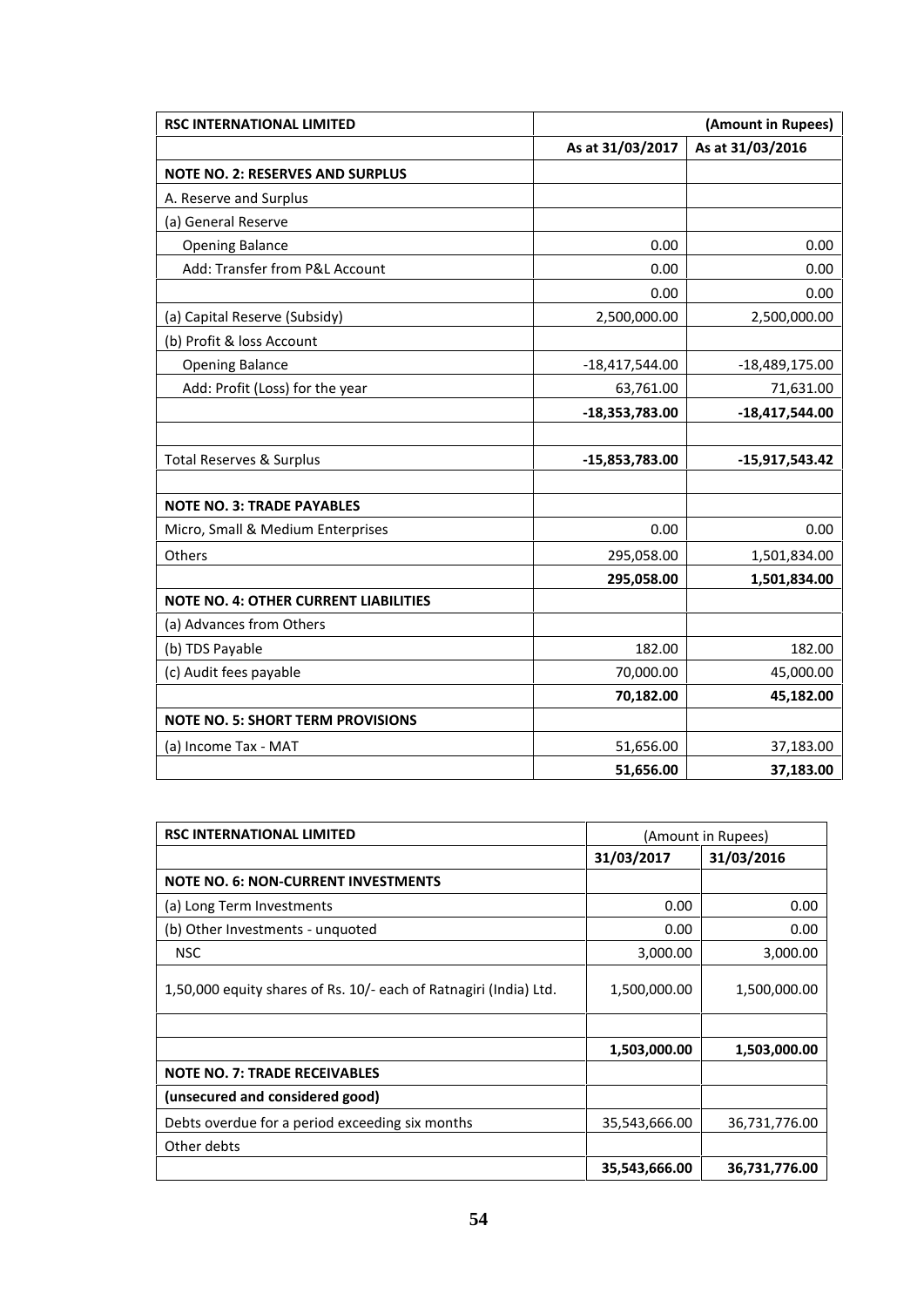| <b>RSC INTERNATIONAL LIMITED</b>             | (Amount in Rupees) |                  |
|----------------------------------------------|--------------------|------------------|
|                                              | As at 31/03/2017   | As at 31/03/2016 |
| <b>NOTE NO. 2: RESERVES AND SURPLUS</b>      |                    |                  |
| A. Reserve and Surplus                       |                    |                  |
| (a) General Reserve                          |                    |                  |
| <b>Opening Balance</b>                       | 0.00               | 0.00             |
| Add: Transfer from P&L Account               | 0.00               | 0.00             |
|                                              | 0.00               | 0.00             |
| (a) Capital Reserve (Subsidy)                | 2,500,000.00       | 2,500,000.00     |
| (b) Profit & loss Account                    |                    |                  |
| <b>Opening Balance</b>                       | $-18,417,544.00$   | $-18,489,175.00$ |
| Add: Profit (Loss) for the year              | 63,761.00          | 71,631.00        |
|                                              | $-18,353,783.00$   | $-18,417,544.00$ |
| <b>Total Reserves &amp; Surplus</b>          | -15,853,783.00     | $-15,917,543.42$ |
| <b>NOTE NO. 3: TRADE PAYABLES</b>            |                    |                  |
| Micro, Small & Medium Enterprises            | 0.00               | 0.00             |
| Others                                       | 295,058.00         | 1,501,834.00     |
|                                              | 295,058.00         | 1,501,834.00     |
| <b>NOTE NO. 4: OTHER CURRENT LIABILITIES</b> |                    |                  |
| (a) Advances from Others                     |                    |                  |
| (b) TDS Payable                              | 182.00             | 182.00           |
| (c) Audit fees payable                       | 70,000.00          | 45,000.00        |
|                                              | 70,182.00          | 45,182.00        |
| <b>NOTE NO. 5: SHORT TERM PROVISIONS</b>     |                    |                  |
| (a) Income Tax - MAT                         | 51,656.00          | 37,183.00        |
|                                              | 51,656.00          | 37,183.00        |

| <b>RSC INTERNATIONAL LIMITED</b>                                  |               | (Amount in Rupees) |
|-------------------------------------------------------------------|---------------|--------------------|
|                                                                   | 31/03/2017    | 31/03/2016         |
| <b>NOTE NO. 6: NON-CURRENT INVESTMENTS</b>                        |               |                    |
| (a) Long Term Investments                                         | 0.00          | 0.00               |
| (b) Other Investments - unquoted                                  | 0.00          | 0.00               |
| <b>NSC</b>                                                        | 3,000.00      | 3,000.00           |
| 1,50,000 equity shares of Rs. 10/- each of Ratnagiri (India) Ltd. | 1,500,000.00  | 1,500,000.00       |
|                                                                   | 1,503,000.00  | 1,503,000.00       |
| <b>NOTE NO. 7: TRADE RECEIVABLES</b>                              |               |                    |
| (unsecured and considered good)                                   |               |                    |
| Debts overdue for a period exceeding six months                   | 35,543,666.00 | 36,731,776.00      |
| Other debts                                                       |               |                    |
|                                                                   | 35,543,666.00 | 36,731,776.00      |